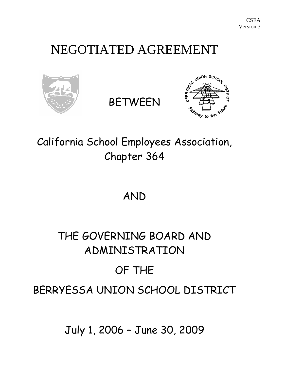## NEGOTIATED AGREEMENT



BETWEEN



California School Employees Association, Chapter 364

AND

# THE GOVERNING BOARD AND ADMINISTRATION OF THE BERRYESSA UNION SCHOOL DISTRICT

July 1, 2006 – June 30, 2009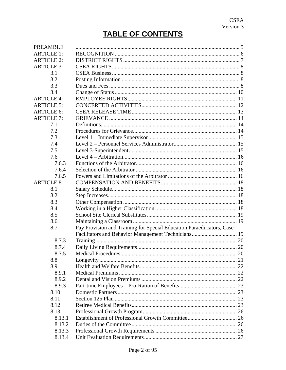### **TABLE OF CONTENTS**

| <b>PREAMBLE</b>   |                                                                      |    |
|-------------------|----------------------------------------------------------------------|----|
| <b>ARTICLE 1:</b> |                                                                      |    |
| <b>ARTICLE 2:</b> |                                                                      |    |
| <b>ARTICLE 3:</b> |                                                                      |    |
| 3.1               |                                                                      |    |
| 3.2               |                                                                      |    |
| 3.3               |                                                                      |    |
| 3.4               |                                                                      |    |
| <b>ARTICLE 4:</b> |                                                                      |    |
| <b>ARTICLE 5:</b> |                                                                      |    |
| <b>ARTICLE 6:</b> |                                                                      |    |
| <b>ARTICLE 7:</b> |                                                                      |    |
| 7.1               |                                                                      |    |
| 7.2               |                                                                      |    |
| 7.3               |                                                                      |    |
| 7.4               |                                                                      |    |
| 7.5               |                                                                      |    |
| 7.6               |                                                                      |    |
| 7.6.3             |                                                                      |    |
| 7.6.4             |                                                                      |    |
| 7.6.5             |                                                                      |    |
| <b>ARTICLE 8:</b> |                                                                      |    |
| 8.1               |                                                                      |    |
| 8.2               |                                                                      |    |
| 8.3               |                                                                      |    |
| 8.4               |                                                                      |    |
| 8.5               |                                                                      |    |
| 8.6               |                                                                      |    |
| 8.7               | Pay Provision and Training for Special Education Paraeducators, Case |    |
|                   | Facilitators and Behavior Management Technicians 19                  |    |
| 8.7.3             |                                                                      |    |
| 8.7.4             |                                                                      |    |
| 8.7.5             |                                                                      | 20 |
| 8.8               |                                                                      |    |
| 8.9               |                                                                      |    |
| 8.9.1             |                                                                      |    |
| 8.9.2             |                                                                      |    |
| 8.9.3             |                                                                      |    |
| 8.10              |                                                                      |    |
| 8.11              |                                                                      |    |
| 8.12              |                                                                      |    |
| 8.13              |                                                                      |    |
| 8.13.1            |                                                                      |    |
| 8.13.2            |                                                                      |    |
| 8.13.3            |                                                                      |    |
| 8.13.4            |                                                                      |    |
|                   |                                                                      |    |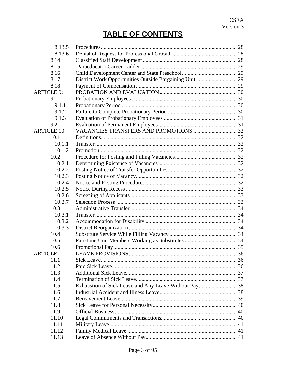### **TABLE OF CONTENTS**

| 8.13.6                                                          |  |
|-----------------------------------------------------------------|--|
|                                                                 |  |
| 8.14                                                            |  |
| 8.15                                                            |  |
| 8.16                                                            |  |
| District Work Opportunities Outside Bargaining Unit  29<br>8.17 |  |
| 8.18                                                            |  |
| <b>ARTICLE 9:</b>                                               |  |
| 9.1                                                             |  |
| 9.1.1                                                           |  |
| 9.1.2                                                           |  |
| 9.1.3                                                           |  |
| 9.2                                                             |  |
| <b>ARTICLE 10:</b>                                              |  |
| 10.1                                                            |  |
| 10.1.1                                                          |  |
| 10.1.2                                                          |  |
| 10.2                                                            |  |
| 10.2.1                                                          |  |
| 10.2.2                                                          |  |
| 10.2.3                                                          |  |
| 10.2.4                                                          |  |
| 10.2.5                                                          |  |
| 10.2.6                                                          |  |
| 10.2.7                                                          |  |
| 10.3                                                            |  |
| 10.3.1                                                          |  |
| 10.3.2                                                          |  |
| 10.3.3                                                          |  |
| 10.4                                                            |  |
| 10.5                                                            |  |
| 10.6                                                            |  |
| <b>ARTICLE 11.</b>                                              |  |
| 11.1                                                            |  |
| 11.2                                                            |  |
| 11.3                                                            |  |
| 11.4                                                            |  |
| 11.5                                                            |  |
| 11.6                                                            |  |
| 11.7                                                            |  |
| 11.8                                                            |  |
| 11.9                                                            |  |
| 11.10                                                           |  |
| 11.11                                                           |  |
| 11.12                                                           |  |
| 11.13                                                           |  |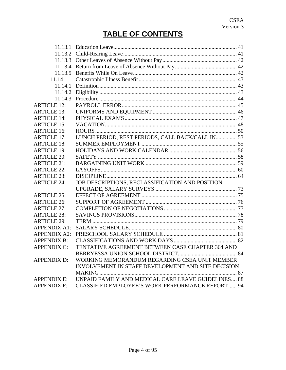### **TABLE OF CONTENTS**

| 11.13.3             |                                                    |  |
|---------------------|----------------------------------------------------|--|
| 11.13.4             |                                                    |  |
| 11.13.5             |                                                    |  |
| 11.14               |                                                    |  |
| 11.14.1             |                                                    |  |
| 11.14.2             |                                                    |  |
| 11.14.3             |                                                    |  |
| <b>ARTICLE 12:</b>  |                                                    |  |
| <b>ARTICLE 13:</b>  |                                                    |  |
| <b>ARTICLE 14:</b>  |                                                    |  |
| <b>ARTICLE 15:</b>  |                                                    |  |
| <b>ARTICLE 16:</b>  |                                                    |  |
| <b>ARTICLE 17:</b>  | LUNCH PERIOD, REST PERIODS, CALL BACK/CALL IN 53   |  |
| <b>ARTICLE 18:</b>  |                                                    |  |
| <b>ARTICLE 19:</b>  |                                                    |  |
| <b>ARTICLE 20:</b>  |                                                    |  |
| <b>ARTICLE 21:</b>  |                                                    |  |
| <b>ARTICLE 22:</b>  |                                                    |  |
| <b>ARTICLE 23:</b>  |                                                    |  |
| <b>ARTICLE 24:</b>  | JOB DESCRIPTIONS, RECLASSIFICATION AND POSITION    |  |
|                     |                                                    |  |
| <b>ARTICLE 25:</b>  |                                                    |  |
| <b>ARTICLE 26:</b>  |                                                    |  |
| <b>ARTICLE 27:</b>  |                                                    |  |
| <b>ARTICLE 28:</b>  |                                                    |  |
| <b>ARTICLE 29:</b>  |                                                    |  |
| <b>APPENDIX A1:</b> |                                                    |  |
| <b>APPENDIX A2:</b> |                                                    |  |
| <b>APPENDIX B:</b>  |                                                    |  |
| <b>APPENDIX C:</b>  | TENTATIVE AGREEMENT BETWEEN CASE CHAPTER 364 AND   |  |
|                     |                                                    |  |
| <b>APPENDIX D:</b>  | WORKING MEMORANDUM REGARDING CSEA UNIT MEMBER      |  |
|                     | INVOLVEMENT IN STAFF DEVELOPMENT AND SITE DECISION |  |
|                     |                                                    |  |
| <b>APPENDIX E:</b>  | UNPAID FAMILY AND MEDICAL CARE LEAVE GUIDELINES 88 |  |
| <b>APPENDIX F:</b>  | CLASSIFIED EMPLOYEE'S WORK PERFORMANCE REPORT 94   |  |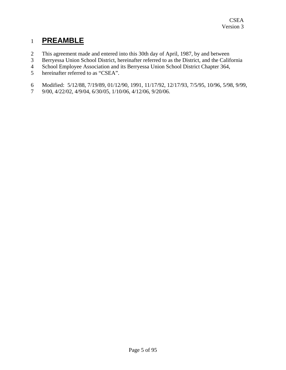### <span id="page-4-0"></span>1 **PREAMBLE**

- 2 This agreement made and entered into this 30th day of April, 1987, by and between
- 3 Berryessa Union School District, hereinafter referred to as the District, and the California
- 4 School Employee Association and its Berryessa Union School District Chapter 364,
- 5 hereinafter referred to as "CSEA".
- 6 Modified: 5/12/88, 7/19/89, 01/12/90, 1991, 11/17/92, 12/17/93, 7/5/95, 10/96, 5/98, 9/99,
- 7 9/00, 4/22/02, 4/9/04, 6/30/05, 1/10/06, 4/12/06, 9/20/06.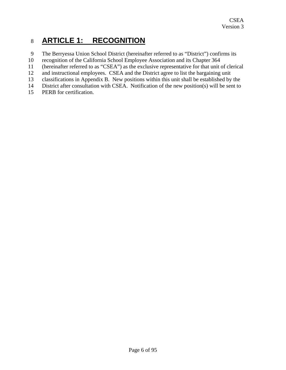### <span id="page-5-0"></span>8 **ARTICLE 1: RECOGNITION**

- 9 The Berryessa Union School District (hereinafter referred to as "District") confirms its
- 10 recognition of the California School Employee Association and its Chapter 364
- 11 (hereinafter referred to as "CSEA") as the exclusive representative for that unit of clerical
- 12 and instructional employees. CSEA and the District agree to list the bargaining unit
- 13 classifications in Appendix B. New positions within this unit shall be established by the
- 14 District after consultation with CSEA. Notification of the new position(s) will be sent to
- 15 PERB for certification.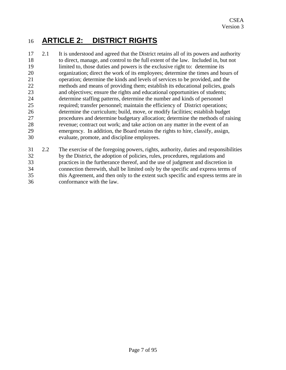### <span id="page-6-0"></span>16 **ARTICLE 2: DISTRICT RIGHTS**

- 17 18 19 20 21 22 23 24 25 26 27 28 29 30 2.1 It is understood and agreed that the District retains all of its powers and authority to direct, manage, and control to the full extent of the law. Included in, but not limited to, those duties and powers is the exclusive right to: determine its organization; direct the work of its employees; determine the times and hours of operation; determine the kinds and levels of services to be provided, and the methods and means of providing them; establish its educational policies, goals and objectives; ensure the rights and educational opportunities of students; determine staffing patterns, determine the number and kinds of personnel required; transfer personnel; maintain the efficiency of District operations; determine the curriculum; build, move, or modify facilities; establish budget procedures and determine budgetary allocation; determine the methods of raising revenue; contract out work; and take action on any matter in the event of an emergency. In addition, the Board retains the rights to hire, classify, assign, evaluate, promote, and discipline employees.
- 31 32 33 34 35 36 2.2 The exercise of the foregoing powers, rights, authority, duties and responsibilities by the District, the adoption of policies, rules, procedures, regulations and practices in the furtherance thereof, and the use of judgment and discretion in connection therewith, shall be limited only by the specific and express terms of this Agreement, and then only to the extent such specific and express terms are in conformance with the law.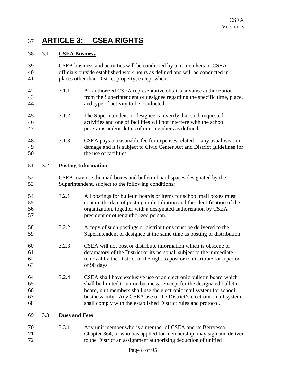### <span id="page-7-0"></span>37 **ARTICLE 3: CSEA RIGHTS**

#### 38 3.1 **CSEA Business**

| 39<br>40<br>41             |     |                      | CSEA business and activities will be conducted by unit members or CSEA<br>officials outside established work hours as defined and will be conducted in<br>places other than District property, except when:                                                                                                                                                    |
|----------------------------|-----|----------------------|----------------------------------------------------------------------------------------------------------------------------------------------------------------------------------------------------------------------------------------------------------------------------------------------------------------------------------------------------------------|
| 42<br>43<br>44             |     | 3.1.1                | An authorized CSEA representative obtains advance authorization<br>from the Superintendent or designee regarding the specific time, place,<br>and type of activity to be conducted.                                                                                                                                                                            |
| 45<br>46<br>47             |     | 3.1.2                | The Superintendent or designee can verify that such requested<br>activities and one of facilities will not interfere with the school<br>programs and/or duties of unit members as defined.                                                                                                                                                                     |
| 48<br>49<br>50             |     | 3.1.3                | CSEA pays a reasonable fee for expenses related to any usual wear or<br>damage and it is subject to Civic Center Act and District guidelines for<br>the use of facilities.                                                                                                                                                                                     |
| 51                         | 3.2 |                      | <b>Posting Information</b>                                                                                                                                                                                                                                                                                                                                     |
| 52<br>53                   |     |                      | CSEA may use the mail boxes and bulletin board spaces designated by the<br>Superintendent, subject to the following conditions:                                                                                                                                                                                                                                |
| 54<br>55<br>56<br>57       |     | 3.2.1                | All postings for bulletin boards or items for school mail boxes must<br>contain the date of posting or distribution and the identification of the<br>organization, together with a designated authorization by CSEA<br>president or other authorized person.                                                                                                   |
| 58<br>59                   |     | 3.2.2                | A copy of such postings or distributions must be delivered to the<br>Superintendent or designee at the same time as posting or distribution.                                                                                                                                                                                                                   |
| 60<br>61<br>62<br>63       |     | 3.2.3                | CSEA will not post or distribute information which is obscene or<br>defamatory of the District or its personal, subject to the immediate<br>removal by the District of the right to post or to distribute for a period<br>of 90 days.                                                                                                                          |
| 64<br>65<br>66<br>67<br>68 |     | 3.2.4                | CSEA shall have exclusive use of an electronic bulletin board which<br>shall be limited to union business. Except for the designated bulletin<br>board, unit members shall use the electronic mail system for school<br>business only. Any CSEA use of the District's electronic mail system<br>shall comply with the established District rules and protocol. |
| 69                         | 3.3 | <b>Dues and Fees</b> |                                                                                                                                                                                                                                                                                                                                                                |
| 70<br>71<br>72             |     | 3.3.1                | Any unit member who is a member of CSEA and its Berryessa<br>Chapter 364, or who has applied for membership, may sign and deliver<br>to the District an assignment authorizing deduction of unified                                                                                                                                                            |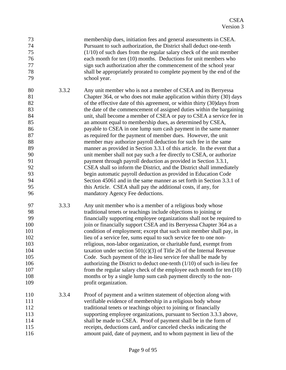| 73<br>74<br>75<br>76<br>77<br>78<br>79                                                             |       | membership dues, initiation fees and general assessments in CSEA.<br>Pursuant to such authorization, the District shall deduct one-tenth<br>$(1/10)$ of such dues from the regular salary check of the unit member<br>each month for ten (10) months. Deductions for unit members who<br>sign such authorization after the commencement of the school year<br>shall be appropriately prorated to complete payment by the end of the<br>school year.                                                                                                                                                                                                                                                                                                                                                                                                                                                                                                                                                                                                                                                                                                                                     |
|----------------------------------------------------------------------------------------------------|-------|-----------------------------------------------------------------------------------------------------------------------------------------------------------------------------------------------------------------------------------------------------------------------------------------------------------------------------------------------------------------------------------------------------------------------------------------------------------------------------------------------------------------------------------------------------------------------------------------------------------------------------------------------------------------------------------------------------------------------------------------------------------------------------------------------------------------------------------------------------------------------------------------------------------------------------------------------------------------------------------------------------------------------------------------------------------------------------------------------------------------------------------------------------------------------------------------|
| 80<br>81<br>82<br>83<br>84<br>85<br>86<br>87<br>88<br>89<br>90<br>91<br>92<br>93<br>94<br>95<br>96 | 3.3.2 | Any unit member who is not a member of CSEA and its Berryessa<br>Chapter 364, or who does not make application within thirty (30) days<br>of the effective date of this agreement, or within thirty (30)days from<br>the date of the commencement of assigned duties within the bargaining<br>unit, shall become a member of CSEA or pay to CSEA a service fee in<br>an amount equal to membership dues, as determined by CSEA,<br>payable to CSEA in one lump sum cash payment in the same manner<br>as required for the payment of member dues. However, the unit<br>member may authorize payroll deduction for such fee in the same<br>manner as provided in Section 3.3.1 of this article. In the event that a<br>unit member shall not pay such a fee directly to CSEA, or authorize<br>payment through payroll deduction as provided in Section 3.3.1,<br>CSEA shall so inform the District, and the District shall immediately<br>begin automatic payroll deduction as provided in Education Code<br>Section 45061 and in the same manner as set forth in Section 3.3.1 of<br>this Article. CSEA shall pay the additional costs, if any, for<br>mandatory Agency Fee deductions. |
| 97<br>98<br>99<br>100<br>101<br>102<br>103<br>104<br>105<br>106<br>107<br>108<br>109               | 3.3.3 | Any unit member who is a member of a religious body whose<br>traditional tenets or teachings include objections to joining or<br>financially supporting employee organizations shall not be required to<br>join or financially support CSEA and its Berryessa Chapter 364 as a<br>condition of employment; except that such unit member shall pay, in<br>lieu of a service fee, sums equal to such service fee to one non-<br>religious, non-labor organization, or charitable fund, exempt from<br>taxation under section $501(c)(3)$ of Title 26 of the Internal Revenue<br>Code. Such payment of the in-lieu service fee shall be made by<br>authorizing the District to deduct one-tenth $(1/10)$ of such in-lieu fee<br>from the regular salary check of the employee each month for ten (10)<br>months or by a single lump sum cash payment directly to the non-<br>profit organization.                                                                                                                                                                                                                                                                                          |
| 110<br>111<br>112<br>113<br>114<br>115<br>116                                                      | 3.3.4 | Proof of payment and a written statement of objection along with<br>verifiable evidence of membership in a religious body whose<br>traditional tenets or teachings object to joining or financially<br>supporting employee organizations, pursuant to Section 3.3.3 above,<br>shall be made to CSEA. Proof of payment shall be in the form of<br>receipts, deductions card, and/or canceled checks indicating the<br>amount paid, date of payment, and to whom payment in lieu of the                                                                                                                                                                                                                                                                                                                                                                                                                                                                                                                                                                                                                                                                                                   |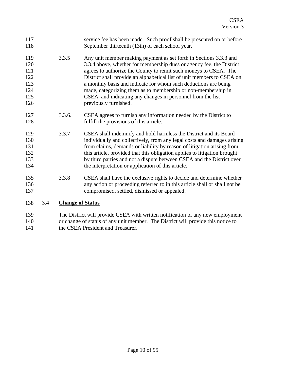<span id="page-9-0"></span>

| 117 |     |                         | service fee has been made. Such proof shall be presented on or before                                                                                                                                                                                                                                                              |
|-----|-----|-------------------------|------------------------------------------------------------------------------------------------------------------------------------------------------------------------------------------------------------------------------------------------------------------------------------------------------------------------------------|
| 118 |     |                         | September thirteenth (13th) of each school year.                                                                                                                                                                                                                                                                                   |
| 119 |     | 3.3.5                   | Any unit member making payment as set forth in Sections 3.3.3 and                                                                                                                                                                                                                                                                  |
| 120 |     |                         | 3.3.4 above, whether for membership dues or agency fee, the District                                                                                                                                                                                                                                                               |
| 121 |     |                         | agrees to authorize the County to remit such moneys to CSEA. The                                                                                                                                                                                                                                                                   |
| 122 |     |                         | District shall provide an alphabetical list of unit members to CSEA on                                                                                                                                                                                                                                                             |
| 123 |     |                         | a monthly basis and indicate for whom such deductions are being                                                                                                                                                                                                                                                                    |
| 124 |     |                         | made, categorizing them as to membership or non-membership in                                                                                                                                                                                                                                                                      |
| 125 |     |                         | CSEA, and indicating any changes in personnel from the list                                                                                                                                                                                                                                                                        |
| 126 |     |                         | previously furnished.                                                                                                                                                                                                                                                                                                              |
| 127 |     | 3.3.6.                  | CSEA agrees to furnish any information needed by the District to                                                                                                                                                                                                                                                                   |
| 128 |     |                         | fulfill the provisions of this article.                                                                                                                                                                                                                                                                                            |
| 129 |     | 3.3.7                   | CSEA shall indemnify and hold harmless the District and its Board                                                                                                                                                                                                                                                                  |
| 130 |     |                         | individually and collectively, from any legal costs and damages arising                                                                                                                                                                                                                                                            |
| 131 |     |                         | from claims, demands or liability by reason of litigation arising from                                                                                                                                                                                                                                                             |
| 132 |     |                         | this article, provided that this obligation applies to litigation brought                                                                                                                                                                                                                                                          |
| 133 |     |                         | by third parties and not a dispute between CSEA and the District over                                                                                                                                                                                                                                                              |
| 134 |     |                         | the interpretation or application of this article.                                                                                                                                                                                                                                                                                 |
| 135 |     | 3.3.8                   | CSEA shall have the exclusive rights to decide and determine whether                                                                                                                                                                                                                                                               |
| 136 |     |                         | any action or proceeding referred to in this article shall or shall not be                                                                                                                                                                                                                                                         |
| 137 |     |                         | compromised, settled, dismissed or appealed.                                                                                                                                                                                                                                                                                       |
| 138 | 3.4 | <b>Change of Status</b> |                                                                                                                                                                                                                                                                                                                                    |
| 120 |     |                         | $\mathbf{m}$ $\mathbf{N}$ $\mathbf{r}$ $\mathbf{r}$ $\mathbf{r}$ $\mathbf{r}$ $\mathbf{r}$ $\mathbf{r}$ $\mathbf{r}$ $\mathbf{r}$ $\mathbf{r}$ $\mathbf{r}$ $\mathbf{r}$ $\mathbf{r}$ $\mathbf{r}$ $\mathbf{r}$ $\mathbf{r}$ $\mathbf{r}$ $\mathbf{r}$ $\mathbf{r}$ $\mathbf{r}$ $\mathbf{r}$ $\mathbf{r}$ $\mathbf{r}$ $\mathbf{$ |

139 140 141 The District will provide CSEA with written notification of any new employment or change of status of any unit member. The District will provide this notice to the CSEA President and Treasurer.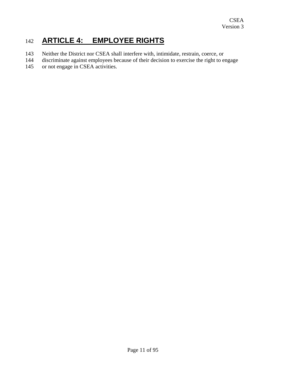### <span id="page-10-0"></span>142 **ARTICLE 4: EMPLOYEE RIGHTS**

- 143 Neither the District nor CSEA shall interfere with, intimidate, restrain, coerce, or
- 144 discriminate against employees because of their decision to exercise the right to engage
- 145 or not engage in CSEA activities.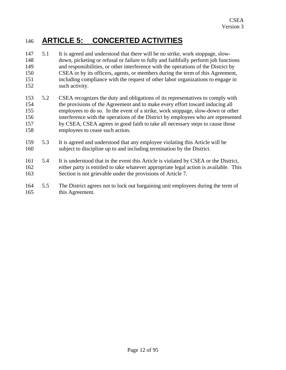### <span id="page-11-0"></span>146 **ARTICLE 5: CONCERTED ACTIVITIES**

- 147 148 149 150 151 152 5.1 It is agreed and understood that there will be no strike, work stoppage, slowdown, picketing or refusal or failure to fully and faithfully perform job functions and responsibilities, or other interference with the operations of the District by CSEA or by its officers, agents, or members during the term of this Agreement, including compliance with the request of other labor organizations to engage in such activity.
- 153 154 155 156 157 158 5.2 CSEA recognizes the duty and obligations of its representatives to comply with the provisions of the Agreement and to make every effort toward inducing all employees to do so. In the event of a strike, work stoppage, slow-down or other interference with the operations of the District by employees who are represented by CSEA, CSEA agrees in good faith to take all necessary steps to cause those employees to cease such action.
- 159 160 5.3 It is agreed and understood that any employee violating this Article will be subject to discipline up to and including termination by the District.
- 161 162 163 5.4 It is understood that in the event this Article is violated by CSEA or the District, either party is entitled to take whatever appropriate legal action is available. This Section is not grievable under the provisions of Article 7.
- 164 165 5.5 The District agrees not to lock out bargaining unit employees during the term of this Agreement.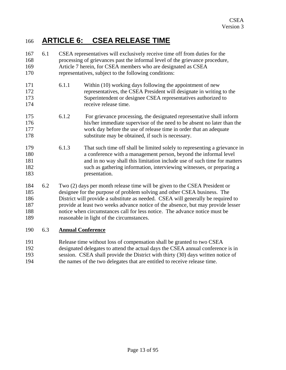### <span id="page-12-0"></span>166 **ARTICLE 6: CSEA RELEASE TIME**

| 167<br>168<br>169<br>170               | 6.1 | CSEA representatives will exclusively receive time off from duties for the<br>processing of grievances past the informal level of the grievance procedure,<br>Article 7 herein, for CSEA members who are designated as CSEA<br>representatives, subject to the following conditions: |                                                                                                                                                                                                                                                                                                                                                                                                                                                           |  |
|----------------------------------------|-----|--------------------------------------------------------------------------------------------------------------------------------------------------------------------------------------------------------------------------------------------------------------------------------------|-----------------------------------------------------------------------------------------------------------------------------------------------------------------------------------------------------------------------------------------------------------------------------------------------------------------------------------------------------------------------------------------------------------------------------------------------------------|--|
| 171<br>172<br>173<br>174               |     | 6.1.1                                                                                                                                                                                                                                                                                | Within (10) working days following the appointment of new<br>representatives, the CSEA President will designate in writing to the<br>Superintendent or designee CSEA representatives authorized to<br>receive release time.                                                                                                                                                                                                                               |  |
| 175<br>176<br>177<br>178               |     | 6.1.2                                                                                                                                                                                                                                                                                | For grievance processing, the designated representative shall inform<br>his/her immediate supervisor of the need to be absent no later than the<br>work day before the use of release time in order that an adequate<br>substitute may be obtained, if such is necessary.                                                                                                                                                                                 |  |
| 179<br>180<br>181<br>182<br>183        |     | 6.1.3                                                                                                                                                                                                                                                                                | That such time off shall be limited solely to representing a grievance in<br>a conference with a management person, beyond the informal level<br>and in no way shall this limitation include use of such time for matters<br>such as gathering information, interviewing witnesses, or preparing a<br>presentation.                                                                                                                                       |  |
| 184<br>185<br>186<br>187<br>188<br>189 | 6.2 |                                                                                                                                                                                                                                                                                      | Two (2) days per month release time will be given to the CSEA President or<br>designee for the purpose of problem solving and other CSEA business. The<br>District will provide a substitute as needed. CSEA will generally be required to<br>provide at least two weeks advance notice of the absence, but may provide lesser<br>notice when circumstances call for less notice. The advance notice must be<br>reasonable in light of the circumstances. |  |
| 190                                    | 6.3 |                                                                                                                                                                                                                                                                                      | <b>Annual Conference</b>                                                                                                                                                                                                                                                                                                                                                                                                                                  |  |

- 191 192 193 Release time without loss of compensation shall be granted to two CSEA designated delegates to attend the actual days the CSEA annual conference is in session. CSEA shall provide the District with thirty (30) days written notice of
- 194 the names of the two delegates that are entitled to receive release time.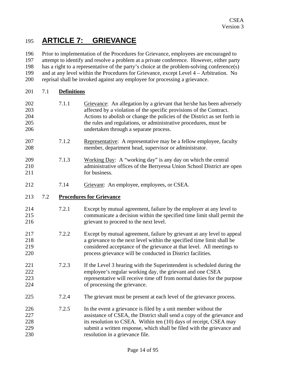### <span id="page-13-0"></span>195 **ARTICLE 7: GRIEVANCE**

196 197 198 199 200 Prior to implementation of the Procedures for Grievance, employees are encouraged to attempt to identify and resolve a problem at a private conference. However, either party has a right to a representative of the party's choice at the problem-solving conference(s) and at any level within the Procedures for Grievance, except Level 4 – Arbitration. No reprisal shall be invoked against any employee for processing a grievance.

- 201 7.1 **Definitions**
- 202 203 204 205 206 7.1.1 Grievance: An allegation by a grievant that he/she has been adversely affected by a violation of the specific provisions of the Contract. Actions to abolish or change the policies of the District as set forth in the rules and regulations, or administrative procedures, must be undertaken through a separate process.
- 207 208 7.1.2 Representative: A representative may be a fellow employee, faculty member, department head, supervisor or administrator.
- 209 210 211 7.1.3 Working Day: A "working day" is any day on which the central administrative offices of the Berryessa Union School District are open for business.
- 212 7.14 Grievant: An employee, employees, or CSEA.

#### 213 7.2 **Procedures for Grievance**

- 214 215 216 7.2.1 Except by mutual agreement, failure by the employer at any level to communicate a decision within the specified time limit shall permit the grievant to proceed to the next level.
- 217 218 219 220 7.2.2 Except by mutual agreement, failure by grievant at any level to appeal a grievance to the next level within the specified time limit shall be considered acceptance of the grievance at that level. All meetings to process grievance will be conducted in District facilities.
- 221 222 223 224 7.2.3 If the Level 3 hearing with the Superintendent is scheduled during the employee's regular working day, the grievant and one CSEA representative will receive time off from normal duties for the purpose of processing the grievance.
- 225 7.2.4 The grievant must be present at each level of the grievance process.
- 226 227 228 229 230 7.2.5 In the event a grievance is filed by a unit member without the assistance of CSEA, the District shall send a copy of the grievance and its resolution to CSEA. Within ten (10) days of receipt, CSEA may submit a written response, which shall be filed with the grievance and resolution in a grievance file.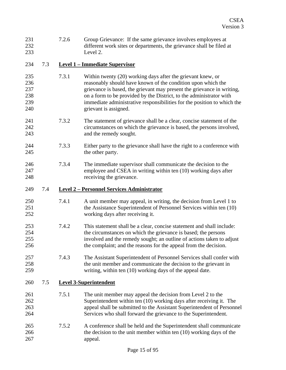<span id="page-14-0"></span>

| 231<br>232<br>233                      |     | 7.2.6 | Group Grievance: If the same grievance involves employees at<br>different work sites or departments, the grievance shall be filed at<br>Level 2.                                                                                                                                                                                                                                 |
|----------------------------------------|-----|-------|----------------------------------------------------------------------------------------------------------------------------------------------------------------------------------------------------------------------------------------------------------------------------------------------------------------------------------------------------------------------------------|
| 234                                    | 7.3 |       | <b>Level 1 - Immediate Supervisor</b>                                                                                                                                                                                                                                                                                                                                            |
| 235<br>236<br>237<br>238<br>239<br>240 |     | 7.3.1 | Within twenty (20) working days after the grievant knew, or<br>reasonably should have known of the condition upon which the<br>grievance is based, the grievant may present the grievance in writing,<br>on a form to be provided by the District, to the administrator with<br>immediate administrative responsibilities for the position to which the<br>grievant is assigned. |
| 241<br>242<br>243                      |     | 7.3.2 | The statement of grievance shall be a clear, concise statement of the<br>circumstances on which the grievance is based, the persons involved,<br>and the remedy sought.                                                                                                                                                                                                          |
| 244<br>245                             |     | 7.3.3 | Either party to the grievance shall have the right to a conference with<br>the other party.                                                                                                                                                                                                                                                                                      |
| 246<br>247<br>248                      |     | 7.3.4 | The immediate supervisor shall communicate the decision to the<br>employee and CSEA in writing within ten (10) working days after<br>receiving the grievance.                                                                                                                                                                                                                    |
| 249                                    | 7.4 |       | <b>Level 2 – Personnel Services Administrator</b>                                                                                                                                                                                                                                                                                                                                |
| 250<br>251<br>252                      |     | 7.4.1 | A unit member may appeal, in writing, the decision from Level 1 to<br>the Assistance Superintendent of Personnel Services within ten (10)<br>working days after receiving it.                                                                                                                                                                                                    |
| 253<br>254<br>255<br>256               |     | 7.4.2 | This statement shall be a clear, concise statement and shall include:<br>the circumstances on which the grievance is based; the persons<br>involved and the remedy sought; an outline of actions taken to adjust<br>the complaint; and the reasons for the appeal from the decision                                                                                              |
| 257<br>258<br>259                      |     | 7.4.3 | The Assistant Superintendent of Personnel Services shall confer with<br>the unit member and communicate the decision to the grievant in<br>writing, within ten (10) working days of the appeal date.                                                                                                                                                                             |
| 260                                    | 7.5 |       | <b>Level 3-Superintendent</b>                                                                                                                                                                                                                                                                                                                                                    |
| 261<br>262<br>263<br>264               |     | 7.5.1 | The unit member may appeal the decision from Level 2 to the<br>Superintendent within ten (10) working days after receiving it. The<br>appeal shall be submitted to the Assistant Superintendent of Personnel<br>Services who shall forward the grievance to the Superintendent.                                                                                                  |
| 265<br>266<br>267                      |     | 7.5.2 | A conference shall be held and the Superintendent shall communicate<br>the decision to the unit member within ten $(10)$ working days of the<br>appeal.                                                                                                                                                                                                                          |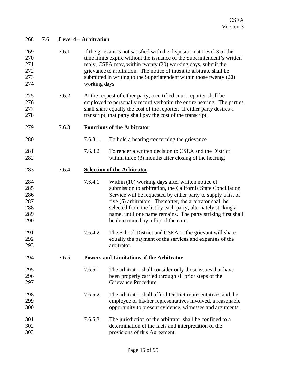<span id="page-15-0"></span>

| 268                                           | 7.6 |       | <b>Level 4 – Arbitration</b> |                                                                                                                                                                                                                                                                                                                                                                                                                        |
|-----------------------------------------------|-----|-------|------------------------------|------------------------------------------------------------------------------------------------------------------------------------------------------------------------------------------------------------------------------------------------------------------------------------------------------------------------------------------------------------------------------------------------------------------------|
| 269<br>270<br>271<br>272<br>273<br>274        |     | 7.6.1 | working days.                | If the grievant is not satisfied with the disposition at Level 3 or the<br>time limits expire without the issuance of the Superintendent's written<br>reply, CSEA may, within twenty (20) working days, submit the<br>grievance to arbitration. The notice of intent to arbitrate shall be<br>submitted in writing to the Superintendent within those twenty (20)                                                      |
| 275<br>276<br>277<br>278                      |     | 7.6.2 |                              | At the request of either party, a certified court reporter shall be<br>employed to personally record verbatim the entire hearing. The parties<br>shall share equally the cost of the reporter. If either party desires a<br>transcript, that party shall pay the cost of the transcript.                                                                                                                               |
| 279                                           |     | 7.6.3 |                              | <b>Functions of the Arbitrator</b>                                                                                                                                                                                                                                                                                                                                                                                     |
| 280                                           |     |       | 7.6.3.1                      | To hold a hearing concerning the grievance                                                                                                                                                                                                                                                                                                                                                                             |
| 281<br>282                                    |     |       | 7.6.3.2                      | To render a written decision to CSEA and the District<br>within three (3) months after closing of the hearing.                                                                                                                                                                                                                                                                                                         |
| 283                                           |     | 7.6.4 |                              | <b>Selection of the Arbitrator</b>                                                                                                                                                                                                                                                                                                                                                                                     |
| 284<br>285<br>286<br>287<br>288<br>289<br>290 |     |       | 7.6.4.1                      | Within (10) working days after written notice of<br>submission to arbitration, the California State Conciliation<br>Service will be requested by either party to supply a list of<br>five (5) arbitrators. Thereafter, the arbitrator shall be<br>selected from the list by each party, alternately striking a<br>name, until one name remains. The party striking first shall<br>be determined by a flip of the coin. |
| 291<br>292<br>293                             |     |       | 7.6.4.2                      | The School District and CSEA or the grievant will share<br>equally the payment of the services and expenses of the<br>arbitrator.                                                                                                                                                                                                                                                                                      |
| 294                                           |     | 7.6.5 |                              | <b>Powers and Limitations of the Arbitrator</b>                                                                                                                                                                                                                                                                                                                                                                        |
| 295<br>296<br>297                             |     |       | 7.6.5.1                      | The arbitrator shall consider only those issues that have<br>been properly carried through all prior steps of the<br>Grievance Procedure.                                                                                                                                                                                                                                                                              |
| 298<br>299<br>300                             |     |       | 7.6.5.2                      | The arbitrator shall afford District representatives and the<br>employee or his/her representatives involved, a reasonable<br>opportunity to present evidence, witnesses and arguments.                                                                                                                                                                                                                                |
| 301<br>302<br>303                             |     |       | 7.6.5.3                      | The jurisdiction of the arbitrator shall be confined to a<br>determination of the facts and interpretation of the<br>provisions of this Agreement                                                                                                                                                                                                                                                                      |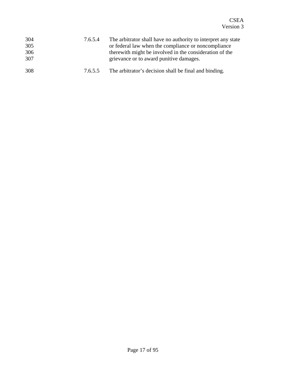| 304<br>305<br>306<br>307 | 7.6.5.4 | The arbitrator shall have no authority to interpret any state<br>or federal law when the compliance or noncompliance<br>there with might be involved in the consideration of the<br>grievance or to award punitive damages. |
|--------------------------|---------|-----------------------------------------------------------------------------------------------------------------------------------------------------------------------------------------------------------------------------|
| 308                      | 7.6.5.5 | The arbitrator's decision shall be final and binding.                                                                                                                                                                       |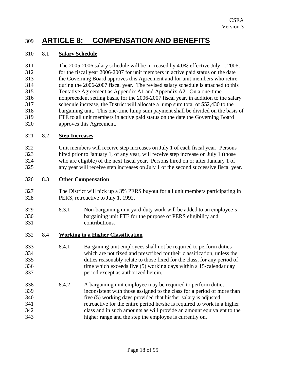### <span id="page-17-0"></span>309 **ARTICLE 8: COMPENSATION AND BENEFITS**

#### 310 8.1 **Salary Schedule**

311 312 313 314 315 316 317 318 319 320 The 2005-2006 salary schedule will be increased by 4.0% effective July 1, 2006, for the fiscal year 2006-2007 for unit members in active paid status on the date the Governing Board approves this Agreement and for unit members who retire during the 2006-2007 fiscal year. The revised salary schedule is attached to this Tentative Agreement as Appendix A1 and Appendix A2. On a one-time nonprecedent setting basis, for the 2006-2007 fiscal year, in addition to the salary schedule increase, the District will allocate a lump sum total of \$52,430 to the bargaining unit. This one-time lump sum payment shall be divided on the basis of FTE to all unit members in active paid status on the date the Governing Board approves this Agreement.

#### 321 8.2 **Step Increases**

322 323 324 325 Unit members will receive step increases on July 1 of each fiscal year. Persons hired prior to January 1, of any year, will receive step increase on July 1 (those who are eligible) of the next fiscal year. Persons hired on or after January 1 of any year will receive step increases on July 1 of the second successive fiscal year.

#### 326 8.3 **Other Compensation**

- 327 328 The District will pick up a 3% PERS buyout for all unit members participating in PERS, retroactive to July 1, 1992.
- 329 330 331 8.3.1 Non-bargaining unit yard-duty work will be added to an employee's bargaining unit FTE for the purpose of PERS eligibility and contributions.

#### 332 8.4 **Working in a Higher Classification**

- 333 334 335 336 337 8.4.1 Bargaining unit employees shall not be required to perform duties which are not fixed and prescribed for their classification, unless the duties reasonably relate to those fixed for the class, for any period of time which exceeds five (5) working days within a 15-calendar day period except as authorized herein.
- 338 339 340 341 342 343 8.4.2 A bargaining unit employee may be required to perform duties inconsistent with those assigned to the class for a period of more than five (5) working days provided that his/her salary is adjusted retroactive for the entire period he/she is required to work in a higher class and in such amounts as will provide an amount equivalent to the higher range and the step the employee is currently on.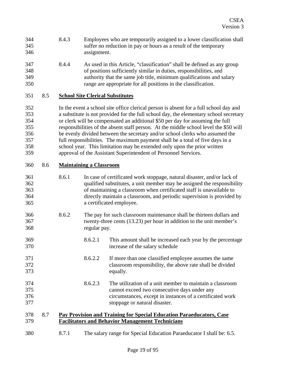- <span id="page-18-0"></span>344 345 346 8.4.3 Employees who are temporarily assigned to a lower classification shall suffer no reduction in pay or hours as a result of the temporary assignment.
- 347 348 349 350 8.4.4 As used in this Article, "classification" shall be defined as any group of positions sufficiently similar in duties, responsibilities, and authority that the same job title, minimum qualifications and salary range are appropriate for all positions in the classification.

#### 351 8.5 **School Site Clerical Substitutes**

352 353 354 355 356 357 358 359 In the event a school site office clerical person is absent for a full school day and a substitute is not provided for the full school day, the elementary school secretary or clerk will be compensated an additional \$50 per day for assuming the full responsibilities of the absent staff person. At the middle school level the \$50 will be evenly divided between the secretary and/or school clerks who assumed the full responsibilities. The maximum payment shall be a total of five days in a school year. This limitation may be extended only upon the prior written approval of the Assistant Superintendent of Personnel Services.

#### 360 8.6 **Maintaining a Classroom**

371 372 373

- 361 362 363 364 365 8.6.1 In case of certificated work stoppage, natural disaster, and/or lack of qualified substitutes, a unit member may be assigned the responsibility of maintaining a classroom when certificated staff is unavailable to directly maintain a classroom, and periodic supervision is provided by a certificated employee.
- 366 367 368 8.6.2 The pay for such classroom maintenance shall be thirteen dollars and twenty-three cents (13.23) per hour in addition to the unit member's regular pay.
- 369 370 8.6.2.1 This amount shall be increased each year by the percentage increase of the salary schedule
	- 8.6.2.2 If more than one classified employee assumes the same classroom responsibility, the above rate shall be divided equally.
- 374 375 376 377 8.6.2.3 The utilization of a unit member to maintain a classroom cannot exceed two consecutive days under any circumstances, except in instances of a certificated work stoppage or natural disaster.
- 378 8.7 **Pay Provision and Training for Special Education Paraeducators, Case**  379 **Facilitators and Behavior Management Technicians**
- 380 8.7.1 The salary range for Special Education Paraeducator I shall be: 6.5.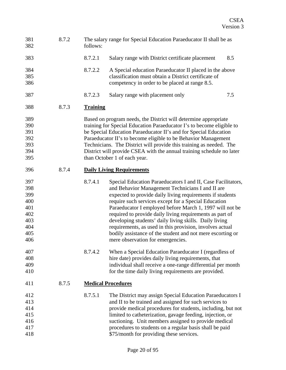<span id="page-19-0"></span>

| 381<br>382 | 8.7.2 | follows:        | The salary range for Special Education Paraeducator II shall be as    |     |
|------------|-------|-----------------|-----------------------------------------------------------------------|-----|
| 383        |       | 8.7.2.1         | Salary range with District certificate placement                      | 8.5 |
| 384        |       | 8.7.2.2         | A Special education Paraeducator II placed in the above               |     |
| 385        |       |                 | classification must obtain a District certificate of                  |     |
| 386        |       |                 | competency in order to be placed at range 8.5.                        |     |
| 387        |       | 8.7.2.3         | Salary range with placement only                                      | 7.5 |
| 388        | 8.7.3 | <b>Training</b> |                                                                       |     |
| 389        |       |                 | Based on program needs, the District will determine appropriate       |     |
| 390        |       |                 | training for Special Education Paraeducator I's to become eligible to |     |
| 391        |       |                 | be Special Education Paraeducator II's and for Special Education      |     |
| 392        |       |                 | Paraeducator II's to become eligible to be Behavior Management        |     |
| 393        |       |                 | Technicians. The District will provide this training as needed. The   |     |
| 394        |       |                 | District will provide CSEA with the annual training schedule no later |     |
| 395        |       |                 | than October 1 of each year.                                          |     |
| 396        | 8.7.4 |                 | <b>Daily Living Requirements</b>                                      |     |
| 397        |       | 8.7.4.1         | Special Education Paraeducators I and II, Case Facilitators,          |     |
| 398        |       |                 | and Behavior Management Technicians I and II are                      |     |
| 399        |       |                 | expected to provide daily living requirements if students             |     |
| 400        |       |                 | require such services except for a Special Education                  |     |
| 401        |       |                 | Paraeducator I employed before March 1, 1997 will not be              |     |
| 402        |       |                 | required to provide daily living requirements as part of              |     |
| 403        |       |                 | developing students' daily living skills. Daily living                |     |
| 404        |       |                 | requirements, as used in this provision, involves actual              |     |
| 405        |       |                 | bodily assistance of the student and not mere escorting or            |     |
| 406        |       |                 | mere observation for emergencies.                                     |     |
| 407        |       | 8.7.4.2         | When a Special Education Paraeducator I (regardless of                |     |
| 408        |       |                 | hire date) provides daily living requirements, that                   |     |
| 409        |       |                 | individual shall receive a one-range differential per month           |     |
| 410        |       |                 | for the time daily living requirements are provided.                  |     |
| 411        | 8.7.5 |                 | <b>Medical Procedures</b>                                             |     |
| 412        |       | 8.7.5.1         | The District may assign Special Education Paraeducators I             |     |
| 413        |       |                 | and II to be trained and assigned for such services to                |     |
| 414        |       |                 | provide medical procedures for students, including, but not           |     |
| 415        |       |                 | limited to catheterization, gavage feeding, injection, or             |     |
| 416        |       |                 | suctioning. Unit members assigned to provide medical                  |     |
| 417        |       |                 | procedures to students on a regular basis shall be paid               |     |
| 418        |       |                 | \$75/month for providing these services.                              |     |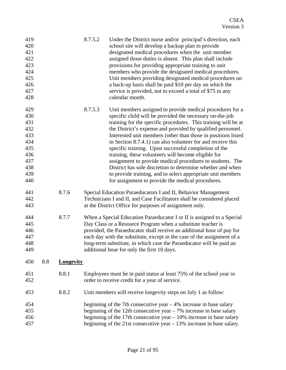<span id="page-20-0"></span>

| 419<br>420<br>421<br>422<br>423<br>424<br>425<br>426<br>427<br>428               |     |           | 8.7.5.2 | Under the District nurse and/or principal's direction, each<br>school site will develop a backup plan to provide<br>designated medical procedures when the unit member<br>assigned those duties is absent. This plan shall include<br>provisions for providing appropriate training to unit<br>members who provide the designated medical procedures.<br>Unit members providing designated medical procedures on<br>a back-up basis shall be paid \$10 per day on which the<br>service is provided, not to exceed a total of \$75 in any<br>calendar month.                                                                                                                                                                                          |
|----------------------------------------------------------------------------------|-----|-----------|---------|------------------------------------------------------------------------------------------------------------------------------------------------------------------------------------------------------------------------------------------------------------------------------------------------------------------------------------------------------------------------------------------------------------------------------------------------------------------------------------------------------------------------------------------------------------------------------------------------------------------------------------------------------------------------------------------------------------------------------------------------------|
| 429<br>430<br>431<br>432<br>433<br>434<br>435<br>436<br>437<br>438<br>439<br>440 |     |           | 8.7.5.3 | Unit members assigned to provide medical procedures for a<br>specific child will be provided the necessary on-the-job<br>training for the specific procedures. This training will be at<br>the District's expense and provided by qualified personnel.<br>Interested unit members (other than those in positions listed<br>in Section 8.7.4.1) can also volunteer for and receive this<br>specific training. Upon successful completion of the<br>training, these volunteers will become eligible for<br>assignment to provide medical procedures to students. The<br>District has sole discretion to determine whether and when<br>to provide training, and to select appropriate unit members<br>for assignment to provide the medical procedures. |
| 441<br>442<br>443                                                                |     | 8.7.6     |         | Special Education Paraeducators I and II, Behavior Management<br>Technicians I and II, and Case Facilitators shall be considered placed<br>at the District Office for purposes of assignment only.                                                                                                                                                                                                                                                                                                                                                                                                                                                                                                                                                   |
| 444<br>445<br>446<br>447<br>448<br>449                                           |     | 8.7.7     |         | When a Special Education Paraeducator I or II is assigned to a Special<br>Day Class or a Resource Program when a substitute teacher is<br>provided, the Paraeducator shall receive an additional hour of pay for<br>each day with the substitute, except in the case of the assignment of a<br>long-term substitute, in which case the Paraeducator will be paid an<br>additional hour for only the first 10 days.                                                                                                                                                                                                                                                                                                                                   |
| 450                                                                              | 8.8 | Longevity |         |                                                                                                                                                                                                                                                                                                                                                                                                                                                                                                                                                                                                                                                                                                                                                      |
| 451<br>452                                                                       |     | 8.8.1     |         | Employees must be in paid status at least 75% of the school year in<br>order to receive credit for a year of service.                                                                                                                                                                                                                                                                                                                                                                                                                                                                                                                                                                                                                                |
| 453                                                                              |     | 8.8.2     |         | Unit members will receive longevity steps on July 1 as follow:                                                                                                                                                                                                                                                                                                                                                                                                                                                                                                                                                                                                                                                                                       |
| 454<br>455<br>456<br>457                                                         |     |           |         | beginning of the 7th consecutive year $-4\%$ increase in base salary<br>beginning of the 12th consecutive year $-7\%$ increase in base salary<br>beginning of the 17th consecutive year $-10\%$ increase in base salary<br>beginning of the 21st consecutive year $-13\%$ increase in base salary.                                                                                                                                                                                                                                                                                                                                                                                                                                                   |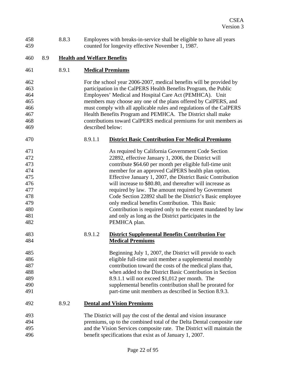<span id="page-21-0"></span>

| 458<br>459 |     | 8.8.3 |                                    | Employees with breaks-in-service shall be eligible to have all years<br>counted for longevity effective November 1, 1987. |
|------------|-----|-------|------------------------------------|---------------------------------------------------------------------------------------------------------------------------|
| 460        | 8.9 |       | <b>Health and Welfare Benefits</b> |                                                                                                                           |
|            |     |       |                                    |                                                                                                                           |
| 461        |     | 8.9.1 |                                    | <b>Medical Premiums</b>                                                                                                   |
| 462        |     |       |                                    | For the school year 2006-2007, medical benefits will be provided by                                                       |
| 463        |     |       |                                    | participation in the CalPERS Health Benefits Program, the Public                                                          |
| 464        |     |       |                                    | Employees' Medical and Hospital Care Act (PEMHCA). Unit                                                                   |
| 465        |     |       |                                    | members may choose any one of the plans offered by CalPERS, and                                                           |
| 466        |     |       |                                    | must comply with all applicable rules and regulations of the CalPERS                                                      |
| 467        |     |       |                                    | Health Benefits Program and PEMHCA. The District shall make                                                               |
| 468        |     |       |                                    | contributions toward CalPERS medical premiums for unit members as                                                         |
| 469        |     |       | described below:                   |                                                                                                                           |
| 470        |     |       | 8.9.1.1                            | <b>District Basic Contribution For Medical Premiums</b>                                                                   |
| 471        |     |       |                                    | As required by California Government Code Section                                                                         |
| 472        |     |       |                                    | 22892, effective January 1, 2006, the District will                                                                       |
| 473        |     |       |                                    | contribute \$64.60 per month per eligible full-time unit                                                                  |
| 474        |     |       |                                    | member for an approved CalPERS health plan option.                                                                        |
| 475        |     |       |                                    | Effective January 1, 2007, the District Basic Contribution                                                                |
| 476        |     |       |                                    | will increase to \$80.80, and thereafter will increase as                                                                 |
| 477        |     |       |                                    | required by law. The amount required by Government                                                                        |
| 478        |     |       |                                    | Code Section 22892 shall be the District's Basic employee                                                                 |
| 479        |     |       |                                    | only medical benefits Contribution. This Basic                                                                            |
| 480        |     |       |                                    | Contribution is required only to the extent mandated by law                                                               |
| 481        |     |       |                                    | and only as long as the District participates in the                                                                      |
| 482        |     |       |                                    | PEMHCA plan.                                                                                                              |
| 483        |     |       | 8.9.1.2                            | <b>District Supplemental Benefits Contribution For</b>                                                                    |
| 484        |     |       |                                    | <b>Medical Premiums</b>                                                                                                   |
| 485        |     |       |                                    | Beginning July 1, 2007, the District will provide to each                                                                 |
| 486        |     |       |                                    | eligible full-time unit member a supplemental monthly                                                                     |
| 487        |     |       |                                    | contribution toward the costs of the medical plans that,                                                                  |
| 488        |     |       |                                    | when added to the District Basic Contribution in Section                                                                  |
| 489        |     |       |                                    | 8.9.1.1 will not exceed \$1,012 per month. The                                                                            |
| 490        |     |       |                                    | supplemental benefits contribution shall be prorated for                                                                  |
| 491        |     |       |                                    | part-time unit members as described in Section 8.9.3.                                                                     |
| 492        |     | 8.9.2 |                                    | <b>Dental and Vision Premiums</b>                                                                                         |
| 493        |     |       |                                    | The District will pay the cost of the dental and vision insurance                                                         |
| 494        |     |       |                                    | premiums, up to the combined total of the Delta Dental composite rate                                                     |
| 495        |     |       |                                    | and the Vision Services composite rate. The District will maintain the                                                    |
| 496        |     |       |                                    | benefit specifications that exist as of January 1, 2007.                                                                  |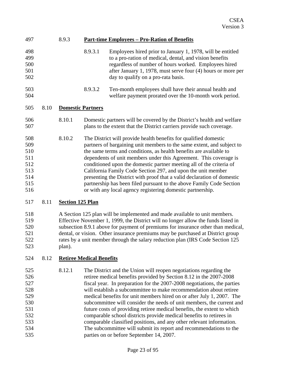<span id="page-22-0"></span>

| 497                                                         |      | 8.9.3                    |         | <u><b>Part-time Employees - Pro-Ration of Benefits</b></u>                                                                                                                                                                                                                                                                                                                                                                                                                                                                                                                                                                                     |
|-------------------------------------------------------------|------|--------------------------|---------|------------------------------------------------------------------------------------------------------------------------------------------------------------------------------------------------------------------------------------------------------------------------------------------------------------------------------------------------------------------------------------------------------------------------------------------------------------------------------------------------------------------------------------------------------------------------------------------------------------------------------------------------|
| 498<br>499<br>500<br>501<br>502                             |      |                          | 8.9.3.1 | Employees hired prior to January 1, 1978, will be entitled<br>to a pro-ration of medical, dental, and vision benefits<br>regardless of number of hours worked. Employees hired<br>after January 1, 1978, must serve four (4) hours or more per<br>day to qualify on a pro-rata basis.                                                                                                                                                                                                                                                                                                                                                          |
| 503<br>504                                                  |      |                          | 8.9.3.2 | Ten-month employees shall have their annual health and<br>welfare payment prorated over the 10-month work period.                                                                                                                                                                                                                                                                                                                                                                                                                                                                                                                              |
| 505                                                         | 8.10 | <b>Domestic Partners</b> |         |                                                                                                                                                                                                                                                                                                                                                                                                                                                                                                                                                                                                                                                |
| 506<br>507                                                  |      | 8.10.1                   |         | Domestic partners will be covered by the District's health and welfare<br>plans to the extent that the District carriers provide such coverage.                                                                                                                                                                                                                                                                                                                                                                                                                                                                                                |
| 508<br>509<br>510<br>511<br>512<br>513<br>514<br>515<br>516 |      | 8.10.2                   |         | The District will provide health benefits for qualified domestic<br>partners of bargaining unit members to the same extent, and subject to<br>the same terms and conditions, as health benefits are available to<br>dependents of unit members under this Agreement. This coverage is<br>conditioned upon the domestic partner meeting all of the criteria of<br>California Family Code Section 297, and upon the unit member<br>presenting the District with proof that a valid declaration of domestic<br>partnership has been filed pursuant to the above Family Code Section<br>or with any local agency registering domestic partnership. |
| 517                                                         | 8.11 | <b>Section 125 Plan</b>  |         |                                                                                                                                                                                                                                                                                                                                                                                                                                                                                                                                                                                                                                                |
| 518<br>519<br>520<br>521                                    |      |                          |         | A Section 125 plan will be implemented and made available to unit members.<br>Effective November 1, 1999, the District will no longer allow the funds listed in<br>subsection 8.9.1 above for payment of premiums for insurance other than medical,<br>dental, or vision. Other insurance premiums may be purchased at District group                                                                                                                                                                                                                                                                                                          |

524 8.12 **Retiree Medical Benefits**

plan).

522 523

525 526 527 528 529 530 531 532 533 534 535 8.12.1 The District and the Union will reopen negotiations regarding the retiree medical benefits provided by Section 8.12 in the 2007-2008 fiscal year. In preparation for the 2007-2008 negotiations, the parties will establish a subcommittee to make recommendation about retiree medical benefits for unit members hired on or after July 1, 2007. The subcommittee will consider the needs of unit members, the current and future costs of providing retiree medical benefits, the extent to which comparable school districts provide medical benefits to retirees in comparable classified positions, and any other relevant information. The subcommittee will submit its report and recommendations to the parties on or before September 14, 2007.

rates by a unit member through the salary reduction plan (IRS Code Section 125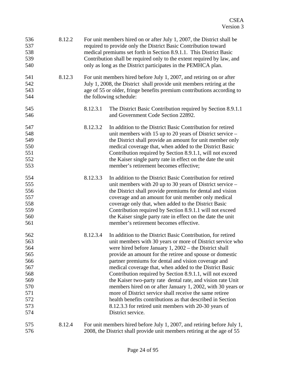| 536<br>537<br>538<br>539<br>540                                                         | 8.12.2 |          | For unit members hired on or after July 1, 2007, the District shall be<br>required to provide only the District Basic Contribution toward<br>medical premiums set forth in Section 8.9.1.1. This District Basic<br>Contribution shall be required only to the extent required by law, and<br>only as long as the District participates in the PEMHCA plan.                                                                                                                                                                                                                                                                                                                                                                                                            |
|-----------------------------------------------------------------------------------------|--------|----------|-----------------------------------------------------------------------------------------------------------------------------------------------------------------------------------------------------------------------------------------------------------------------------------------------------------------------------------------------------------------------------------------------------------------------------------------------------------------------------------------------------------------------------------------------------------------------------------------------------------------------------------------------------------------------------------------------------------------------------------------------------------------------|
| 541<br>542<br>543<br>544                                                                | 8.12.3 |          | For unit members hired before July 1, 2007, and retiring on or after<br>July 1, 2008, the District shall provide unit members retiring at the<br>age of 55 or older, fringe benefits premium contributions according to<br>the following schedule:                                                                                                                                                                                                                                                                                                                                                                                                                                                                                                                    |
| 545<br>546                                                                              |        | 8.12.3.1 | The District Basic Contribution required by Section 8.9.1.1<br>and Government Code Section 22892.                                                                                                                                                                                                                                                                                                                                                                                                                                                                                                                                                                                                                                                                     |
| 547<br>548<br>549<br>550<br>551<br>552<br>553                                           |        | 8.12.3.2 | In addition to the District Basic Contribution for retired<br>unit members with 15 up to 20 years of District service $-$<br>the District shall provide an amount for unit member only<br>medical coverage that, when added to the District Basic<br>Contribution required by Section 8.9.1.1, will not exceed<br>the Kaiser single party rate in effect on the date the unit<br>member's retirement becomes effective;                                                                                                                                                                                                                                                                                                                                               |
| 554<br>555<br>556<br>557<br>558<br>559<br>560<br>561                                    |        | 8.12.3.3 | In addition to the District Basic Contribution for retired<br>unit members with 20 up to 30 years of District service $-$<br>the District shall provide premiums for dental and vision<br>coverage and an amount for unit member only medical<br>coverage only that, when added to the District Basic<br>Contribution required by Section 8.9.1.1 will not exceed<br>the Kaiser single party rate in effect on the date the unit<br>member's retirement becomes effective.                                                                                                                                                                                                                                                                                            |
| 562<br>563<br>564<br>565<br>566<br>567<br>568<br>569<br>570<br>571<br>572<br>573<br>574 |        | 8.12.3.4 | In addition to the District Basic Contribution, for retired<br>unit members with 30 years or more of District service who<br>were hired before January 1, $2002$ – the District shall<br>provide an amount for the retiree and spouse or domestic<br>partner premiums for dental and vision coverage and<br>medical coverage that, when added to the District Basic<br>Contribution required by Section 8.9.1.1, will not exceed<br>the Kaiser two-party rate dental rate, and vision rate Unit<br>members hired on or after January 1, 2002, with 30 years or<br>more of District service shall receive the same retiree<br>health benefits contributions as that described in Section<br>8.12.3.3 for retired unit members with 20-30 years of<br>District service. |
| 575<br>576                                                                              | 8.12.4 |          | For unit members hired before July 1, 2007, and retiring before July 1,<br>2008, the District shall provide unit members retiring at the age of 55                                                                                                                                                                                                                                                                                                                                                                                                                                                                                                                                                                                                                    |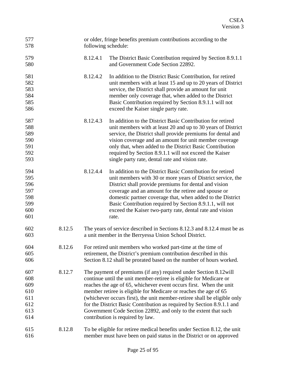| 577<br>578                                           |        | following schedule: | or older, fringe benefits premium contributions according to the                                                                                                                                                                                                                                                                                                                                                                                                                                                                               |
|------------------------------------------------------|--------|---------------------|------------------------------------------------------------------------------------------------------------------------------------------------------------------------------------------------------------------------------------------------------------------------------------------------------------------------------------------------------------------------------------------------------------------------------------------------------------------------------------------------------------------------------------------------|
| 579<br>580                                           |        | 8.12.4.1            | The District Basic Contribution required by Section 8.9.1.1<br>and Government Code Section 22892.                                                                                                                                                                                                                                                                                                                                                                                                                                              |
| 581<br>582<br>583<br>584<br>585<br>586               |        | 8.12.4.2            | In addition to the District Basic Contribution, for retired<br>unit members with at least 15 and up to 20 years of District<br>service, the District shall provide an amount for unit<br>member only coverage that, when added to the District<br>Basic Contribution required by Section 8.9.1.1 will not<br>exceed the Kaiser single party rate.                                                                                                                                                                                              |
| 587<br>588<br>589<br>590<br>591<br>592<br>593        |        | 8.12.4.3            | In addition to the District Basic Contribution for retired<br>unit members with at least 20 and up to 30 years of District<br>service, the District shall provide premiums for dental and<br>vision coverage and an amount for unit member coverage<br>only that, when added to the District Basic Contribution<br>required by Section 8.9.1.1 will not exceed the Kaiser<br>single party rate, dental rate and vision rate.                                                                                                                   |
| 594<br>595<br>596<br>597<br>598<br>599<br>600<br>601 |        | 8.12.4.4            | In addition to the District Basic Contribution for retired<br>unit members with 30 or more years of District service, the<br>District shall provide premiums for dental and vision<br>coverage and an amount for the retiree and spouse or<br>domestic partner coverage that, when added to the District<br>Basic Contribution required by Section 8.9.1.1, will not<br>exceed the Kaiser two-party rate, dental rate and vision<br>rate.                                                                                                      |
| 602<br>603                                           | 8.12.5 |                     | The years of service described in Sections 8.12.3 and 8.12.4 must be as<br>a unit member in the Berryessa Union School District.                                                                                                                                                                                                                                                                                                                                                                                                               |
| 604<br>605<br>606                                    | 8.12.6 |                     | For retired unit members who worked part-time at the time of<br>retirement, the District's premium contribution described in this<br>Section 8.12 shall be prorated based on the number of hours worked.                                                                                                                                                                                                                                                                                                                                       |
| 607<br>608<br>609<br>610<br>611<br>612<br>613<br>614 | 8.12.7 |                     | The payment of premiums (if any) required under Section 8.12 will<br>continue until the unit member-retiree is eligible for Medicare or<br>reaches the age of 65, whichever event occurs first. When the unit<br>member retiree is eligible for Medicare or reaches the age of 65<br>(whichever occurs first), the unit member-retiree shall be eligible only<br>for the District Basic Contribution as required by Section 8.9.1.1 and<br>Government Code Section 22892, and only to the extent that such<br>contribution is required by law. |
| 615<br>616                                           | 8.12.8 |                     | To be eligible for retiree medical benefits under Section 8.12, the unit<br>member must have been on paid status in the District or on approved                                                                                                                                                                                                                                                                                                                                                                                                |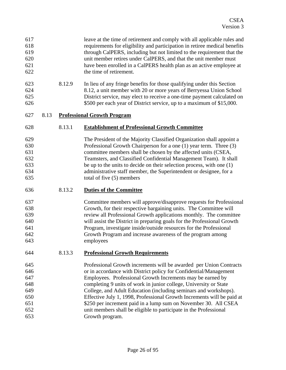<span id="page-25-0"></span>

| 617<br>618<br>619<br>620<br>621<br>622                      |      |        | leave at the time of retirement and comply with all applicable rules and<br>requirements for eligibility and participation in retiree medical benefits<br>through CalPERS, including but not limited to the requirement that the<br>unit member retires under CalPERS, and that the unit member must<br>have been enrolled in a CalPERS health plan as an active employee at<br>the time of retirement.                                                                                                                                                                             |
|-------------------------------------------------------------|------|--------|-------------------------------------------------------------------------------------------------------------------------------------------------------------------------------------------------------------------------------------------------------------------------------------------------------------------------------------------------------------------------------------------------------------------------------------------------------------------------------------------------------------------------------------------------------------------------------------|
| 623<br>624<br>625<br>626                                    |      | 8.12.9 | In lieu of any fringe benefits for those qualifying under this Section<br>8.12, a unit member with 20 or more years of Berryessa Union School<br>District service, may elect to receive a one-time payment calculated on<br>\$500 per each year of District service, up to a maximum of \$15,000.                                                                                                                                                                                                                                                                                   |
| 627                                                         | 8.13 |        | <b>Professional Growth Program</b>                                                                                                                                                                                                                                                                                                                                                                                                                                                                                                                                                  |
| 628                                                         |      | 8.13.1 | <b>Establishment of Professional Growth Committee</b>                                                                                                                                                                                                                                                                                                                                                                                                                                                                                                                               |
| 629<br>630<br>631<br>632<br>633<br>634<br>635               |      |        | The President of the Majority Classified Organization shall appoint a<br>Professional Growth Chairperson for a one (1) year term. Three (3)<br>committee members shall be chosen by the affected units (CSEA,<br>Teamsters, and Classified Confidential Management Team). It shall<br>be up to the units to decide on their selection process, with one $(1)$<br>administrative staff member, the Superintendent or designee, for a<br>total of five (5) members                                                                                                                    |
| 636                                                         |      | 8.13.2 | <b>Duties of the Committee</b>                                                                                                                                                                                                                                                                                                                                                                                                                                                                                                                                                      |
| 637<br>638<br>639<br>640<br>641<br>642<br>643               |      |        | Committee members will approve/disapprove requests for Professional<br>Growth, for their respective bargaining units. The Committee will<br>review all Professional Growth applications monthly. The committee<br>will assist the District in preparing goals for the Professional Growth<br>Program, investigate inside/outside resources for the Professional<br>Growth Program and increase awareness of the program among<br>employees                                                                                                                                          |
| 644                                                         |      | 8.13.3 | <b>Professional Growth Requirements</b>                                                                                                                                                                                                                                                                                                                                                                                                                                                                                                                                             |
| 645<br>646<br>647<br>648<br>649<br>650<br>651<br>652<br>653 |      |        | Professional Growth increments will be awarded per Union Contracts<br>or in accordance with District policy for Confidential/Management<br>Employees. Professional Growth Increments may be earned by<br>completing 9 units of work in junior college, University or State<br>College, and Adult Education (including seminars and workshops).<br>Effective July 1, 1998, Professional Growth Increments will be paid at<br>\$250 per increment paid in a lump sum on November 30. All CSEA<br>unit members shall be eligible to participate in the Professional<br>Growth program. |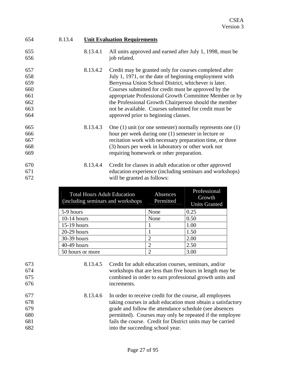<span id="page-26-0"></span>

| 654 | 8.13.4 | <b>Unit Evaluation Requirements</b> |                                                                |  |  |
|-----|--------|-------------------------------------|----------------------------------------------------------------|--|--|
| 655 |        | 8.13.4.1                            | All units approved and earned after July 1, 1998, must be      |  |  |
| 656 |        |                                     | job related.                                                   |  |  |
| 657 |        | 8.13.4.2                            | Credit may be granted only for courses completed after         |  |  |
| 658 |        |                                     | July 1, 1971, or the date of beginning employment with         |  |  |
| 659 |        |                                     | Berryessa Union School District, whichever is later.           |  |  |
| 660 |        |                                     | Courses submitted for credit must be approved by the           |  |  |
| 661 |        |                                     | appropriate Professional Growth Committee Member or by         |  |  |
| 662 |        |                                     | the Professional Growth Chairperson should the member          |  |  |
| 663 |        |                                     | not be available. Courses submitted for credit must be         |  |  |
| 664 |        |                                     | approved prior to beginning classes.                           |  |  |
| 665 |        | 8.13.4.3                            | One $(1)$ unit (or one semester) normally represents one $(1)$ |  |  |
| 666 |        |                                     | hour per week during one (1) semester in lecture or            |  |  |
| 667 |        |                                     | recitation work with necessary preparation time, or three      |  |  |
| 668 |        |                                     | (3) hours per week in laboratory or other work not             |  |  |
| 669 |        |                                     | requiring homework or other preparation.                       |  |  |
| 670 |        | 8.13.4.4                            | Credit for classes in adult education or other approved        |  |  |
| 671 |        |                                     | education experience (including seminars and workshops)        |  |  |
| 672 |        |                                     | will be granted as follows:                                    |  |  |

| <b>Total Hours Adult Education</b><br>(including seminars and workshops) | Absences<br>Permitted | Professional<br>Growth<br><b>Units Granted</b> |
|--------------------------------------------------------------------------|-----------------------|------------------------------------------------|
| 5-9 hours                                                                | None                  | 0.25                                           |
| $10-14$ hours                                                            | None                  | 0.50                                           |
| $15-19$ hours                                                            |                       | 1.00                                           |
| $20-29$ hours                                                            |                       | 1.50                                           |
| 30-39 hours                                                              | 2                     | 2.00                                           |
| 40-49 hours                                                              | 2                     | 2.50                                           |
| 50 hours or more                                                         | 2                     | 3.00                                           |

673 674

675 676

- 8.13.4.5 Credit for adult education courses, seminars, and/or workshops that are less than five hours in length may be combined in order to earn professional growth units and increments.
- 8.13.4.6 In order to receive credit for the course, all employees taking courses in adult education must obtain a satisfactory grade and follow the attendance schedule (see absences permitted). Courses may only be repeated if the employee fails the course. Credit for District units may be carried into the succeeding school year.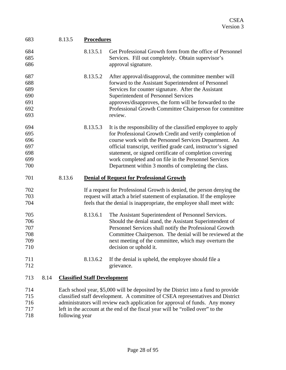<span id="page-27-0"></span>

| 683 |      | 8.13.5 | <b>Procedures</b>                   |                                                                                    |  |
|-----|------|--------|-------------------------------------|------------------------------------------------------------------------------------|--|
| 684 |      |        | 8.13.5.1                            | Get Professional Growth form from the office of Personnel                          |  |
| 685 |      |        |                                     | Services. Fill out completely. Obtain supervisor's                                 |  |
| 686 |      |        |                                     | approval signature.                                                                |  |
| 687 |      |        | 8.13.5.2                            | After approval/disapproval, the committee member will                              |  |
| 688 |      |        |                                     | forward to the Assistant Superintendent of Personnel                               |  |
| 689 |      |        |                                     | Services for counter signature. After the Assistant                                |  |
| 690 |      |        |                                     | Superintendent of Personnel Services                                               |  |
| 691 |      |        |                                     | approves/disapproves, the form will be forwarded to the                            |  |
| 692 |      |        |                                     | Professional Growth Committee Chairperson for committee                            |  |
| 693 |      |        |                                     | review.                                                                            |  |
| 694 |      |        | 8.13.5.3                            | It is the responsibility of the classified employee to apply                       |  |
| 695 |      |        |                                     | for Professional Growth Credit and verify completion of                            |  |
| 696 |      |        |                                     | course work with the Personnel Services Department. An                             |  |
| 697 |      |        |                                     | official transcript, verified grade card, instructor's signed                      |  |
| 698 |      |        |                                     | statement, or signed certificate of completion covering                            |  |
| 699 |      |        |                                     | work completed and on file in the Personnel Services                               |  |
| 700 |      |        |                                     | Department within 3 months of completing the class.                                |  |
| 701 |      | 8.13.6 |                                     | <b>Denial of Request for Professional Growth</b>                                   |  |
| 702 |      |        |                                     | If a request for Professional Growth is denied, the person denying the             |  |
| 703 |      |        |                                     | request will attach a brief statement of explanation. If the employee              |  |
| 704 |      |        |                                     | feels that the denial is inappropriate, the employee shall meet with:              |  |
| 705 |      |        | 8.13.6.1                            | The Assistant Superintendent of Personnel Services.                                |  |
| 706 |      |        |                                     | Should the denial stand, the Assistant Superintendent of                           |  |
| 707 |      |        |                                     | Personnel Services shall notify the Professional Growth                            |  |
| 708 |      |        |                                     | Committee Chairperson. The denial will be reviewed at the                          |  |
| 709 |      |        |                                     | next meeting of the committee, which may overturn the                              |  |
| 710 |      |        |                                     | decision or uphold it.                                                             |  |
| 711 |      |        | 8.13.6.2                            | If the denial is upheld, the employee should file a                                |  |
| 712 |      |        |                                     | grievance.                                                                         |  |
| 713 | 8.14 |        | <b>Classified Staff Development</b> |                                                                                    |  |
| 714 |      |        |                                     | Each school year, \$5,000 will be deposited by the District into a fund to provide |  |
| 715 |      |        |                                     | classified staff development. A committee of CSEA representatives and District     |  |
| 716 |      |        |                                     | administrators will review each application for approval of funds. Any money       |  |
| 717 |      |        |                                     | left in the account at the end of the fiscal year will be "rolled over" to the     |  |

718 following year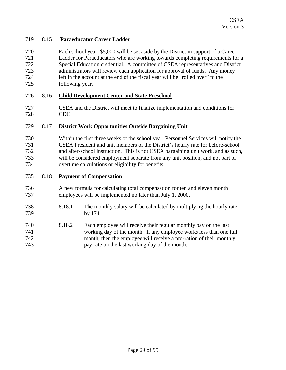#### <span id="page-28-0"></span>719 8.15 **Paraeducator Career Ladder**

720 721 722 723 724 725 Each school year, \$5,000 will be set aside by the District in support of a Career Ladder for Paraeducators who are working towards completing requirements for a Special Education credential. A committee of CSEA representatives and District administrators will review each application for approval of funds. Any money left in the account at the end of the fiscal year will be "rolled over" to the following year.

#### 726 8.16 **Child Development Center and State Preschool**

727 728 CSEA and the District will meet to finalize implementation and conditions for CDC.

#### 729 8.17 **District Work Opportunities Outside Bargaining Unit**

730 731 732 733 734 Within the first three weeks of the school year, Personnel Services will notify the CSEA President and unit members of the District's hourly rate for before-school and after-school instruction. This is not CSEA bargaining unit work, and as such, will be considered employment separate from any unit position, and not part of overtime calculations or eligibility for benefits.

#### 735 8.18 **Payment of Compensation**

- 736 737 A new formula for calculating total compensation for ten and eleven month employees will be implemented no later than July 1, 2000.
- 738 739 8.18.1 The monthly salary will be calculated by multiplying the hourly rate by 174.
- 740 741 742 743 8.18.2 Each employee will receive their regular monthly pay on the last working day of the month. If any employee works less than one full month, then the employee will receive a pro-ration of their monthly pay rate on the last working day of the month.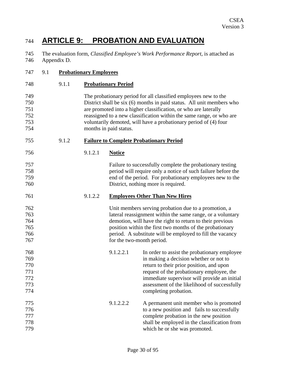### <span id="page-29-0"></span>744 **ARTICLE 9: PROBATION AND EVALUATION**

745 746 The evaluation form, *Classified Employee's Work Performance Report*, is attached as Appendix D.

| 747                                           | 9.1 |       | <b>Probationary Employees</b> |                            |                                                                                                                                                                                                                                                                                                                                                         |  |
|-----------------------------------------------|-----|-------|-------------------------------|----------------------------|---------------------------------------------------------------------------------------------------------------------------------------------------------------------------------------------------------------------------------------------------------------------------------------------------------------------------------------------------------|--|
| 748                                           |     | 9.1.1 |                               | <b>Probationary Period</b> |                                                                                                                                                                                                                                                                                                                                                         |  |
| 749<br>750<br>751<br>752<br>753<br>754        |     |       |                               | months in paid status.     | The probationary period for all classified employees new to the<br>District shall be six (6) months in paid status. All unit members who<br>are promoted into a higher classification, or who are laterally<br>reassigned to a new classification within the same range, or who are<br>voluntarily demoted, will have a probationary period of (4) four |  |
| 755                                           |     | 9.1.2 |                               |                            | <b>Failure to Complete Probationary Period</b>                                                                                                                                                                                                                                                                                                          |  |
| 756                                           |     |       | 9.1.2.1                       | <b>Notice</b>              |                                                                                                                                                                                                                                                                                                                                                         |  |
| 757<br>758<br>759<br>760                      |     |       |                               |                            | Failure to successfully complete the probationary testing<br>period will require only a notice of such failure before the<br>end of the period. For probationary employees new to the<br>District, nothing more is required.                                                                                                                            |  |
| 761                                           |     |       | 9.1.2.2                       |                            | <b>Employees Other Than New Hires</b>                                                                                                                                                                                                                                                                                                                   |  |
| 762<br>763<br>764<br>765<br>766<br>767        |     |       |                               | for the two-month period.  | Unit members serving probation due to a promotion, a<br>lateral reassignment within the same range, or a voluntary<br>demotion, will have the right to return to their previous<br>position within the first two months of the probationary<br>period. A substitute will be employed to fill the vacancy                                                |  |
| 768<br>769<br>770<br>771<br>772<br>773<br>774 |     |       |                               | 9.1.2.2.1                  | In order to assist the probationary employee<br>in making a decision whether or not to<br>return to their prior position, and upon<br>request of the probationary employee, the<br>immediate supervisor will provide an initial<br>assessment of the likelihood of successfully<br>completing probation.                                                |  |
| 775<br>776<br>777<br>778<br>779               |     |       |                               | 9.1.2.2.2                  | A permanent unit member who is promoted<br>to a new position and fails to successfully<br>complete probation in the new position<br>shall be employed in the classification from<br>which he or she was promoted.                                                                                                                                       |  |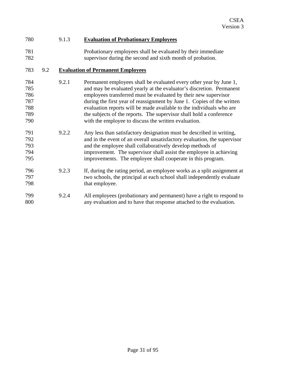#### <span id="page-30-0"></span>780 9.1.3 **Evaluation of Probationary Employees**

781 782 Probationary employees shall be evaluated by their immediate supervisor during the second and sixth month of probation.

#### 783 9.2 **Evaluation of Permanent Employees**

- 784 785 786 787 788 789 790 9.2.1 Permanent employees shall be evaluated every other year by June 1, and may be evaluated yearly at the evaluator's discretion. Permanent employees transferred must be evaluated by their new supervisor during the first year of reassignment by June 1. Copies of the written evaluation reports will be made available to the individuals who are the subjects of the reports. The supervisor shall hold a conference with the employee to discuss the written evaluation.
- 791 792 793 794 795 9.2.2 Any less than satisfactory designation must be described in writing, and in the event of an overall unsatisfactory evaluation, the supervisor and the employee shall collaboratively develop methods of improvement. The supervisor shall assist the employee in achieving improvements. The employee shall cooperate in this program.
- 796 797 798 9.2.3 If, during the rating period, an employee works as a split assignment at two schools, the principal at each school shall independently evaluate that employee.
- 799 800 9.2.4 All employees (probationary and permanent) have a right to respond to any evaluation and to have that response attached to the evaluation.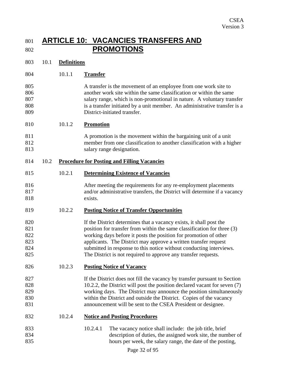### <span id="page-31-0"></span>801 **ARTICLE 10: VACANCIES TRANSFERS AND**  802 **PROMOTIONS**

| 803 | 10.1 | <b>Definitions</b> |
|-----|------|--------------------|
|-----|------|--------------------|

- 804 10.1.1 **Transfer**
- 805 806 807 808 809 A transfer is the movement of an employee from one work site to another work site within the same classification or within the same salary range, which is non-promotional in nature. A voluntary transfer is a transfer initiated by a unit member. An administrative transfer is a District-initiated transfer.
- 810 10.1.2 **Promotion**
- 811 812 813 A promotion is the movement within the bargaining unit of a unit member from one classification to another classification with a higher salary range designation.

#### 814 10.2 **Procedure for Posting and Filling Vacancies**

- 815 10.2.1 **Determining Existence of Vacancies**
- 816 817 818 After meeting the requirements for any re-employment placements and/or administrative transfers, the District will determine if a vacancy exists.

#### 819 10.2.2 **Posting Notice of Transfer Opportunities**

- 820 821 822 823 824 825 If the District determines that a vacancy exists, it shall post the position for transfer from within the same classification for three (3) working days before it posts the position for promotion of other applicants. The District may approve a written transfer request submitted in response to this notice without conducting interviews. The District is not required to approve any transfer requests.
- 826 10.2.3 **Posting Notice of Vacancy**
- 827 828 829 830 831 If the District does not fill the vacancy by transfer pursuant to Section 10.2.2, the District will post the position declared vacant for seven (7) working days. The District may announce the position simultaneously within the District and outside the District. Copies of the vacancy announcement will be sent to the CSEA President or designee.
- 832 10.2.4 **Notice and Posting Procedures**
- 833 834 835 10.2.4.1 The vacancy notice shall include: the job title, brief description of duties, the assigned work site, the number of hours per week, the salary range, the date of the posting,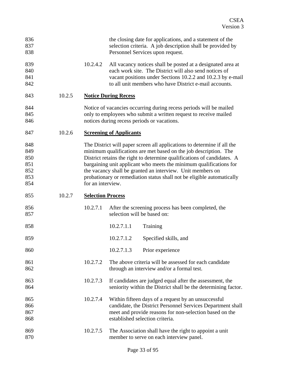<span id="page-32-0"></span>

| 836<br>837<br>838                             |        |                          | the closing date for applications, and a statement of the<br>selection criteria. A job description shall be provided by<br>Personnel Services upon request.                                                                                                                                                                                                                                                                          |
|-----------------------------------------------|--------|--------------------------|--------------------------------------------------------------------------------------------------------------------------------------------------------------------------------------------------------------------------------------------------------------------------------------------------------------------------------------------------------------------------------------------------------------------------------------|
| 839<br>840<br>841<br>842                      |        | 10.2.4.2                 | All vacancy notices shall be posted at a designated area at<br>each work site. The District will also send notices of<br>vacant positions under Sections 10.2.2 and 10.2.3 by e-mail<br>to all unit members who have District e-mail accounts.                                                                                                                                                                                       |
| 843                                           | 10.2.5 |                          | <b>Notice During Recess</b>                                                                                                                                                                                                                                                                                                                                                                                                          |
| 844<br>845<br>846                             |        |                          | Notice of vacancies occurring during recess periods will be mailed<br>only to employees who submit a written request to receive mailed<br>notices during recess periods or vacations.                                                                                                                                                                                                                                                |
| 847                                           | 10.2.6 |                          | <b>Screening of Applicants</b>                                                                                                                                                                                                                                                                                                                                                                                                       |
| 848<br>849<br>850<br>851<br>852<br>853<br>854 |        | for an interview.        | The District will paper screen all applications to determine if all the<br>minimum qualifications are met based on the job description. The<br>District retains the right to determine qualifications of candidates. A<br>bargaining unit applicant who meets the minimum qualifications for<br>the vacancy shall be granted an interview. Unit members on<br>probationary or remediation status shall not be eligible automatically |
| 855                                           | 10.2.7 | <b>Selection Process</b> |                                                                                                                                                                                                                                                                                                                                                                                                                                      |
| 856<br>857                                    |        | 10.2.7.1                 | After the screening process has been completed, the<br>selection will be based on:                                                                                                                                                                                                                                                                                                                                                   |
| 858                                           |        |                          |                                                                                                                                                                                                                                                                                                                                                                                                                                      |
|                                               |        |                          | 10.2.7.1.1<br>Training                                                                                                                                                                                                                                                                                                                                                                                                               |
| 859                                           |        |                          | 10.2.7.1.2<br>Specified skills, and                                                                                                                                                                                                                                                                                                                                                                                                  |
| 860                                           |        |                          | 10.2.7.1.3<br>Prior experience                                                                                                                                                                                                                                                                                                                                                                                                       |
| 861<br>862                                    |        | 10.2.7.2                 | The above criteria will be assessed for each candidate<br>through an interview and/or a formal test.                                                                                                                                                                                                                                                                                                                                 |
| 863<br>864                                    |        | 10.2.7.3                 | If candidates are judged equal after the assessment, the<br>seniority within the District shall be the determining factor.                                                                                                                                                                                                                                                                                                           |
| 865<br>866<br>867<br>868                      |        | 10.2.7.4                 | Within fifteen days of a request by an unsuccessful<br>candidate, the District Personnel Services Department shall<br>meet and provide reasons for non-selection based on the<br>established selection criteria.                                                                                                                                                                                                                     |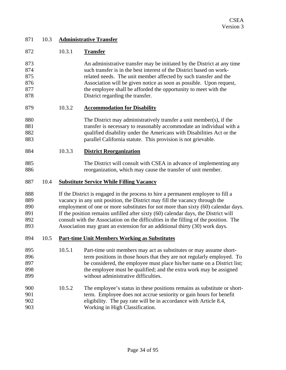<span id="page-33-0"></span>

| 871 | 10.3 | <b>Administrative Transfer</b> |
|-----|------|--------------------------------|
|-----|------|--------------------------------|

| 872                                    |      | 10.3.1                                                                                                                                                                                                                                                                                                                                                                                                                                                                                                            | <b>Transfer</b>                                                                                                                                                                                                                                                                                                                                                                                   |  |  |  |  |
|----------------------------------------|------|-------------------------------------------------------------------------------------------------------------------------------------------------------------------------------------------------------------------------------------------------------------------------------------------------------------------------------------------------------------------------------------------------------------------------------------------------------------------------------------------------------------------|---------------------------------------------------------------------------------------------------------------------------------------------------------------------------------------------------------------------------------------------------------------------------------------------------------------------------------------------------------------------------------------------------|--|--|--|--|
| 873<br>874<br>875<br>876<br>877<br>878 |      |                                                                                                                                                                                                                                                                                                                                                                                                                                                                                                                   | An administrative transfer may be initiated by the District at any time<br>such transfer is in the best interest of the District based on work-<br>related needs. The unit member affected by such transfer and the<br>Association will be given notice as soon as possible. Upon request,<br>the employee shall be afforded the opportunity to meet with the<br>District regarding the transfer. |  |  |  |  |
| 879                                    |      | 10.3.2                                                                                                                                                                                                                                                                                                                                                                                                                                                                                                            | <b>Accommodation for Disability</b>                                                                                                                                                                                                                                                                                                                                                               |  |  |  |  |
| 880<br>881<br>882<br>883               |      |                                                                                                                                                                                                                                                                                                                                                                                                                                                                                                                   | The District may administratively transfer a unit member(s), if the<br>transfer is necessary to reasonably accommodate an individual with a<br>qualified disability under the Americans with Disabilities Act or the<br>parallel California statute. This provision is not grievable.                                                                                                             |  |  |  |  |
| 884                                    |      | 10.3.3                                                                                                                                                                                                                                                                                                                                                                                                                                                                                                            | <b>District Reorganization</b>                                                                                                                                                                                                                                                                                                                                                                    |  |  |  |  |
| 885<br>886                             |      |                                                                                                                                                                                                                                                                                                                                                                                                                                                                                                                   | The District will consult with CSEA in advance of implementing any<br>reorganization, which may cause the transfer of unit member.                                                                                                                                                                                                                                                                |  |  |  |  |
| 887                                    | 10.4 | <b>Substitute Service While Filling Vacancy</b>                                                                                                                                                                                                                                                                                                                                                                                                                                                                   |                                                                                                                                                                                                                                                                                                                                                                                                   |  |  |  |  |
| 888<br>889<br>890<br>891<br>892<br>893 |      | If the District is engaged in the process to hire a permanent employee to fill a<br>vacancy in any unit position, the District may fill the vacancy through the<br>employment of one or more substitutes for not more than sixty (60) calendar days.<br>If the position remains unfilled after sixty (60) calendar days, the District will<br>consult with the Association on the difficulties in the filling of the position. The<br>Association may grant an extension for an additional thirty (30) work days. |                                                                                                                                                                                                                                                                                                                                                                                                   |  |  |  |  |
| 894                                    | 10.5 | <b>Part-time Unit Members Working as Substitutes</b>                                                                                                                                                                                                                                                                                                                                                                                                                                                              |                                                                                                                                                                                                                                                                                                                                                                                                   |  |  |  |  |
| 895<br>896<br>897<br>898<br>899        |      | 10.5.1                                                                                                                                                                                                                                                                                                                                                                                                                                                                                                            | Part-time unit members may act as substitutes or may assume short-<br>term positions in those hours that they are not regularly employed. To<br>be considered, the employee must place his/her name on a District list;<br>the employee must be qualified; and the extra work may be assigned<br>without administrative difficulties.                                                             |  |  |  |  |
| 900<br>901<br>902<br>903               |      | 10.5.2                                                                                                                                                                                                                                                                                                                                                                                                                                                                                                            | The employee's status in these positions remains as substitute or short-<br>term. Employee does not accrue seniority or gain hours for benefit<br>eligibility. The pay rate will be in accordance with Article 8.4,<br>Working in High Classification.                                                                                                                                            |  |  |  |  |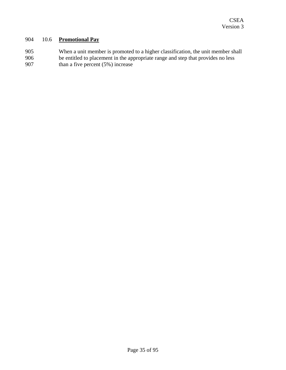#### <span id="page-34-0"></span>904 10.6 **Promotional Pay**

905 906 907 When a unit member is promoted to a higher classification, the unit member shall be entitled to placement in the appropriate range and step that provides no less than a five percent (5%) increase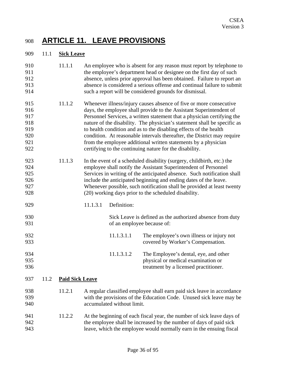### <span id="page-35-0"></span>908 **ARTICLE 11. LEAVE PROVISIONS**

#### 909 11.1 **Sick Leave**

| 910<br>911<br>912<br>913<br>914                      |      | 11.1.1                 |                                                                                                                                                                                                                                                                                                                                                                                                                                                                                                                                                                               |                                                                                         | An employee who is absent for any reason must report by telephone to<br>the employee's department head or designee on the first day of such<br>absence, unless prior approval has been obtained. Failure to report an<br>absence is considered a serious offense and continual failure to submit<br>such a report will be considered grounds for dismissal. |  |  |  |
|------------------------------------------------------|------|------------------------|-------------------------------------------------------------------------------------------------------------------------------------------------------------------------------------------------------------------------------------------------------------------------------------------------------------------------------------------------------------------------------------------------------------------------------------------------------------------------------------------------------------------------------------------------------------------------------|-----------------------------------------------------------------------------------------|-------------------------------------------------------------------------------------------------------------------------------------------------------------------------------------------------------------------------------------------------------------------------------------------------------------------------------------------------------------|--|--|--|
| 915<br>916<br>917<br>918<br>919<br>920<br>921<br>922 |      | 11.1.2                 | Whenever illness/injury causes absence of five or more consecutive<br>days, the employee shall provide to the Assistant Superintendent of<br>Personnel Services, a written statement that a physician certifying the<br>nature of the disability. The physician's statement shall be specific as<br>to health condition and as to the disabling effects of the health<br>condition. At reasonable intervals thereafter, the District may require<br>from the employee additional written statements by a physician<br>certifying to the continuing nature for the disability. |                                                                                         |                                                                                                                                                                                                                                                                                                                                                             |  |  |  |
| 923<br>924<br>925<br>926<br>927<br>928               |      | 11.1.3                 | In the event of a scheduled disability (surgery, childbirth, etc.) the<br>employee shall notify the Assistant Superintendent of Personnel<br>Services in writing of the anticipated absence. Such notification shall<br>include the anticipated beginning and ending dates of the leave.<br>Whenever possible, such notification shall be provided at least twenty<br>(20) working days prior to the scheduled disability.                                                                                                                                                    |                                                                                         |                                                                                                                                                                                                                                                                                                                                                             |  |  |  |
| 929                                                  |      |                        | 11.1.3.1                                                                                                                                                                                                                                                                                                                                                                                                                                                                                                                                                                      | Definition:                                                                             |                                                                                                                                                                                                                                                                                                                                                             |  |  |  |
| 930<br>931                                           |      |                        |                                                                                                                                                                                                                                                                                                                                                                                                                                                                                                                                                                               | Sick Leave is defined as the authorized absence from duty<br>of an employee because of: |                                                                                                                                                                                                                                                                                                                                                             |  |  |  |
| 932<br>933                                           |      |                        |                                                                                                                                                                                                                                                                                                                                                                                                                                                                                                                                                                               | 11.1.3.1.1                                                                              | The employee's own illness or injury not<br>covered by Worker's Compensation.                                                                                                                                                                                                                                                                               |  |  |  |
| 934<br>935<br>936                                    |      |                        |                                                                                                                                                                                                                                                                                                                                                                                                                                                                                                                                                                               | 11.1.3.1.2                                                                              | The Employee's dental, eye, and other<br>physical or medical examination or<br>treatment by a licensed practitioner.                                                                                                                                                                                                                                        |  |  |  |
| 937                                                  | 11.2 | <b>Paid Sick Leave</b> |                                                                                                                                                                                                                                                                                                                                                                                                                                                                                                                                                                               |                                                                                         |                                                                                                                                                                                                                                                                                                                                                             |  |  |  |
| 938<br>939<br>940                                    |      | 11.2.1                 | A regular classified employee shall earn paid sick leave in accordance<br>with the provisions of the Education Code. Unused sick leave may be<br>accumulated without limit.                                                                                                                                                                                                                                                                                                                                                                                                   |                                                                                         |                                                                                                                                                                                                                                                                                                                                                             |  |  |  |
| 941<br>942<br>943                                    |      | 11.2.2                 | At the beginning of each fiscal year, the number of sick leave days of<br>the employee shall be increased by the number of days of paid sick<br>leave, which the employee would normally earn in the ensuing fiscal                                                                                                                                                                                                                                                                                                                                                           |                                                                                         |                                                                                                                                                                                                                                                                                                                                                             |  |  |  |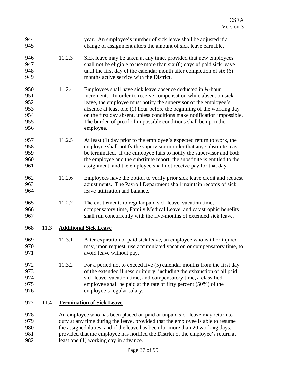| 944<br>945                                    |      |        | year. An employee's number of sick leave shall be adjusted if a<br>change of assignment alters the amount of sick leave earnable.                                                                                                                                                                                                                                                                                                         |
|-----------------------------------------------|------|--------|-------------------------------------------------------------------------------------------------------------------------------------------------------------------------------------------------------------------------------------------------------------------------------------------------------------------------------------------------------------------------------------------------------------------------------------------|
| 946<br>947<br>948<br>949                      |      | 11.2.3 | Sick leave may be taken at any time, provided that new employees<br>shall not be eligible to use more than six (6) days of paid sick leave<br>until the first day of the calendar month after completion of six (6)<br>months active service with the District.                                                                                                                                                                           |
| 950<br>951<br>952<br>953<br>954<br>955<br>956 |      | 11.2.4 | Employees shall have sick leave absence deducted in 1/4-hour<br>increments. In order to receive compensation while absent on sick<br>leave, the employee must notify the supervisor of the employee's<br>absence at least one (1) hour before the beginning of the working day<br>on the first day absent, unless conditions make notification impossible.<br>The burden of proof of impossible conditions shall be upon the<br>employee. |
| 957<br>958<br>959<br>960<br>961               |      | 11.2.5 | At least (1) day prior to the employee's expected return to work, the<br>employee shall notify the supervisor in order that any substitute may<br>be terminated. If the employee fails to notify the supervisor and both<br>the employee and the substitute report, the substitute is entitled to the<br>assignment, and the employee shall not receive pay for that day.                                                                 |
| 962<br>963<br>964                             |      | 11.2.6 | Employees have the option to verify prior sick leave credit and request<br>adjustments. The Payroll Department shall maintain records of sick<br>leave utilization and balance.                                                                                                                                                                                                                                                           |
| 965<br>966<br>967                             |      | 11.2.7 | The entitlements to regular paid sick leave, vacation time,<br>compensatory time, Family Medical Leave, and catastrophic benefits<br>shall run concurrently with the five-months of extended sick leave.                                                                                                                                                                                                                                  |
| 968                                           | 11.3 |        | <b>Additional Sick Leave</b>                                                                                                                                                                                                                                                                                                                                                                                                              |
| 969<br>970<br>971                             |      | 11.3.1 | After expiration of paid sick leave, an employee who is ill or injured<br>may, upon request, use accumulated vacation or compensatory time, to<br>avoid leave without pay.                                                                                                                                                                                                                                                                |
| 972<br>973<br>974<br>975<br>976               |      | 11.3.2 | For a period not to exceed five $(5)$ calendar months from the first day<br>of the extended illness or injury, including the exhaustion of all paid<br>sick leave, vacation time, and compensatory time, a classified<br>employee shall be paid at the rate of fifty percent (50%) of the<br>employee's regular salary.                                                                                                                   |
| 977                                           | 11.4 |        | <b>Termination of Sick Leave</b>                                                                                                                                                                                                                                                                                                                                                                                                          |
| 978<br>979<br>$\Omega$                        |      |        | An employee who has been placed on paid or unpaid sick leave may return to<br>duty at any time during the leave, provided that the employee is able to resume                                                                                                                                                                                                                                                                             |

- 980 981 the assigned duties, and if the leave has been for more than 20 working days, provided that the employee has notified the District of the employee's return at
- 982 least one (1) working day in advance.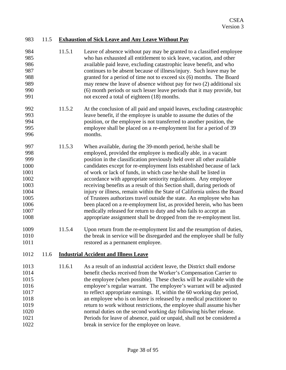|  |  |  | 983 11.5 Exhaustion of Sick Leave and Any Leave Without Pay |
|--|--|--|-------------------------------------------------------------|
|--|--|--|-------------------------------------------------------------|

- 984 985 986 987 988 989 990 991 11.5.1 Leave of absence without pay may be granted to a classified employee who has exhausted all entitlement to sick leave, vacation, and other available paid leave, excluding catastrophic leave benefit, and who continues to be absent because of illness/injury. Such leave may be granted for a period of time not to exceed six (6) months. The Board may renew the leave of absence without pay for two (2) additional six (6) month periods or such lesser leave periods that it may provide, but not exceed a total of eighteen (18) months.
- 992 993 994 995 996 11.5.2 At the conclusion of all paid and unpaid leaves, excluding catastrophic leave benefit, if the employee is unable to assume the duties of the position, or the employee is not transferred to another position, the employee shall be placed on a re-employment list for a period of 39 months.
- 997 998 999 1000 1001 1002 1003 1004 1005 1006 1007 1008 11.5.3 When available, during the 39-month period, he/she shall be employed, provided the employee is medically able, in a vacant position in the classification previously held over all other available candidates except for re-employment lists established because of lack of work or lack of funds, in which case he/she shall be listed in accordance with appropriate seniority regulations. Any employee receiving benefits as a result of this Section shall, during periods of injury or illness, remain within the State of California unless the Board of Trustees authorizes travel outside the state. An employee who has been placed on a re-employment list, as provided herein, who has been medically released for return to duty and who fails to accept an appropriate assignment shall be dropped from the re-employment list.
- 1009 1010 1011 11.5.4 Upon return from the re-employment list and the resumption of duties, the break in service will be disregarded and the employee shall be fully restored as a permanent employee.

#### 1012 11.6 **Industrial Accident and Illness Leave**

1013 1014 1015 1016 1017 1018 1019 1020 1021 1022 11.6.1 As a result of an industrial accident leave, the District shall endorse benefit checks received from the Worker's Compensation Carrier to the employee (when possible). These checks will be available with the employee's regular warrant. The employee's warrant will be adjusted to reflect appropriate earnings. If, within the 60 working day period, an employee who is on leave is released by a medical practitioner to return to work without restrictions, the employee shall assume his/her normal duties on the second working day following his/her release. Periods for leave of absence, paid or unpaid, shall not be considered a break in service for the employee on leave.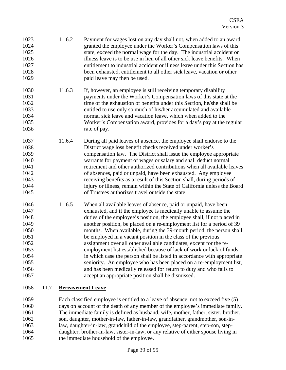| 1023<br>1024<br>1025<br>1026<br>1027<br>1028<br>1029                                         | 11.6.2 | Payment for wages lost on any day shall not, when added to an award<br>granted the employee under the Worker's Compensation laws of this<br>state, exceed the normal wage for the day. The industrial accident or<br>illness leave is to be use in lieu of all other sick leave benefits. When<br>entitlement to industrial accident or illness leave under this Section has<br>been exhausted, entitlement to all other sick leave, vacation or other<br>paid leave may then be used.                                                                                                                                                                                                                                                                                                                                                                          |
|----------------------------------------------------------------------------------------------|--------|-----------------------------------------------------------------------------------------------------------------------------------------------------------------------------------------------------------------------------------------------------------------------------------------------------------------------------------------------------------------------------------------------------------------------------------------------------------------------------------------------------------------------------------------------------------------------------------------------------------------------------------------------------------------------------------------------------------------------------------------------------------------------------------------------------------------------------------------------------------------|
| 1030<br>1031<br>1032<br>1033<br>1034<br>1035<br>1036                                         | 11.6.3 | If, however, an employee is still receiving temporary disability<br>payments under the Worker's Compensation laws of this state at the<br>time of the exhaustion of benefits under this Section, he/she shall be<br>entitled to use only so much of his/her accumulated and available<br>normal sick leave and vacation leave, which when added to the<br>Worker's Compensation award, provides for a day's pay at the regular<br>rate of pay.                                                                                                                                                                                                                                                                                                                                                                                                                  |
| 1037<br>1038<br>1039<br>1040<br>1041<br>1042<br>1043<br>1044<br>1045                         | 11.6.4 | During all paid leaves of absence, the employee shall endorse to the<br>District wage loss benefit checks received under worker's<br>compensation law. The District shall issue the employee appropriate<br>warrants for payment of wages or salary and shall deduct normal<br>retirement and other authorized contributions when all available leaves<br>of absences, paid or unpaid, have been exhausted. Any employee<br>receiving benefits as a result of this Section shall, during periods of<br>injury or illness, remain within the State of California unless the Board<br>of Trustees authorizes travel outside the state.                                                                                                                                                                                                                            |
| 1046<br>1047<br>1048<br>1049<br>1050<br>1051<br>1052<br>1053<br>1054<br>1055<br>1056<br>1057 | 11.6.5 | When all available leaves of absence, paid or unpaid, have been<br>exhausted, and if the employee is medically unable to assume the<br>duties of the employee's position, the employee shall, if not placed in<br>another position, be placed on a re-employment list for a period of 39<br>months. When available, during the 39-month period, the person shall<br>be employed in a vacant position in the class of the previous<br>assignment over all other available candidates, except for the re-<br>employment list established because of lack of work or lack of funds,<br>in which case the person shall be listed in accordance with appropriate<br>seniority. An employee who has been placed on a re-employment list,<br>and has been medically released for return to duty and who fails to<br>accept an appropriate position shall be dismissed. |

### 1058 11.7 **Bereavement Leave**

1059 1060 1061 1062 1063 1064 1065 Each classified employee is entitled to a leave of absence, not to exceed five (5) days on account of the death of any member of the employee's immediate family. The immediate family is defined as husband, wife, mother, father, sister, brother, son, daughter, mother-in-law, father-in-law, grandfather, grandmother, son-inlaw, daughter-in-law, grandchild of the employee, step-parent, step-son, stepdaughter, brother-in-law, sister-in-law, or any relative of either spouse living in the immediate household of the employee.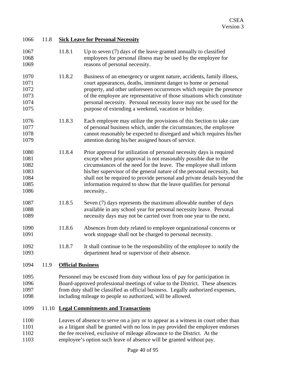| 1066         | 11.8  | <b>Sick Leave for Personal Necessity</b> |                                                                                                                                |  |  |
|--------------|-------|------------------------------------------|--------------------------------------------------------------------------------------------------------------------------------|--|--|
| 1067         |       | 11.8.1                                   | Up to seven $(7)$ days of the leave granted annually to classified                                                             |  |  |
| 1068         |       |                                          | employees for personal illness may be used by the employee for                                                                 |  |  |
| 1069         |       |                                          | reasons of personal necessity.                                                                                                 |  |  |
| 1070         |       | 11.8.2                                   | Business of an emergency or urgent nature, accidents, family illness,                                                          |  |  |
| 1071         |       |                                          | court appearances, deaths, imminent danger to home or personal                                                                 |  |  |
| 1072         |       |                                          | property, and other unforeseen occurrences which require the presence                                                          |  |  |
| 1073         |       |                                          | of the employee are representative of those situations which constitute                                                        |  |  |
| 1074         |       |                                          | personal necessity. Personal necessity leave may not be used for the                                                           |  |  |
| 1075         |       |                                          | purpose of extending a weekend, vacation or holiday.                                                                           |  |  |
| 1076         |       | 11.8.3                                   | Each employee may utilize the provisions of this Section to take care                                                          |  |  |
| 1077         |       |                                          | of personal business which, under the circumstances, the employee                                                              |  |  |
| 1078         |       |                                          | cannot reasonably be expected to disregard and which requires his/her                                                          |  |  |
| 1079         |       |                                          | attention during his/her assigned hours of service.                                                                            |  |  |
| 1080         |       | 11.8.4                                   | Prior approval for utilization of personal necessity days is required                                                          |  |  |
| 1081         |       |                                          | except when prior approval is not reasonably possible due to the                                                               |  |  |
| 1082         |       |                                          | circumstances of the need for the leave. The employee shall inform                                                             |  |  |
| 1083         |       |                                          | his/her supervisor of the general nature of the personal necessity, but                                                        |  |  |
| 1084         |       |                                          | shall not be required to provide personal and private details beyond the                                                       |  |  |
| 1085         |       |                                          | information required to show that the leave qualifies for personal                                                             |  |  |
| 1086         |       |                                          | necessity                                                                                                                      |  |  |
| 1087         |       | 11.8.5                                   | Seven (7) days represents the maximum allowable number of days                                                                 |  |  |
| 1088         |       |                                          | available in any school year for personal necessity leave. Personal                                                            |  |  |
| 1089         |       |                                          | necessity days may not be carried over from one year to the next.                                                              |  |  |
| 1090<br>1091 |       | 11.8.6                                   | Absences from duty related to employee organizational concerns or<br>work stoppage shall not be charged to personal necessity. |  |  |
| 1092         |       | 11.8.7                                   | It shall continue to be the responsibility of the employee to notify the                                                       |  |  |
| 1093         |       |                                          | department head or supervisor of their absence.                                                                                |  |  |
| 1094         | 11.9  | <b>Official Business</b>                 |                                                                                                                                |  |  |
| 1095         |       |                                          | Personnel may be excused from duty without loss of pay for participation in                                                    |  |  |
| 1096         |       |                                          | Board-approved professional meetings of value to the District. These absences                                                  |  |  |
| 1097         |       |                                          | from duty shall be classified as official business. Legally authorized expenses,                                               |  |  |
| 1098         |       |                                          | including mileage to people so authorized, will be allowed.                                                                    |  |  |
| 1099         | 11.10 |                                          | <b>Legal Commitments and Transactions</b>                                                                                      |  |  |
| 1100         |       |                                          | Leaves of absence to serve on a jury or to appear as a witness in court other than                                             |  |  |
| 1101         |       |                                          | as a litigant shall be granted with no loss in pay provided the employee endorses                                              |  |  |
| 1102         |       |                                          | the fee received, exclusive of mileage allowance to the District. At the                                                       |  |  |
| 1103         |       |                                          | employee's option such leave of absence will be granted without pay.                                                           |  |  |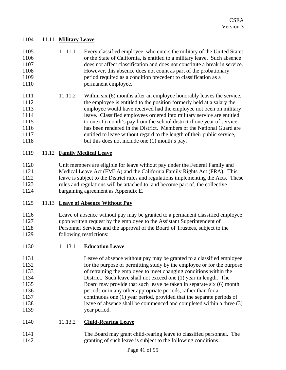#### 1104 11.11 **Military Leave**

| 1105 | 11.11.1 | Every classified employee, who enters the military of the United States    |
|------|---------|----------------------------------------------------------------------------|
| 1106 |         | or the State of California, is entitled to a military leave. Such absence  |
| 1107 |         | does not affect classification and does not constitute a break in service. |
| 1108 |         | However, this absence does not count as part of the probationary           |
| 1109 |         | period required as a condition precedent to classification as a            |
| 1110 |         | permanent employee.                                                        |

1111 1112 1113 1114 1115 1116 1117 1118 11.11.2 Within six (6) months after an employee honorably leaves the service, the employee is entitled to the position formerly held at a salary the employee would have received had the employee not been on military leave. Classified employees ordered into military service are entitled to one (1) month's pay from the school district if one year of service has been rendered in the District. Members of the National Guard are entitled to leave without regard to the length of their public service, but this does not include one (1) month's pay.

#### 1119 11.12 **Family Medical Leave**

1120 1121 1122 1123 1124 Unit members are eligible for leave without pay under the Federal Family and Medical Leave Act (FMLA) and the California Family Rights Act (FRA). This leave is subject to the District rules and regulations implementing the Acts. These rules and regulations will be attached to, and become part of, the collective bargaining agreement as Appendix E.

#### 1125 11.13 **Leave of Absence Without Pay**

1126 1127 1128 1129 Leave of absence without pay may be granted to a permanent classified employee upon written request by the employee to the Assistant Superintendent of Personnel Services and the approval of the Board of Trustees, subject to the following restrictions:

|  | 1130 | 11.13.1 | <b>Education Leave</b> |
|--|------|---------|------------------------|
|--|------|---------|------------------------|

| 1131 | Leave of absence without pay may be granted to a classified employee   |
|------|------------------------------------------------------------------------|
| 1132 | for the purpose of permitting study by the employee or for the purpose |
| 1133 | of retraining the employee to meet changing conditions within the      |
| 1134 | District. Such leave shall not exceed one (1) year in length. The      |
| 1135 | Board may provide that such leave be taken in separate six (6) month   |
| 1136 | periods or in any other appropriate periods, rather than for a         |
| 1137 | continuous one (1) year period, provided that the separate periods of  |
| 1138 | leave of absence shall be commenced and completed within a three (3)   |
| 1139 | year period.                                                           |

| 1140<br>11.13.2 | <b>Child-Rearing Leave</b> |
|-----------------|----------------------------|
|-----------------|----------------------------|

1141 1142 The Board may grant child-rearing leave to classified personnel. The granting of such leave is subject to the following conditions.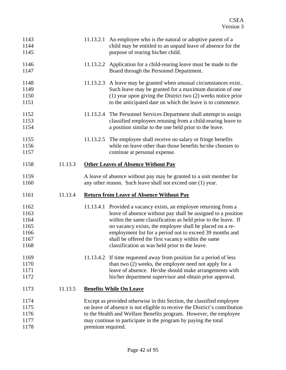| 1143<br>1144<br>1145                                 |         |                   | 11.13.2.1 An employee who is the natural or adoptive parent of a<br>child may be entitled to an unpaid leave of absence for the<br>purpose of rearing his/her child.                                                                                                                                                                                                                                                               |
|------------------------------------------------------|---------|-------------------|------------------------------------------------------------------------------------------------------------------------------------------------------------------------------------------------------------------------------------------------------------------------------------------------------------------------------------------------------------------------------------------------------------------------------------|
| 1146<br>1147                                         |         |                   | 11.13.2.2 Application for a child-rearing leave must be made to the<br>Board through the Personnel Department.                                                                                                                                                                                                                                                                                                                     |
| 1148<br>1149<br>1150<br>1151                         |         |                   | 11.13.2.3 A leave may be granted when unusual circumstances exist<br>Such leave may be granted for a maximum duration of one<br>$(1)$ year upon giving the District two $(2)$ weeks notice prior<br>to the anticipated date on which the leave is to commence.                                                                                                                                                                     |
| 1152<br>1153<br>1154                                 |         |                   | 11.13.2.4 The Personnel Services Department shall attempt to assign<br>classified employees retuning from a child-rearing leave to<br>a position similar to the one held prior to the leave.                                                                                                                                                                                                                                       |
| 1155<br>1156<br>1157                                 |         |                   | 11.13.2.5 The employee shall receive no salary or fringe benefits<br>while on leave other than those benefits he/she chooses to<br>continue at personal expense.                                                                                                                                                                                                                                                                   |
| 1158                                                 | 11.13.3 |                   | <b>Other Leaves of Absence Without Pay</b>                                                                                                                                                                                                                                                                                                                                                                                         |
| 1159<br>1160                                         |         |                   | A leave of absence without pay may be granted to a unit member for<br>any other reason. Such leave shall not exceed one (1) year.                                                                                                                                                                                                                                                                                                  |
| 1161                                                 | 11.13.4 |                   | <b>Return from Leave of Absence Without Pay</b>                                                                                                                                                                                                                                                                                                                                                                                    |
| 1162<br>1163<br>1164<br>1165<br>1166<br>1167<br>1168 |         |                   | 11.13.4.1 Provided a vacancy exists, an employee returning from a<br>leave of absence without pay shall be assigned to a position<br>within the same classification as held prior to the leave. If<br>no vacancy exists, the employee shall be placed on a re-<br>employment list for a period not to exceed 39 months and<br>shall be offered the first vacancy within the same<br>classification as was held prior to the leave. |
| 1169<br>1170<br>1171<br>1172                         |         |                   | 11.13.4.2 If time requested away from position for a period of less<br>than two (2) weeks, the employee need not apply for a<br>leave of absence. He/she should make arrangements with<br>his/her department supervisor and obtain prior approval.                                                                                                                                                                                 |
| 1173                                                 | 11.13.5 |                   | <b>Benefits While On Leave</b>                                                                                                                                                                                                                                                                                                                                                                                                     |
| 1174<br>1175<br>1176<br>1177<br>1178                 |         | premium required. | Except as provided otherwise in this Section, the classified employee<br>on leave of absence is not eligible to receive the District's contribution<br>to the Health and Welfare Benefits program. However, the employee<br>may continue to participate in the program by paying the total                                                                                                                                         |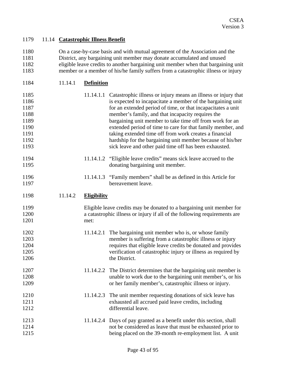### 1179 11.14 **Catastrophic Illness Benefit**

| 1180 | On a case-by-case basis and with mutual agreement of the Association and the       |
|------|------------------------------------------------------------------------------------|
| 1181 | District, any bargaining unit member may donate accumulated and unused             |
| 1182 | eligible leave credits to another bargaining unit member when that bargaining unit |
| 1183 | member or a member of his/he family suffers from a catastrophic illness or injury  |

| 1184<br><b>Definition</b><br>11.14.1 |
|--------------------------------------|
|--------------------------------------|

| 1185<br>1186<br>1187<br>1188<br>1189<br>1190<br>1191<br>1192<br>1193 |         |                    | 11.14.1.1 Catastrophic illness or injury means an illness or injury that<br>is expected to incapacitate a member of the bargaining unit<br>for an extended period of time, or that incapacitates a unit<br>member's family, and that incapacity requires the<br>bargaining unit member to take time off from work for an<br>extended period of time to care for that family member, and<br>taking extended time off from work creates a financial<br>hardship for the bargaining unit member because of his/her<br>sick leave and other paid time off has been exhausted. |
|----------------------------------------------------------------------|---------|--------------------|---------------------------------------------------------------------------------------------------------------------------------------------------------------------------------------------------------------------------------------------------------------------------------------------------------------------------------------------------------------------------------------------------------------------------------------------------------------------------------------------------------------------------------------------------------------------------|
| 1194<br>1195                                                         |         |                    | 11.14.1.2 "Eligible leave credits" means sick leave accrued to the<br>donating bargaining unit member.                                                                                                                                                                                                                                                                                                                                                                                                                                                                    |
| 1196<br>1197                                                         |         |                    | 11.14.1.3 "Family members" shall be as defined in this Article for<br>bereavement leave.                                                                                                                                                                                                                                                                                                                                                                                                                                                                                  |
| 1198                                                                 | 11.14.2 | <b>Eligibility</b> |                                                                                                                                                                                                                                                                                                                                                                                                                                                                                                                                                                           |
| 1199<br>1200<br>1201                                                 |         | met:               | Eligible leave credits may be donated to a bargaining unit member for<br>a catastrophic illness or injury if all of the following requirements are                                                                                                                                                                                                                                                                                                                                                                                                                        |
| 1202<br>1203<br>1204<br>1205<br>1206                                 |         | 11.14.2.1          | The bargaining unit member who is, or whose family<br>member is suffering from a catastrophic illness or injury<br>requires that eligible leave credits be donated and provides<br>verification of catastrophic injury or illness as required by<br>the District.                                                                                                                                                                                                                                                                                                         |
| 1207<br>1208<br>1209                                                 |         | 11.14.2.2          | The District determines that the bargaining unit member is<br>unable to work due to the bargaining unit member's, or his<br>or her family member's, catastrophic illness or injury.                                                                                                                                                                                                                                                                                                                                                                                       |
| 1210<br>1211<br>1212                                                 |         |                    | 11.14.2.3 The unit member requesting donations of sick leave has<br>exhausted all accrued paid leave credits, including<br>differential leave.                                                                                                                                                                                                                                                                                                                                                                                                                            |
| 1213<br>1214<br>1215                                                 |         |                    | 11.14.2.4 Days of pay granted as a benefit under this section, shall<br>not be considered as leave that must be exhausted prior to<br>being placed on the 39-month re-employment list. A unit                                                                                                                                                                                                                                                                                                                                                                             |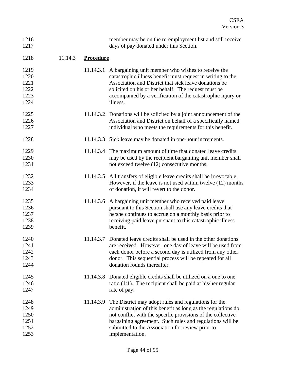| 1216<br>1217                                 |         |                  | member may be on the re-employment list and still receive<br>days of pay donated under this Section.                                                                                                                                                                                                                   |
|----------------------------------------------|---------|------------------|------------------------------------------------------------------------------------------------------------------------------------------------------------------------------------------------------------------------------------------------------------------------------------------------------------------------|
| 1218                                         | 11.14.3 | <b>Procedure</b> |                                                                                                                                                                                                                                                                                                                        |
| 1219<br>1220                                 |         |                  | 11.14.3.1 A bargaining unit member who wishes to receive the<br>catastrophic illness benefit must request in writing to the                                                                                                                                                                                            |
| 1221<br>1222<br>1223<br>1224                 |         |                  | Association and District that sick leave donations be<br>solicited on his or her behalf. The request must be<br>accompanied by a verification of the catastrophic injury or<br>illness.                                                                                                                                |
| 1225<br>1226<br>1227                         |         |                  | 11.14.3.2 Donations will be solicited by a joint announcement of the<br>Association and District on behalf of a specifically named<br>individual who meets the requirements for this benefit.                                                                                                                          |
| 1228                                         |         |                  | 11.14.3.3 Sick leave may be donated in one-hour increments.                                                                                                                                                                                                                                                            |
| 1229<br>1230<br>1231                         |         |                  | 11.14.3.4 The maximum amount of time that donated leave credits<br>may be used by the recipient bargaining unit member shall<br>not exceed twelve (12) consecutive months.                                                                                                                                             |
| 1232<br>1233<br>1234                         |         |                  | 11.14.3.5 All transfers of eligible leave credits shall be irrevocable.<br>However, if the leave is not used within twelve (12) months<br>of donation, it will revert to the donor.                                                                                                                                    |
| 1235<br>1236<br>1237<br>1238<br>1239         |         |                  | 11.14.3.6 A bargaining unit member who received paid leave<br>pursuant to this Section shall use any leave credits that<br>he/she continues to accrue on a monthly basis prior to<br>receiving paid leave pursuant to this catastrophic illness<br>benefit.                                                            |
| 1240<br>1241<br>1242<br>1243<br>1244         |         |                  | 11.14.3.7 Donated leave credits shall be used in the other donations<br>are received. However, one day of leave will be used from<br>each donor before a second day is utilized from any other<br>donor. This sequential process will be repeated for all<br>donation rounds thereafter.                               |
| 1245<br>1246<br>1247                         |         |                  | 11.14.3.8 Donated eligible credits shall be utilized on a one to one<br>ratio $(1:1)$ . The recipient shall be paid at his/her regular<br>rate of pay.                                                                                                                                                                 |
| 1248<br>1249<br>1250<br>1251<br>1252<br>1253 |         | 11.14.3.9        | The District may adopt rules and regulations for the<br>administration of this benefit as long as the regulations do<br>not conflict with the specific provisions of the collective<br>bargaining agreement. Such rules and regulations will be<br>submitted to the Association for review prior to<br>implementation. |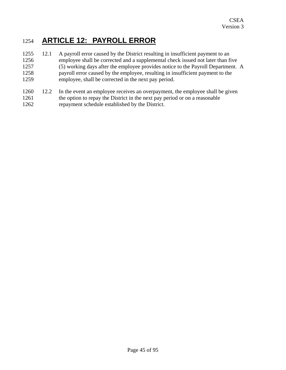# 1254 **ARTICLE 12: PAYROLL ERROR**

- 1255 1256 1257 1258 1259 12.1 A payroll error caused by the District resulting in insufficient payment to an employee shall be corrected and a supplemental check issued not later than five (5) working days after the employee provides notice to the Payroll Department. A payroll error caused by the employee, resulting in insufficient payment to the employee, shall be corrected in the next pay period.
- 1260 1261 1262 12.2 In the event an employee receives an overpayment, the employee shall be given the option to repay the District in the next pay period or on a reasonable repayment schedule established by the District.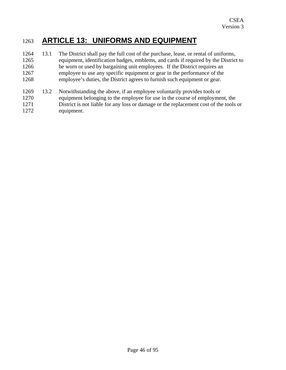## 1263 **ARTICLE 13: UNIFORMS AND EQUIPMENT**

- 1264 1265 1266 1267 1268 13.1 The District shall pay the full cost of the purchase, lease, or rental of uniforms, equipment, identification badges, emblems, and cards if required by the District to be worn or used by bargaining unit employees. If the District requires an employee to use any specific equipment or gear in the performance of the employee's duties, the District agrees to furnish such equipment or gear.
- 1269 1270 1271 1272 13.2 Notwithstanding the above, if an employee voluntarily provides tools or equipment belonging to the employee for use in the course of employment, the District is not liable for any loss or damage or the replacement cost of the tools or equipment.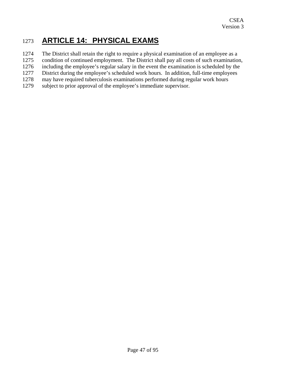# 1273 **ARTICLE 14: PHYSICAL EXAMS**

- 1274 The District shall retain the right to require a physical examination of an employee as a
- 1275 condition of continued employment. The District shall pay all costs of such examination,
- 1276 including the employee's regular salary in the event the examination is scheduled by the
- 1277 District during the employee's scheduled work hours. In addition, full-time employees
- 1278 may have required tuberculosis examinations performed during regular work hours
- 1279 subject to prior approval of the employee's immediate supervisor.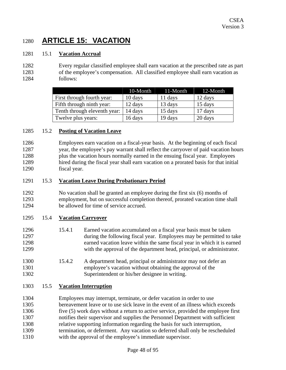# 1280 **ARTICLE 15: VACATION**

#### 1281 15.1 **Vacation Accrual**

#### 1282 1283 1284 Every regular classified employee shall earn vacation at the prescribed rate as part of the employee's compensation. All classified employee shall earn vacation as follows:

|                              | 10-Month | 11-Month | 12-Month |
|------------------------------|----------|----------|----------|
| First through fourth year:   | 10 days  | 11 days  | 12 days  |
| Fifth through ninth year:    | 12 days  | 13 days  | 15 days  |
| Tenth through eleventh year: | 14 days  | 15 days  | 17 days  |
| Twelve plus years:           | 16 days  | 19 days  | 20 days  |

#### 1285 15.2 **Posting of Vacation Leave**

1286 1287 1288 1289 1290 Employees earn vacation on a fiscal-year basis. At the beginning of each fiscal year, the employee's pay warrant shall reflect the carryover of paid vacation hours plus the vacation hours normally earned in the ensuing fiscal year. Employees hired during the fiscal year shall earn vacation on a prorated basis for that initial fiscal year.

#### 1291 15.3 **Vacation Leave During Probationary Period**

1292 1293 1294 No vacation shall be granted an employee during the first six (6) months of employment, but on successful completion thereof, prorated vacation time shall be allowed for time of service accrued.

#### 1295 15.4 **Vacation Carryover**

- 1296 1297 1298 1299 15.4.1 Earned vacation accumulated on a fiscal year basis must be taken during the following fiscal year. Employees may be permitted to take earned vacation leave within the same fiscal year in which it is earned with the approval of the department head, principal, or administrator.
- 1300 1301 1302 15.4.2 A department head, principal or administrator may not defer an employee's vacation without obtaining the approval of the Superintendent or his/her designee in writing.

#### 1303 15.5 **Vacation Interruption**

1304 1305 1306 1307 1308 1309 1310 Employees may interrupt, terminate, or defer vacation in order to use bereavement leave or to use sick leave in the event of an illness which exceeds five (5) work days without a return to active service, provided the employee first notifies their supervisor and supplies the Personnel Department with sufficient relative supporting information regarding the basis for such interruption, termination, or deferment. Any vacation so deferred shall only be rescheduled with the approval of the employee's immediate supervisor.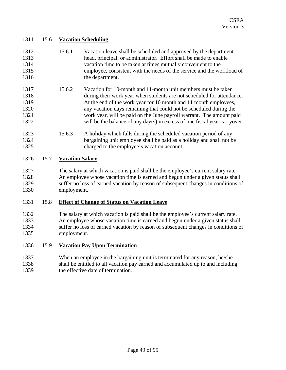#### 1311 15.6 **Vacation Scheduling**

| 1312 | 15.6.1 | Vacation leave shall be scheduled and approved by the department       |
|------|--------|------------------------------------------------------------------------|
| 1313 |        | head, principal, or administrator. Effort shall be made to enable      |
| 1314 |        | vacation time to be taken at times mutually convenient to the          |
| 1315 |        | employee, consistent with the needs of the service and the workload of |
| 1316 |        | the department.                                                        |

- 1317 1318 1319 1320 1321 1322 15.6.2 Vacation for 10-month and 11-month unit members must be taken during their work year when students are not scheduled for attendance. At the end of the work year for 10 month and 11 month employees, any vacation days remaining that could not be scheduled during the work year, will be paid on the June payroll warrant. The amount paid will be the balance of any day(s) in excess of one fiscal year carryover.
- 1323 1324 1325 15.6.3 A holiday which falls during the scheduled vacation period of any bargaining unit employee shall be paid as a holiday and shall not be charged to the employee's vacation account.

#### 1326 15.7 **Vacation Salary**

1327 1328 1329 1330 The salary at which vacation is paid shall be the employee's current salary rate. An employee whose vacation time is earned and begun under a given status shall suffer no loss of earned vacation by reason of subsequent changes in conditions of employment.

### 1331 15.8 **Effect of Change of Status on Vacation Leave**

- 1332 1333 1334 1335 The salary at which vacation is paid shall be the employee's current salary rate. An employee whose vacation time is earned and begun under a given status shall suffer no loss of earned vacation by reason of subsequent changes in conditions of employment.
- 1336 15.9 **Vacation Pay Upon Termination**
- 1337 1338 1339 When an employee in the bargaining unit is terminated for any reason, he/she shall be entitled to all vacation pay earned and accumulated up to and including the effective date of termination.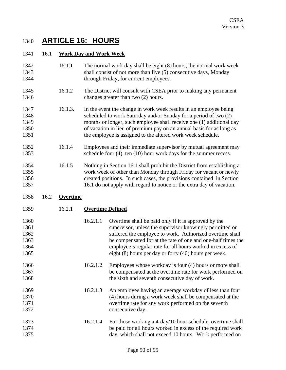# 1340 **ARTICLE 16: HOURS**

#### 1341 16.1 **Work Day and Work Week**

- 1342 1343 1344 16.1.1 The normal work day shall be eight (8) hours; the normal work week shall consist of not more than five (5) consecutive days, Monday through Friday, for current employees.
- 1345 1346 16.1.2 The District will consult with CSEA prior to making any permanent changes greater than two (2) hours.
- 1347 1348 1349 1350 1351 16.1.3. In the event the change in work week results in an employee being scheduled to work Saturday and/or Sunday for a period of two (2) months or longer, such employee shall receive one (1) additional day of vacation in lieu of premium pay on an annual basis for as long as the employee is assigned to the altered work week schedule.
- 1352 1353 16.1.4 Employees and their immediate supervisor by mutual agreement may schedule four (4), ten (10) hour work days for the summer recess.
- 1354 1355 1356 1357 16.1.5 Nothing in Section 16.1 shall prohibit the District from establishing a work week of other than Monday through Friday for vacant or newly created positions. In such cases, the provisions contained in Section 16.1 do not apply with regard to notice or the extra day of vacation.

#### 1358 16.2 **Overtime**

| 1359                                         | 16.2.1 | <b>Overtime Defined</b> |                                                                                                                                                                                                                                                                                                                                                                        |
|----------------------------------------------|--------|-------------------------|------------------------------------------------------------------------------------------------------------------------------------------------------------------------------------------------------------------------------------------------------------------------------------------------------------------------------------------------------------------------|
| 1360<br>1361<br>1362<br>1363<br>1364<br>1365 |        | 16.2.1.1                | Overtime shall be paid only if it is approved by the<br>supervisor, unless the supervisor knowingly permitted or<br>suffered the employee to work. Authorized overtime shall<br>be compensated for at the rate of one and one-half times the<br>employee's regular rate for all hours worked in excess of<br>eight $(8)$ hours per day or forty $(40)$ hours per week. |
| 1366<br>1367<br>1368                         |        | 16.2.1.2                | Employees whose workday is four (4) hours or more shall<br>be compensated at the overtime rate for work performed on<br>the sixth and seventh consecutive day of work.                                                                                                                                                                                                 |
| 1369<br>1370<br>1371<br>1372                 |        | 16.2.1.3                | An employee having an average workday of less than four<br>(4) hours during a work week shall be compensated at the<br>overtime rate for any work performed on the seventh<br>consecutive day.                                                                                                                                                                         |
| 1373<br>1374<br>1375                         |        | 16.2.1.4                | For those working a 4-day/10 hour schedule, overtime shall<br>be paid for all hours worked in excess of the required work<br>day, which shall not exceed 10 hours. Work performed on                                                                                                                                                                                   |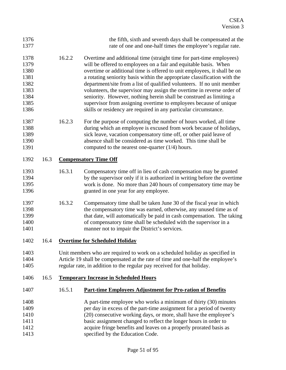|                              | the fifth, sixth and seventh days shall be compensated at the<br>rate of one and one-half times the employee's regular rate.                                                                                                                                                                                                                                                                                                                                                                                                                                                                                                                                          |  |
|------------------------------|-----------------------------------------------------------------------------------------------------------------------------------------------------------------------------------------------------------------------------------------------------------------------------------------------------------------------------------------------------------------------------------------------------------------------------------------------------------------------------------------------------------------------------------------------------------------------------------------------------------------------------------------------------------------------|--|
| 16.2.2                       | Overtime and additional time (straight time for part-time employees)<br>will be offered to employees on a fair and equitable basis. When<br>overtime or additional time is offered to unit employees, it shall be on<br>a rotating seniority basis within the appropriate classification with the<br>department/site from a list of qualified volunteers. If no unit member<br>volunteers, the supervisor may assign the overtime in reverse order of<br>seniority. However, nothing herein shall be construed as limiting a<br>supervisor from assigning overtime to employees because of unique<br>skills or residency are required in any particular circumstance. |  |
| 16.2.3                       | For the purpose of computing the number of hours worked, all time<br>during which an employee is excused from work because of holidays,<br>sick leave, vacation compensatory time off, or other paid leave of<br>absence shall be considered as time worked. This time shall be<br>computed to the nearest one-quarter $(1/4)$ hours.                                                                                                                                                                                                                                                                                                                                 |  |
| <b>Compensatory Time Off</b> |                                                                                                                                                                                                                                                                                                                                                                                                                                                                                                                                                                                                                                                                       |  |
| 16.3.1                       | Compensatory time off in lieu of cash compensation may be granted<br>by the supervisor only if it is authorized in writing before the overtime<br>work is done. No more than 240 hours of compensatory time may be<br>granted in one year for any employee.                                                                                                                                                                                                                                                                                                                                                                                                           |  |
| 16.3.2                       | Compensatory time shall be taken June 30 of the fiscal year in which<br>the compensatory time was earned, otherwise, any unused time as of<br>that date, will automatically be paid in cash compensation. The taking<br>of compensatory time shall be scheduled with the supervisor in a<br>manner not to impair the District's services.                                                                                                                                                                                                                                                                                                                             |  |
|                              | <b>Overtime for Scheduled Holiday</b>                                                                                                                                                                                                                                                                                                                                                                                                                                                                                                                                                                                                                                 |  |
|                              | Unit members who are required to work on a scheduled holiday as specified in<br>Article 19 shall be compensated at the rate of time and one-half the employee's<br>regular rate, in addition to the regular pay received for that holiday.                                                                                                                                                                                                                                                                                                                                                                                                                            |  |
|                              | <b>Temporary Increase in Scheduled Hours</b>                                                                                                                                                                                                                                                                                                                                                                                                                                                                                                                                                                                                                          |  |
| 16.5.1                       | <b>Part-time Employees Adjustment for Pro-ration of Benefits</b>                                                                                                                                                                                                                                                                                                                                                                                                                                                                                                                                                                                                      |  |
|                              | A part-time employee who works a minimum of thirty (30) minutes<br>per day in excess of the part-time assignment for a period of twenty<br>(20) consecutive working days, or more, shall have the employee's<br>basic assignment changed to reflect the longer hours in order to<br>acquire fringe benefits and leaves on a properly prorated basis as<br>specified by the Education Code.                                                                                                                                                                                                                                                                            |  |
|                              |                                                                                                                                                                                                                                                                                                                                                                                                                                                                                                                                                                                                                                                                       |  |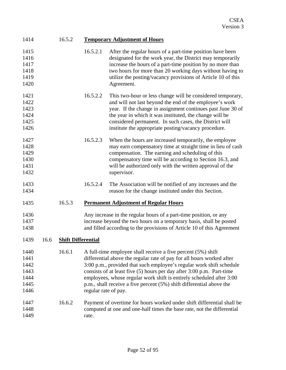| 1414 | 16.5.2 | <b>Temporary Adjustment of Hours</b> |
|------|--------|--------------------------------------|
|------|--------|--------------------------------------|

| 1415<br>1416<br>1417<br>1418<br>1419<br>1420         |      |                           | 16.5.2.1             | After the regular hours of a part-time position have been<br>designated for the work year, the District may temporarily<br>increase the hours of a part-time position by no more than<br>two hours for more than 20 working days without having to<br>utilize the posting/vacancy provisions of Article 10 of this<br>Agreement.                                                                                                       |
|------------------------------------------------------|------|---------------------------|----------------------|----------------------------------------------------------------------------------------------------------------------------------------------------------------------------------------------------------------------------------------------------------------------------------------------------------------------------------------------------------------------------------------------------------------------------------------|
| 1421<br>1422<br>1423<br>1424<br>1425<br>1426         |      |                           | 16.5.2.2             | This two-hour or less change will be considered temporary,<br>and will not last beyond the end of the employee's work<br>year. If the change in assignment continues past June 30 of<br>the year in which it was instituted, the change will be<br>considered permanent. In such cases, the District will<br>institute the appropriate posting/vacancy procedure.                                                                      |
| 1427<br>1428<br>1429<br>1430<br>1431<br>1432         |      |                           | 16.5.2.3             | When the hours are increased temporarily, the employee<br>may earn compensatory time at straight time in lieu of cash<br>compensation. The earning and scheduling of this<br>compensatory time will be according to Section 16.3, and<br>will be authorized only with the written approval of the<br>supervisor.                                                                                                                       |
| 1433<br>1434                                         |      |                           | 16.5.2.4             | The Association will be notified of any increases and the<br>reason for the change instituted under this Section.                                                                                                                                                                                                                                                                                                                      |
| 1435                                                 |      | 16.5.3                    |                      | <b>Permanent Adjustment of Regular Hours</b>                                                                                                                                                                                                                                                                                                                                                                                           |
| 1436<br>1437<br>1438                                 |      |                           |                      | Any increase in the regular hours of a part-time position, or any<br>increase beyond the two hours on a temporary basis, shall be posted<br>and filled according to the provisions of Article 10 of this Agreement                                                                                                                                                                                                                     |
| 1439                                                 | 16.6 | <b>Shift Differential</b> |                      |                                                                                                                                                                                                                                                                                                                                                                                                                                        |
| 1440<br>1441<br>1442<br>1443<br>1444<br>1445<br>1446 |      | 16.6.1                    | regular rate of pay. | A full-time employee shall receive a five percent (5%) shift<br>differential above the regular rate of pay for all hours worked after<br>3:00 p.m., provided that such employee's regular work shift schedule<br>consists of at least five (5) hours per day after 3:00 p.m. Part-time<br>employees, whose regular work shift is entirely scheduled after 3:00<br>p.m., shall receive a five percent (5%) shift differential above the |
| 1447<br>1448<br>1449                                 |      | 16.6.2                    | rate.                | Payment of overtime for hours worked under shift differential shall be<br>computed at one and one-half times the base rate, not the differential                                                                                                                                                                                                                                                                                       |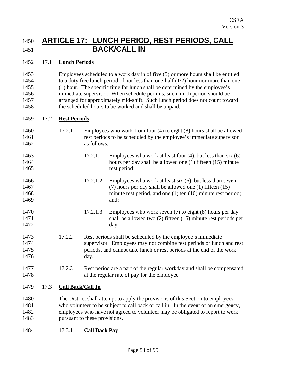### 1450 **ARTICLE 17: LUNCH PERIOD, REST PERIODS, CALL**  1451 **BACK/CALL IN**

#### 1452 17.1 **Lunch Periods**

1453 1454 1455 1456 1457 1458 Employees scheduled to a work day in of five (5) or more hours shall be entitled to a duty free lunch period of not less than one-half (1/2) hour nor more than one (1) hour. The specific time for lunch shall be determined by the employee's immediate supervisor. When schedule permits, such lunch period should be arranged for approximately mid-shift. Such lunch period does not count toward the scheduled hours to be worked and shall be unpaid.

#### 1459 17.2 **Rest Periods**

| 1460<br>1461<br>1462 |      | 17.2.1                        | Employees who work from four (4) to eight (8) hours shall be allowed<br>rest periods to be scheduled by the employee's immediate supervisor<br>as follows: |                                                                                                                                   |
|----------------------|------|-------------------------------|------------------------------------------------------------------------------------------------------------------------------------------------------------|-----------------------------------------------------------------------------------------------------------------------------------|
| 1463                 |      |                               | 17.2.1.1                                                                                                                                                   | Employees who work at least four $(4)$ , but less than six $(6)$                                                                  |
| 1464<br>1465         |      |                               |                                                                                                                                                            | hours per day shall be allowed one (1) fifteen (15) minute<br>rest period;                                                        |
| 1466                 |      |                               | 17.2.1.2                                                                                                                                                   | Employees who work at least six $(6)$ , but less than seven                                                                       |
| 1467<br>1468         |      |                               |                                                                                                                                                            | $(7)$ hours per day shall be allowed one $(1)$ fifteen $(15)$<br>minute rest period, and one $(1)$ ten $(10)$ minute rest period; |
| 1469                 |      |                               |                                                                                                                                                            | and;                                                                                                                              |
| 1470                 |      |                               | 17.2.1.3                                                                                                                                                   | Employees who work seven $(7)$ to eight $(8)$ hours per day                                                                       |
| 1471                 |      |                               |                                                                                                                                                            | shall be allowed two $(2)$ fifteen $(15)$ minute rest periods per                                                                 |
| 1472                 |      |                               |                                                                                                                                                            | day.                                                                                                                              |
| 1473                 |      | 17.2.2                        |                                                                                                                                                            | Rest periods shall be scheduled by the employee's immediate                                                                       |
| 1474                 |      |                               |                                                                                                                                                            | supervisor. Employees may not combine rest periods or lunch and rest                                                              |
| 1475                 |      |                               |                                                                                                                                                            | periods, and cannot take lunch or rest periods at the end of the work                                                             |
| 1476                 |      |                               | day.                                                                                                                                                       |                                                                                                                                   |
| 1477                 |      | 17.2.3                        |                                                                                                                                                            | Rest period are a part of the regular workday and shall be compensated                                                            |
| 1478                 |      |                               |                                                                                                                                                            | at the regular rate of pay for the employee                                                                                       |
| 1479                 | 17.3 | <b>Call Back/Call In</b>      |                                                                                                                                                            |                                                                                                                                   |
| 1480                 |      |                               |                                                                                                                                                            | The District shall attempt to apply the provisions of this Section to employees                                                   |
| 1481                 |      |                               |                                                                                                                                                            | who volunteer to be subject to call back or call in. In the event of an emergency,                                                |
| 1482                 |      |                               |                                                                                                                                                            | employees who have not agreed to volunteer may be obligated to report to work                                                     |
| 1483                 |      | pursuant to these provisions. |                                                                                                                                                            |                                                                                                                                   |

1484 17.3.1 **Call Back Pay**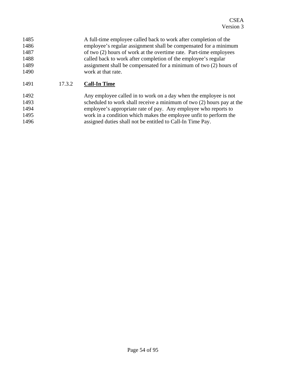| 1485 |        | A full-time employee called back to work after completion of the   |
|------|--------|--------------------------------------------------------------------|
| 1486 |        | employee's regular assignment shall be compensated for a minimum   |
| 1487 |        | of two (2) hours of work at the overtime rate. Part-time employees |
| 1488 |        | called back to work after completion of the employee's regular     |
| 1489 |        | assignment shall be compensated for a minimum of two (2) hours of  |
| 1490 |        | work at that rate.                                                 |
| 1491 | 17.3.2 | <b>Call-In Time</b>                                                |

1492 1493 1494 1495 1496 Any employee called in to work on a day when the employee is not scheduled to work shall receive a minimum of two (2) hours pay at the employee's appropriate rate of pay. Any employee who reports to work in a condition which makes the employee unfit to perform the assigned duties shall not be entitled to Call-In Time Pay.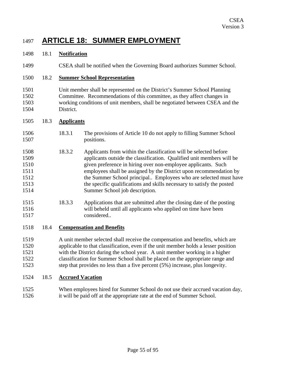### 1497 **ARTICLE 18: SUMMER EMPLOYMENT**

#### 1498 18.1 **Notification**

1499 CSEA shall be notified when the Governing Board authorizes Summer School.

#### 1500 18.2 **Summer School Representation**

1501 1502 1503 1504 Unit member shall be represented on the District's Summer School Planning Committee. Recommendations of this committee, as they affect changes in working conditions of unit members, shall be negotiated between CSEA and the District.

#### 1505 18.3 **Applicants**

- 1506 1507 18.3.1 The provisions of Article 10 do not apply to filling Summer School positions.
- 1508 1509 1510 1511 1512 1513 1514 18.3.2 Applicants from within the classification will be selected before applicants outside the classification. Qualified unit members will be given preference in hiring over non-employee applicants. Such employees shall be assigned by the District upon recommendation by the Summer School principal.. Employees who are selected must have the specific qualifications and skills necessary to satisfy the posted Summer School job description.
- 1515 1516 1517 18.3.3 Applications that are submitted after the closing date of the posting will beheld until all applicants who applied on time have been considered..

#### 1518 18.4 **Compensation and Benefits**

1519 1520 1521 1522 1523 A unit member selected shall receive the compensation and benefits, which are applicable to that classification, even if the unit member holds a lesser position with the District during the school year. A unit member working in a higher classification for Summer School shall be placed on the appropriate range and step that provides no less than a five percent (5%) increase, plus longevity.

#### 1524 18.5 **Accrued Vacation**

1525 1526 When employees hired for Summer School do not use their accrued vacation day, it will be paid off at the appropriate rate at the end of Summer School.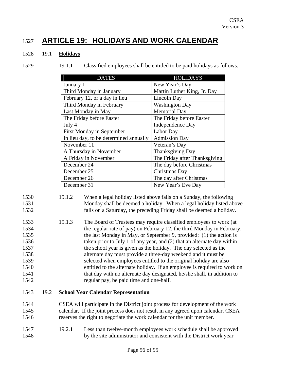### 1527 **ARTICLE 19: HOLIDAYS AND WORK CALENDAR**

#### 1528 19.1 **Holidays**

| <b>DATES</b>                           | <b>HOLIDAYS</b>               |
|----------------------------------------|-------------------------------|
| January 1                              | New Year's Day                |
| Third Monday in January                | Martin Luther King, Jr. Day   |
| February 12, or a day in lieu          | Lincoln Day                   |
| Third Monday in February               | <b>Washington Day</b>         |
| Last Monday in May                     | <b>Memorial Day</b>           |
| The Friday before Easter               | The Friday before Easter      |
| July 4                                 | Independence Day              |
| <b>First Monday in September</b>       | Labor Day                     |
| In lieu day, to be determined annually | <b>Admission Day</b>          |
| November 11                            | Veteran's Day                 |
| A Thursday in November                 | <b>Thanksgiving Day</b>       |
| A Friday in November                   | The Friday after Thanksgiving |
| December 24                            | The day before Christmas      |
| December 25                            | Christmas Day                 |
| December 26                            | The day after Christmas       |
| December 31                            | New Year's Eve Day            |

1529 19.1.1 Classified employees shall be entitled to be paid holidays as follows:

| 1530  | 19.1.2 | When a legal holiday listed above falls on a Sunday, the following                                             |
|-------|--------|----------------------------------------------------------------------------------------------------------------|
| 1531  |        | Monday shall be deemed a holiday. When a legal holiday listed above                                            |
| 1532  |        | falls on a Saturday, the preceding Friday shall be deemed a holiday.                                           |
| 1.502 | 1012   | min 1 cm , this is the figure of the figure of the figure of the figure of the figure of the figure of the fig |

1533 1534 1535 1536 1537 1538 1539 1540 1541 1542 19.1.3 The Board of Trustees may require classified employees to work (at the regular rate of pay) on February 12, the third Monday in February, the last Monday in May, or September 9, provided: (1) the action is taken prior to July 1 of any year, and (2) that an alternate day within the school year is given as the holiday. The day selected as the alternate day must provide a three-day weekend and it must be selected when employees entitled to the original holiday are also entitled to the alternate holiday. If an employee is required to work on that day with no alternate day designated, he/she shall, in addition to regular pay, be paid time and one-half.

### 1543 19.2 **School Year Calendar Representation**

- 1544 1545 1546 CSEA will participate in the District joint process for development of the work calendar. If the joint process does not result in any agreed upon calendar, CSEA reserves the right to negotiate the work calendar for the unit member.
- 1547 1548 19.2.1 Less than twelve-month employees work schedule shall be approved by the site administrator and consistent with the District work year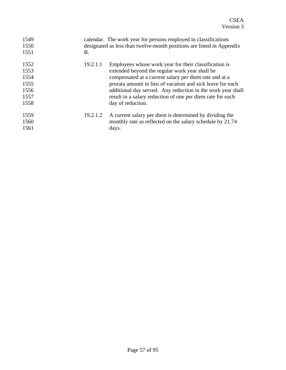| 1549<br>1550<br>1551                                 | В.       | calendar. The work year for persons employed in classifications<br>designated as less than twelve-month positions are listed in Appendix                                                                                                                                                                                                                                          |
|------------------------------------------------------|----------|-----------------------------------------------------------------------------------------------------------------------------------------------------------------------------------------------------------------------------------------------------------------------------------------------------------------------------------------------------------------------------------|
| 1552<br>1553<br>1554<br>1555<br>1556<br>1557<br>1558 | 19.2.1.1 | Employees whose work year for their classification is<br>extended beyond the regular work year shall be<br>compensated at a current salary per diem rate and at a<br>prorata amount in lieu of vacation and sick leave for each<br>additional day served. Any reduction in the work year shall<br>result in a salary reduction of one per diem rate for each<br>day of reduction. |
| 1559<br>1560<br>1561                                 | 19.2.1.2 | A current salary per diem is determined by dividing the<br>monthly rate as reflected on the salary schedule by 21.74<br>days.                                                                                                                                                                                                                                                     |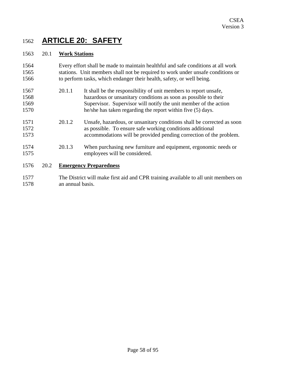## 1562 **ARTICLE 20: SAFETY**

#### 1563 20.1 **Work Stations**

- 1564 1565 1566 Every effort shall be made to maintain healthful and safe conditions at all work stations. Unit members shall not be required to work under unsafe conditions or to perform tasks, which endanger their health, safety, or well being.
- 1567 1568 1569 1570 20.1.1 It shall be the responsibility of unit members to report unsafe, hazardous or unsanitary conditions as soon as possible to their Supervisor. Supervisor will notify the unit member of the action he/she has taken regarding the report within five (5) days.
- 1571 1572 1573 20.1.2 Unsafe, hazardous, or unsanitary conditions shall be corrected as soon as possible. To ensure safe working conditions additional accommodations will be provided pending correction of the problem.
- 1574 1575 20.1.3 When purchasing new furniture and equipment, ergonomic needs or employees will be considered.

#### 1576 20.2 **Emergency Preparedness**

1577 1578 The District will make first aid and CPR training available to all unit members on an annual basis.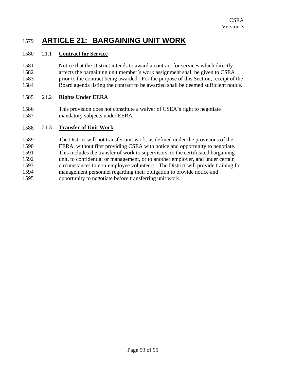### 1579 **ARTICLE 21: BARGAINING UNIT WORK**

#### 1580 21.1 **Contract for Service**

1581 1582 1583 1584 Notice that the District intends to award a contract for services which directly affects the bargaining unit member's work assignment shall be given to CSEA prior to the contract being awarded. For the purpose of this Section, receipt of the Board agenda listing the contract to be awarded shall be deemed sufficient notice.

#### 1585 21.2 **Rights Under EERA**

1586 1587 This provision does not constitute a waiver of CSEA's right to negotiate mandatory subjects under EERA.

#### 1588 21.3 **Transfer of Unit Work**

1589 1590 1591 1592 1593 1594 1595 The District will not transfer unit work, as defined under the provisions of the EERA, without first providing CSEA with notice and opportunity to negotiate. This includes the transfer of work to supervisors, to the certificated bargaining unit, to confidential or management, or to another employer, and under certain circumstances to non-employee volunteers. The District will provide training for management personnel regarding their obligation to provide notice and opportunity to negotiate before transferring unit work.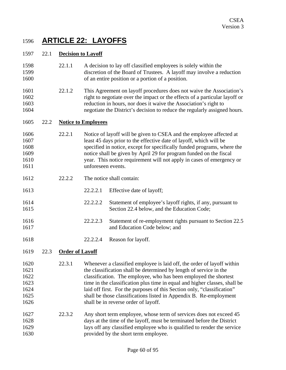### 1596 **ARTICLE 22: LAYOFFS**

#### 1597 22.1 **Decision to Layoff**

- 1598 1599 1600 22.1.1 A decision to lay off classified employees is solely within the discretion of the Board of Trustees. A layoff may involve a reduction of an entire position or a portion of a position.
- 1601 1602 1603 1604 22.1.2 This Agreement on layoff procedures does not waive the Association's right to negotiate over the impact or the effects of a particular layoff or reduction in hours, nor does it waive the Association's right to negotiate the District's decision to reduce the regularly assigned hours.

#### 1605 22.2 **Notice to Employees**

- 1606 1607 1608 1609 1610 1611 22.2.1 Notice of layoff will be given to CSEA and the employee affected at least 45 days prior to the effective date of layoff, which will be specified in notice, except for specifically funded programs, where the notice shall be given by April 29 for program funded on the fiscal year. This notice requirement will not apply in cases of emergency or unforeseen events.
- 1612 22.2.2. The notice shall contain:
- 1613 22.2.2.1 Effective date of layoff;
- 1614 1615 22.2.2.2 Statement of employee's layoff rights, if any, pursuant to Section 22.4 below, and the Education Code;
- 1616 22.2.2.3 Statement of re-employment rights pursuant to Section 22.5 and Education Code below; and
- 1618 22.2.2.4 Reason for layoff.

### 1619 22.3 **Order of Layoff**

1617

- 1620 1621 1622 1623 1624 1625 1626 22.3.1 Whenever a classified employee is laid off, the order of layoff within the classification shall be determined by length of service in the classification. The employee, who has been employed the shortest time in the classification plus time in equal and higher classes, shall be laid off first. For the purposes of this Section only, "classification" shall be those classifications listed in Appendix B. Re-employment shall be in reverse order of layoff.
- 1627 1628 1629 1630 22.3.2 Any short term employee, whose term of services does not exceed 45 days at the time of the layoff, must be terminated before the District lays off any classified employee who is qualified to render the service provided by the short term employee.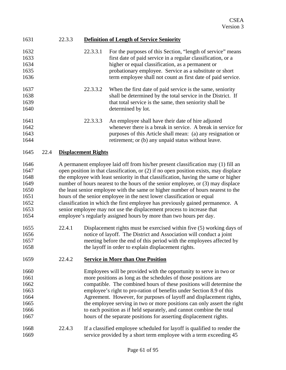| 22.3.3<br><b>Definition of Length of Service Seniority</b><br>1631 |
|--------------------------------------------------------------------|
|--------------------------------------------------------------------|

| 1632<br>1633<br>1634<br>1635<br>1636                                                                 |      |        | 22.3.3.1                   | For the purposes of this Section, "length of service" means<br>first date of paid service in a regular classification, or a<br>higher or equal classification, as a permanent or<br>probationary employee. Service as a substitute or short<br>term employee shall not count as first date of paid service.                                                                                                                                                                                                                                                                                                                                                                                                                                                                                                                                                                                                                                                                                                                            |
|------------------------------------------------------------------------------------------------------|------|--------|----------------------------|----------------------------------------------------------------------------------------------------------------------------------------------------------------------------------------------------------------------------------------------------------------------------------------------------------------------------------------------------------------------------------------------------------------------------------------------------------------------------------------------------------------------------------------------------------------------------------------------------------------------------------------------------------------------------------------------------------------------------------------------------------------------------------------------------------------------------------------------------------------------------------------------------------------------------------------------------------------------------------------------------------------------------------------|
| 1637<br>1638<br>1639<br>1640                                                                         |      |        | 22.3.3.2                   | When the first date of paid service is the same, seniority<br>shall be determined by the total service in the District. If<br>that total service is the same, then seniority shall be<br>determined by lot.                                                                                                                                                                                                                                                                                                                                                                                                                                                                                                                                                                                                                                                                                                                                                                                                                            |
| 1641<br>1642<br>1643<br>1644                                                                         |      |        | 22.3.3.3                   | An employee shall have their date of hire adjusted<br>whenever there is a break in service. A break in service for<br>purposes of this Article shall mean: (a) any resignation or<br>retirement; or (b) any unpaid status without leave.                                                                                                                                                                                                                                                                                                                                                                                                                                                                                                                                                                                                                                                                                                                                                                                               |
| 1645                                                                                                 | 22.4 |        | <b>Displacement Rights</b> |                                                                                                                                                                                                                                                                                                                                                                                                                                                                                                                                                                                                                                                                                                                                                                                                                                                                                                                                                                                                                                        |
| 1646<br>1647<br>1648<br>1649<br>1650<br>1651<br>1652<br>1653<br>1654<br>1655<br>1656<br>1657<br>1658 |      | 22.4.1 |                            | A permanent employee laid off from his/her present classification may (1) fill an<br>open position in that classification, or $(2)$ if no open position exists, may displace<br>the employee with least seniority in that classification, having the same or higher<br>number of hours nearest to the hours of the senior employee, or (3) may displace<br>the least senior employee with the same or higher number of hours nearest to the<br>hours of the senior employee in the next lower classification or equal<br>classification in which the first employee has previously gained permanence. A<br>senior employee may not use the displacement process to increase that<br>employee's regularly assigned hours by more than two hours per day.<br>Displacement rights must be exercised within five (5) working days of<br>notice of layoff. The District and Association will conduct a joint<br>meeting before the end of this period with the employees affected by<br>the layoff in order to explain displacement rights. |
| 1659                                                                                                 |      | 22.4.2 |                            | <b>Service in More than One Position</b>                                                                                                                                                                                                                                                                                                                                                                                                                                                                                                                                                                                                                                                                                                                                                                                                                                                                                                                                                                                               |
| 1660<br>1661<br>1662<br>1663<br>1664<br>1665<br>1666<br>1667                                         |      |        |                            | Employees will be provided with the opportunity to serve in two or<br>more positions as long as the schedules of those positions are<br>compatible. The combined hours of these positions will determine the<br>employee's right to pro-ration of benefits under Section 8.9 of this<br>Agreement. However, for purposes of layoff and displacement rights,<br>the employee serving in two or more positions can only assert the right<br>to each position as if held separately, and cannot combine the total<br>hours of the separate positions for asserting displacement rights.                                                                                                                                                                                                                                                                                                                                                                                                                                                   |

1668 1669 22.4.3 If a classified employee scheduled for layoff is qualified to render the service provided by a short term employee with a term exceeding 45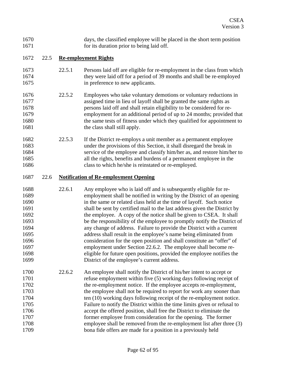1670 1671 days, the classified employee will be placed in the short term position for its duration prior to being laid off.

#### 1672 22.5 **Re-employment Rights**

- 1673 1674 1675 22.5.1 Persons laid off are eligible for re-employment in the class from which they were laid off for a period of 39 months and shall be re-employed in preference to new applicants.
- 1676 1677 1678 1679 1680 1681 22.5.2 Employees who take voluntary demotions or voluntary reductions in assigned time in lieu of layoff shall be granted the same rights as persons laid off and shall retain eligibility to be considered for reemployment for an additional period of up to 24 months; provided that the same tests of fitness under which they qualified for appointment to the class shall still apply.
- 1682 1683 1684 1685 1686 22.5.3 If the District re-employs a unit member as a permanent employee under the provisions of this Section, it shall disregard the break in service of the employee and classify him/her as, and restore him/her to all the rights, benefits and burdens of a permanent employee in the class to which he/she is reinstated or re-employed.

#### 1687 22.6 **Notification of Re-employment Opening**

- 1688 1689 1690 1691 1692 1693 1694 1695 1696 1697 1698 1699 22.6.1 Any employee who is laid off and is subsequently eligible for reemployment shall be notified in writing by the District of an opening in the same or related class held at the time of layoff. Such notice shall be sent by certified mail to the last address given the District by the employee. A copy of the notice shall be given to CSEA. It shall be the responsibility of the employee to promptly notify the District of any change of address. Failure to provide the District with a current address shall result in the employee's name being eliminated from consideration for the open position and shall constitute an "offer" of employment under Section 22.6.2. The employee shall become reeligible for future open positions, provided the employee notifies the District of the employee's current address.
- 1700 1701 1702 1703 1704 1705 1706 1707 1708 1709 22.6.2 An employee shall notify the District of his/her intent to accept or refuse employment within five (5) working days following receipt of the re-employment notice. If the employee accepts re-employment, the employee shall not be required to report for work any sooner than ten (10) working days following receipt of the re-employment notice. Failure to notify the District within the time limits given or refusal to accept the offered position, shall free the District to eliminate the former employee from consideration for the opening. The former employee shall be removed from the re-employment list after three (3) bona fide offers are made for a position in a previously held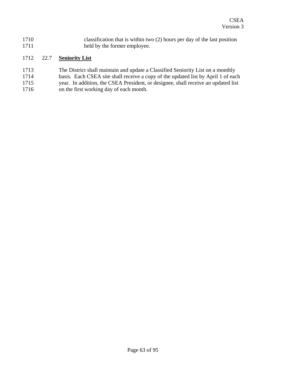1710 1711 classification that is within two (2) hours per day of the last position held by the former employee.

#### 1712 22.7 **Seniority List**

- 1713 The District shall maintain and update a Classified Seniority List on a monthly
- 1714 basis. Each CSEA site shall receive a copy of the updated list by April 1 of each
- 1715 year. In addition, the CSEA President, or designee, shall receive an updated list
- 1716 on the first working day of each month.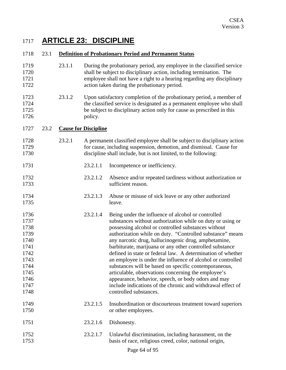## 1717 **ARTICLE 23: DISCIPLINE**

#### 1718 23.1 **Definition of Probationary Period and Permanent Status**

- 1719 1720 1721 1722 23.1.1 During the probationary period, any employee in the classified service shall be subject to disciplinary action, including termination. The employee shall not have a right to a hearing regarding any disciplinary action taken during the probationary period.
- 1723 1724 1725 1726 23.1.2 Upon satisfactory completion of the probationary period, a member of the classified service is designated as a permanent employee who shall be subject to disciplinary action only for cause as prescribed in this policy.

#### 1727 23.2 **Cause for Discipline**

- 1728 1729 1730 23.2.1 A permanent classified employee shall be subject to disciplinary action for cause, including suspension, demotion, and dismissal. Cause for discipline shall include, but is not limited, to the following:
- 1731 23.2.1.1 Incompetence or inefficiency.
- 1732 1733 23.2.1.2 Absence and/or repeated tardiness without authorization or sufficient reason.
- 1734 1735 23.2.1.3 Abuse or misuse of sick leave or any other authorized leave.
- 1736 1737 1738 1739 1740 1741 1742 1743 1744 1745 1746 1747 1748 23.2.1.4 Being under the influence of alcohol or controlled substances without authorization while on duty or using or possessing alcohol or controlled substances without authorization while on duty. "Controlled substance" means any narcotic drug, hallucinogenic drug, amphetamine, barbiturate, marijuana or any other controlled substance defined in state or federal law. A determination of whether an employee is under the influence of alcohol or controlled substances will be based on specific contemporaneous, articulable, observations concerning the employee's appearance, behavior, speech, or body odors and may include indications of the chronic and withdrawal effect of controlled substances.
- 1749 1750 23.2.1.5 Insubordination or discourteous treatment toward superiors or other employees.
- 1751 23.2.1.6 Dishonesty.
- 1752 1753 23.2.1.7 Unlawful discrimination, including harassment, on the basis of race, religious creed, color, national origin,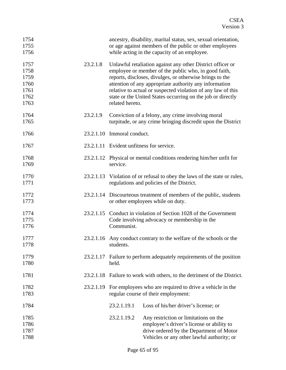| 1754<br>1755<br>1756                                 |           |                            | ancestry, disability, marital status, sex, sexual orientation,<br>or age against members of the public or other employees<br>while acting in the capacity of an employee.                                                                                                                                                                                               |
|------------------------------------------------------|-----------|----------------------------|-------------------------------------------------------------------------------------------------------------------------------------------------------------------------------------------------------------------------------------------------------------------------------------------------------------------------------------------------------------------------|
| 1757<br>1758<br>1759<br>1760<br>1761<br>1762<br>1763 | 23.2.1.8  | related hereto.            | Unlawful retaliation against any other District officer or<br>employee or member of the public who, in good faith,<br>reports, discloses, divulges, or otherwise brings to the<br>attention of any appropriate authority any information<br>relative to actual or suspected violation of any law of this<br>state or the United States occurring on the job or directly |
| 1764<br>1765                                         | 23.2.1.9  |                            | Conviction of a felony, any crime involving moral<br>turpitude, or any crime bringing discredit upon the District                                                                                                                                                                                                                                                       |
| 1766                                                 |           | 23.2.1.10 Immoral conduct. |                                                                                                                                                                                                                                                                                                                                                                         |
| 1767                                                 |           |                            | 23.2.1.11 Evident unfitness for service.                                                                                                                                                                                                                                                                                                                                |
| 1768<br>1769                                         |           | service.                   | 23.2.1.12 Physical or mental conditions rendering him/her unfit for                                                                                                                                                                                                                                                                                                     |
| 1770<br>1771                                         |           |                            | 23.2.1.13 Violation of or refusal to obey the laws of the state or rules,<br>regulations and policies of the District.                                                                                                                                                                                                                                                  |
| 1772<br>1773                                         |           |                            | 23.2.1.14 Discourteous treatment of members of the public, students<br>or other employees while on duty.                                                                                                                                                                                                                                                                |
| 1774<br>1775<br>1776                                 |           | Communist.                 | 23.2.1.15 Conduct in violation of Section 1028 of the Government<br>Code involving advocacy or membership in the                                                                                                                                                                                                                                                        |
| 1777<br>1778                                         |           | students.                  | 23.2.1.16 Any conduct contrary to the welfare of the schools or the                                                                                                                                                                                                                                                                                                     |
| 1779<br>1780                                         | 23.2.1.17 | held.                      | Failure to perform adequately requirements of the position                                                                                                                                                                                                                                                                                                              |
| 1781                                                 |           |                            | 23.2.1.18 Failure to work with others, to the detriment of the District.                                                                                                                                                                                                                                                                                                |
| 1782<br>1783                                         |           |                            | 23.2.1.19 For employees who are required to drive a vehicle in the<br>regular course of their employment:                                                                                                                                                                                                                                                               |
| 1784                                                 |           | 23.2.1.19.1                | Loss of his/her driver's license; or                                                                                                                                                                                                                                                                                                                                    |
| 1785<br>1786<br>1787<br>1788                         |           | 23.2.1.19.2                | Any restriction or limitations on the<br>employee's driver's license or ability to<br>drive ordered by the Department of Motor<br>Vehicles or any other lawful authority; or                                                                                                                                                                                            |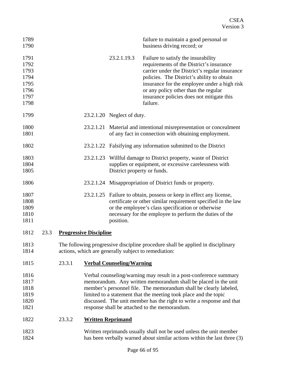| 1789<br>1790                                                 |      |        |                               |                                  | failure to maintain a good personal or<br>business driving record; or                                                                                                                                                                                                                                                                                                                                  |
|--------------------------------------------------------------|------|--------|-------------------------------|----------------------------------|--------------------------------------------------------------------------------------------------------------------------------------------------------------------------------------------------------------------------------------------------------------------------------------------------------------------------------------------------------------------------------------------------------|
| 1791<br>1792<br>1793<br>1794<br>1795<br>1796<br>1797<br>1798 |      |        |                               | 23.2.1.19.3                      | Failure to satisfy the insurability<br>requirements of the District's insurance<br>carrier under the District's regular insurance<br>policies. The District's ability to obtain<br>insurance for the employee under a high risk<br>or any policy other than the regular<br>insurance policies does not mitigate this<br>failure.                                                                       |
| 1799                                                         |      |        |                               | 23.2.1.20 Neglect of duty.       |                                                                                                                                                                                                                                                                                                                                                                                                        |
| 1800<br>1801                                                 |      |        |                               |                                  | 23.2.1.21 Material and intentional misrepresentation or concealment<br>of any fact in connection with obtaining employment.                                                                                                                                                                                                                                                                            |
| 1802                                                         |      |        |                               |                                  | 23.2.1.22 Falsifying any information submitted to the District                                                                                                                                                                                                                                                                                                                                         |
| 1803<br>1804<br>1805                                         |      |        |                               | District property or funds.      | 23.2.1.23 Willful damage to District property, waste of District<br>supplies or equipment, or excessive carelessness with                                                                                                                                                                                                                                                                              |
| 1806                                                         |      |        |                               |                                  | 23.2.1.24 Misappropriation of District funds or property.                                                                                                                                                                                                                                                                                                                                              |
| 1807<br>1808<br>1809<br>1810<br>1811                         |      |        |                               | position.                        | 23.2.1.25 Failure to obtain, possess or keep in effect any license,<br>certificate or other similar requirement specified in the law<br>or the employee's class specification or otherwise<br>necessary for the employee to perform the duties of the                                                                                                                                                  |
| 1812                                                         | 23.3 |        | <b>Progressive Discipline</b> |                                  |                                                                                                                                                                                                                                                                                                                                                                                                        |
| 1813<br>1814                                                 |      |        |                               |                                  | The following progressive discipline procedure shall be applied in disciplinary<br>actions, which are generally subject to remediation:                                                                                                                                                                                                                                                                |
| 1815                                                         |      | 23.3.1 |                               | <b>Verbal Counseling/Warning</b> |                                                                                                                                                                                                                                                                                                                                                                                                        |
| 1816<br>1817<br>1818<br>1819<br>1820<br>1821                 |      |        |                               |                                  | Verbal counseling/warning may result in a post-conference summary<br>memorandum. Any written memorandum shall be placed in the unit<br>member's personnel file. The memorandum shall be clearly labeled,<br>limited to a statement that the meeting took place and the topic<br>discussed. The unit member has the right to write a response and that<br>response shall be attached to the memorandum. |
| 1822                                                         |      | 23.3.2 |                               | <b>Written Reprimand</b>         |                                                                                                                                                                                                                                                                                                                                                                                                        |
| 1823<br>1824                                                 |      |        |                               |                                  | Written reprimands usually shall not be used unless the unit member<br>has been verbally warned about similar actions within the last three (3)                                                                                                                                                                                                                                                        |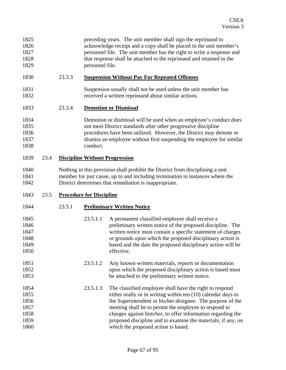| 1020 | 2222 | Cugnomaton Without Doy For Depeated Offenses                          |
|------|------|-----------------------------------------------------------------------|
| 1829 |      | personnel file.                                                       |
| 1828 |      | that response shall be attached to the reprimand and retained in the  |
| 1827 |      | personnel file. The unit member has the right to write a response and |
| 1826 |      | acknowledge receipt and a copy shall be placed in the unit member's   |
| 1825 |      | preceding years. The unit member shall sign the reprimand to          |

- 1830 23.3.3 **Suspension Without Pay For Repeated Offenses**
- 1831 1832 Suspension usually shall not be used unless the unit member has received a written reprimand about similar actions.

### 1833 23.3.4 **Demotion or Dismissal**

#### 1834 1835 1836 1837 1838 Demotion or dismissal will be used when an employee's conduct does not meet District standards after other progressive discipline procedures have been utilized. However, the District may demote or dismiss an employee without first suspending the employee for similar conduct.

### 1839 23.4 **Discipline Without Progression**

1840 1841 1842 Nothing in this provision shall prohibit the District from disciplining a unit member for just cause, up to and including termination in instances where the District determines that remediation is inappropriate.

### 1843 23.5 **Procedure for Discipline**

| 1844 | 23.5.1 |          | <b>Preliminary Written Notice</b>                            |
|------|--------|----------|--------------------------------------------------------------|
| 1845 |        | 23.5.1.1 | A permanent classified employee shall receive a              |
| 1846 |        |          | preliminary written notice of the proposed discipline. The   |
| 1847 |        |          | written notice must contain a specific statement of charges  |
| 1848 |        |          | or grounds upon which the proposed disciplinary action is    |
| 1849 |        |          | based and the date the proposed disciplinary action will be  |
| 1850 |        |          | effective.                                                   |
| 1851 |        | 23.5.1.2 | Any known written materials, reports or documentation        |
| 1852 |        |          | upon which the proposed disciplinary action is based must    |
| 1853 |        |          | be attached to the preliminary written notice.               |
| 1854 |        | 23.5.1.3 | The classified employee shall have the right to respond      |
| 1855 |        |          | either orally or in writing within ten (10) calendar days to |
| 1856 |        |          | the Superintendent or his/her designee. The purpose of the   |
| 1857 |        |          | meeting shall be to permit the employee to respond to        |
| 1858 |        |          | charges against him/her, to offer information regarding the  |
| 1859 |        |          | proposed discipline and to examine the materials, if any, on |
| 1860 |        |          | which the proposed action is based.                          |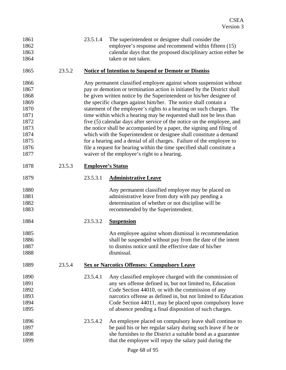| 1861 |        | 23.5.1.4                                                   | The superintendent or designee shall consider the                        |  |
|------|--------|------------------------------------------------------------|--------------------------------------------------------------------------|--|
| 1862 |        |                                                            | employee's response and recommend within fifteen (15)                    |  |
| 1863 |        |                                                            | calendar days that the proposed disciplinary action either be            |  |
| 1864 |        |                                                            | taken or not taken.                                                      |  |
| 1865 | 23.5.2 | <b>Notice of Intention to Suspend or Demote or Dismiss</b> |                                                                          |  |
| 1866 |        |                                                            | Any permanent classified employee against whom suspension without        |  |
| 1867 |        |                                                            | pay or demotion or termination action is initiated by the District shall |  |
| 1868 |        |                                                            | be given written notice by the Superintendent or his/her designee of     |  |
| 1869 |        |                                                            | the specific charges against him/her. The notice shall contain a         |  |
| 1870 |        |                                                            | statement of the employee's rights to a hearing on such charges. The     |  |
| 1871 |        |                                                            | time within which a hearing may be requested shall not be less than      |  |
| 1872 |        |                                                            | five (5) calendar days after service of the notice on the employee, and  |  |
| 1873 |        |                                                            | the notice shall be accompanied by a paper, the signing and filing of    |  |
| 1874 |        |                                                            | which with the Superintendent or designee shall constitute a demand      |  |
| 1875 |        |                                                            | for a hearing and a denial of all charges. Failure of the employee to    |  |
| 1876 |        |                                                            | file a request for hearing within the time specified shall constitute a  |  |
| 1877 |        |                                                            | waiver of the employee's right to a hearing.                             |  |
| 1878 | 23.5.3 | <b>Employee's Status</b>                                   |                                                                          |  |
| 1879 |        | 23.5.3.1                                                   | <b>Administrative Leave</b>                                              |  |
| 1880 |        |                                                            | Any permanent classified employee may be placed on                       |  |
| 1881 |        |                                                            | administrative leave from duty with pay pending a                        |  |
| 1882 |        |                                                            | determination of whether or not discipline will be                       |  |
| 1883 |        |                                                            | recommended by the Superintendent.                                       |  |
| 1884 |        | 23.5.3.2                                                   | <b>Suspension</b>                                                        |  |
| 1885 |        |                                                            | An employee against whom dismissal is recommendation                     |  |
| 1886 |        |                                                            | shall be suspended without pay from the date of the intent               |  |
| 1887 |        |                                                            | to dismiss notice until the effective date of his/her                    |  |
| 1888 |        |                                                            | dismissal.                                                               |  |
| 1889 | 23.5.4 |                                                            | <b>Sex or Narcotics Offenses: Compulsory Leave</b>                       |  |
| 1890 |        | 23.5.4.1                                                   | Any classified employee charged with the commission of                   |  |
| 1891 |        |                                                            | any sex offense defined in, but not limited to, Education                |  |
| 1892 |        |                                                            | Code Section 44010, or with the commission of any                        |  |
| 1893 |        |                                                            | narcotics offense as defined in, but not limited to Education            |  |
| 1894 |        |                                                            | Code Section 44011, may be placed upon compulsory leave                  |  |
| 1895 |        |                                                            | of absence pending a final disposition of such charges.                  |  |
| 1896 |        | 23.5.4.2                                                   | An employee placed on compulsory leave shall continue to                 |  |
| 1897 |        |                                                            | be paid his or her regular salary during such leave if he or             |  |
| 1898 |        |                                                            | she furnishes to the District a suitable bond as a guarantee             |  |
| 1899 |        |                                                            | that the employee will repay the salary paid during the                  |  |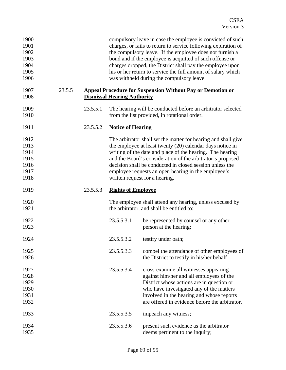| 1900<br>1901<br>1902<br>1903<br>1904<br>1905<br>1906 |        |          |                                    | compulsory leave in case the employee is convicted of such<br>charges, or fails to return to service following expiration of<br>the compulsory leave. If the employee does not furnish a<br>bond and if the employee is acquitted of such offense or<br>charges dropped, the District shall pay the employee upon<br>his or her return to service the full amount of salary which<br>was withheld during the compulsory leave. |
|------------------------------------------------------|--------|----------|------------------------------------|--------------------------------------------------------------------------------------------------------------------------------------------------------------------------------------------------------------------------------------------------------------------------------------------------------------------------------------------------------------------------------------------------------------------------------|
| 1907<br>1908                                         | 23.5.5 |          | <b>Dismissal Hearing Authority</b> | <b>Appeal Procedure for Suspension Without Pay or Demotion or</b>                                                                                                                                                                                                                                                                                                                                                              |
| 1909<br>1910                                         |        | 23.5.5.1 |                                    | The hearing will be conducted before an arbitrator selected<br>from the list provided, in rotational order.                                                                                                                                                                                                                                                                                                                    |
| 1911                                                 |        | 23.5.5.2 | <b>Notice of Hearing</b>           |                                                                                                                                                                                                                                                                                                                                                                                                                                |
| 1912<br>1913<br>1914<br>1915<br>1916<br>1917<br>1918 |        |          |                                    | The arbitrator shall set the matter for hearing and shall give<br>the employee at least twenty (20) calendar days notice in<br>writing of the date and place of the hearing. The hearing<br>and the Board's consideration of the arbitrator's proposed<br>decision shall be conducted in closed session unless the<br>employee requests an open hearing in the employee's<br>written request for a hearing.                    |
| 1919                                                 |        | 23.5.5.3 | <b>Rights of Employee</b>          |                                                                                                                                                                                                                                                                                                                                                                                                                                |
| 1920<br>1921                                         |        |          |                                    | The employee shall attend any hearing, unless excused by<br>the arbitrator, and shall be entitled to:                                                                                                                                                                                                                                                                                                                          |
| 1922<br>1923                                         |        |          | 23.5.5.3.1                         | be represented by counsel or any other<br>person at the hearing;                                                                                                                                                                                                                                                                                                                                                               |
| 1924                                                 |        |          | 23.5.5.3.2                         | testify under oath;                                                                                                                                                                                                                                                                                                                                                                                                            |
| 1925<br>1926                                         |        |          | 23.5.5.3.3                         | compel the attendance of other employees of<br>the District to testify in his/her behalf                                                                                                                                                                                                                                                                                                                                       |
| 1927<br>1928<br>1929<br>1930<br>1931<br>1932         |        |          | 23.5.5.3.4                         | cross-examine all witnesses appearing<br>against him/her and all employees of the<br>District whose actions are in question or<br>who have investigated any of the matters<br>involved in the hearing and whose reports<br>are offered in evidence before the arbitrator.                                                                                                                                                      |
| 1933                                                 |        |          | 23.5.5.3.5                         | impeach any witness;                                                                                                                                                                                                                                                                                                                                                                                                           |
| 1934<br>1935                                         |        |          | 23.5.5.3.6                         | present such evidence as the arbitrator<br>deems pertinent to the inquiry;                                                                                                                                                                                                                                                                                                                                                     |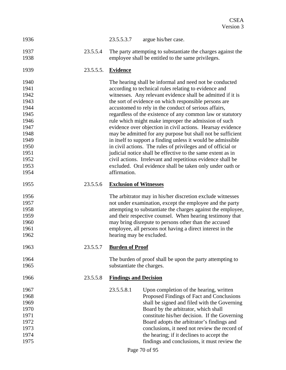| 1936         |           | 23.5.5.3.7<br>argue his/her case.                                                                                  |
|--------------|-----------|--------------------------------------------------------------------------------------------------------------------|
| 1937<br>1938 | 23.5.5.4  | The party attempting to substantiate the charges against the<br>employee shall be entitled to the same privileges. |
| 1939         | 23.5.5.5. | <b>Evidence</b>                                                                                                    |
| 1940         |           | The hearing shall be informal and need not be conducted                                                            |
| 1941         |           | according to technical rules relating to evidence and                                                              |
| 1942         |           | witnesses. Any relevant evidence shall be admitted if it is                                                        |
| 1943         |           | the sort of evidence on which responsible persons are                                                              |
| 1944         |           | accustomed to rely in the conduct of serious affairs,                                                              |
| 1945         |           | regardless of the existence of any common law or statutory                                                         |
| 1946         |           | rule which might make improper the admission of such                                                               |
| 1947         |           | evidence over objection in civil actions. Hearsay evidence                                                         |
| 1948         |           | may be admitted for any purpose but shall not be sufficient                                                        |
| 1949         |           | in itself to support a finding unless it would be admissible                                                       |
| 1950         |           | in civil actions. The rules of privileges and of official or                                                       |
| 1951         |           | judicial notice shall be effective to the same extent as in                                                        |
| 1952<br>1953 |           | civil actions. Irrelevant and repetitious evidence shall be                                                        |
| 1954         |           | excluded. Oral evidence shall be taken only under oath or<br>affirmation.                                          |
|              |           |                                                                                                                    |
| 1955         | 23.5.5.6  | <b>Exclusion of Witnesses</b>                                                                                      |
| 1956         |           | The arbitrator may in his/her discretion exclude witnesses                                                         |
| 1957         |           | not under examination, except the employee and the party                                                           |
| 1958         |           | attempting to substantiate the charges against the employee,                                                       |
| 1959         |           | and their respective counsel. When hearing testimony that                                                          |
| 1960         |           | may bring disrepute to persons other than the accused                                                              |
| 1961         |           | employee, all persons not having a direct interest in the                                                          |
| 1962         |           | hearing may be excluded.                                                                                           |
| 1963         | 23.5.5.7  | <b>Burden of Proof</b>                                                                                             |
| 1964         |           | The burden of proof shall be upon the party attempting to                                                          |
| 1965         |           | substantiate the charges.                                                                                          |
| 1966         | 23.5.5.8  | <b>Findings and Decision</b>                                                                                       |
| 1967         |           | 23.5.5.8.1<br>Upon completion of the hearing, written                                                              |
| 1968         |           | Proposed Findings of Fact and Conclusions                                                                          |
| 1969         |           | shall be signed and filed with the Governing                                                                       |
| 1970         |           | Board by the arbitrator, which shall                                                                               |
| 1971         |           | constitute his/her decision. If the Governing                                                                      |
| 1972         |           | Board adopts the arbitrator's findings and                                                                         |
| 1973         |           | conclusions, it need not review the record of                                                                      |
| 1974         |           | the hearing; if it declines to accept the                                                                          |
| 1975         |           | findings and conclusions, it must review the                                                                       |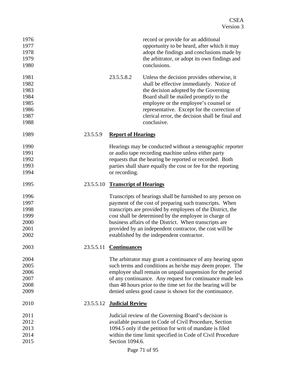| 1976<br>1977<br>1978<br>1979<br>1980                         |           |                               | record or provide for an additional<br>opportunity to be heard, after which it may<br>adopt the findings and conclusions made by<br>the arbitrator, or adopt its own findings and<br>conclusions.                                                                                                                                                                                                                |
|--------------------------------------------------------------|-----------|-------------------------------|------------------------------------------------------------------------------------------------------------------------------------------------------------------------------------------------------------------------------------------------------------------------------------------------------------------------------------------------------------------------------------------------------------------|
| 1981<br>1982<br>1983<br>1984<br>1985<br>1986<br>1987<br>1988 |           | 23.5.5.8.2                    | Unless the decision provides otherwise, it<br>shall be effective immediately. Notice of<br>the decision adopted by the Governing<br>Board shall be mailed promptly to the<br>employee or the employee's counsel or<br>representative. Except for the correction of<br>clerical error, the decision shall be final and<br>conclusive.                                                                             |
| 1989                                                         | 23.5.5.9  | <b>Report of Hearings</b>     |                                                                                                                                                                                                                                                                                                                                                                                                                  |
| 1990<br>1991<br>1992<br>1993<br>1994                         |           | or recording.                 | Hearings may be conducted without a stenographic reporter<br>or audio tape recording machine unless either party<br>requests that the hearing be reported or recorded. Both<br>parties shall share equally the cost or fee for the reporting                                                                                                                                                                     |
| 1995                                                         | 23.5.5.10 | <b>Transcript of Hearings</b> |                                                                                                                                                                                                                                                                                                                                                                                                                  |
| 1996<br>1997<br>1998<br>1999<br>2000<br>2001<br>2002         |           |                               | Transcripts of hearings shall be furnished to any person on<br>payment of the cost of preparing such transcripts. When<br>transcripts are provided by employees of the District, the<br>cost shall be determined by the employee in charge of<br>business affairs of the District. When transcripts are<br>provided by an independent contractor, the cost will be<br>established by the independent contractor. |
| 2003                                                         | 23.5.5.11 | <b>Continuances</b>           |                                                                                                                                                                                                                                                                                                                                                                                                                  |
| 2004<br>2005<br>2006<br>2007<br>2008<br>2009                 |           |                               | The arbitrator may grant a continuance of any hearing upon<br>such terms and conditions as he/she may deem proper. The<br>employee shall remain on unpaid suspension for the period<br>of any continuance. Any request for continuance made less<br>than 48 hours prior to the time set for the hearing will be<br>denied unless good cause is shown for the continuance.                                        |
| 2010                                                         | 23.5.5.12 | <b>Judicial Review</b>        |                                                                                                                                                                                                                                                                                                                                                                                                                  |
| 2011<br>2012<br>2013<br>2014<br>2015                         |           | Section 1094.6.               | Judicial review of the Governing Board's decision is<br>available pursuant to Code of Civil Procedure, Section<br>1094.5 only if the petition for writ of mandate is filed<br>within the time limit specified in Code of Civil Procedure                                                                                                                                                                         |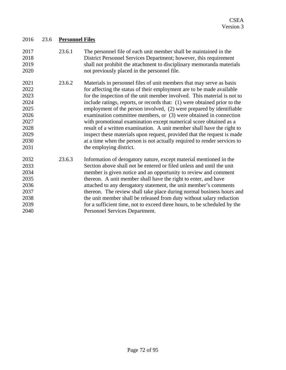| 2016 | 23.6 | <b>Personnel Files</b> |
|------|------|------------------------|
|      |      |                        |

- 2017 2018 2019 2020 23.6.1 The personnel file of each unit member shall be maintained in the District Personnel Services Department; however, this requirement shall not prohibit the attachment to disciplinary memoranda materials not previously placed in the personnel file.
- 2021 2022 2023 2024 2025 2026 2027 2028 2029 2030 2031 23.6.2 Materials in personnel files of unit members that may serve as basis for affecting the status of their employment are to be made available for the inspection of the unit member involved. This material is not to include ratings, reports, or records that: (1) were obtained prior to the employment of the person involved, (2) were prepared by identifiable examination committee members, or (3) were obtained in connection with promotional examination except numerical score obtained as a result of a written examination. A unit member shall have the right to inspect these materials upon request, provided that the request is made at a time when the person is not actually required to render services to the employing district.
- 2032 2033 2034 2035 2036 2037 2038 2039 2040 23.6.3 Information of derogatory nature, except material mentioned in the Section above shall not be entered or filed unless and until the unit member is given notice and an opportunity to review and comment thereon. A unit member shall have the right to enter, and have attached to any derogatory statement, the unit member's comments thereon. The review shall take place during normal business hours and the unit member shall be released from duty without salary reduction for a sufficient time, not to exceed three hours, to be scheduled by the Personnel Services Department.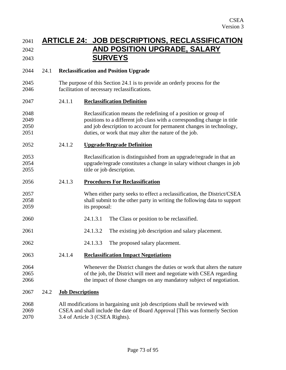## 2041 **ARTICLE 24: JOB DESCRIPTIONS, RECLASSIFICATION**  2042 **AND POSITION UPGRADE, SALARY**  2043 **SURVEYS**

#### 2044 24.1 **Reclassification and Position Upgrade**

2045 2046 The purpose of this Section 24.1 is to provide an orderly process for the facilitation of necessary reclassifications.

#### 2047 24.1.1 **Reclassification Definition**

- 2048 2049 2050 2051 Reclassification means the redefining of a position or group of positions to a different job class with a corresponding change in title and job description to account for permanent changes in technology, duties, or work that may alter the nature of the job.
- 2052 24.1.2 **Upgrade/Regrade Definition**
- 2053 2054 2055 Reclassification is distinguished from an upgrade/regrade in that an upgrade/regrade constitutes a change in salary without changes in job title or job description.

#### 2056 24.1.3 **Procedures For Reclassification**

- 2057 2058 2059 When either party seeks to effect a reclassification, the District/CSEA shall submit to the other party in writing the following data to support its proposal:
- 2060 24.1.3.1 The Class or position to be reclassified.
- 2061 24.1.3.2 The existing job description and salary placement.
- 2062 24.1.3.3 The proposed salary placement.

#### 2063 24.1.4 **Reclassification Impact Negotiations**

#### 2064 2065 2066 Whenever the District changes the duties or work that alters the nature of the job, the District will meet and negotiate with CSEA regarding the impact of those changes on any mandatory subject of negotiation.

#### 2067 24.2 **Job Descriptions**

2068 2069 2070 All modifications in bargaining unit job descriptions shall be reviewed with CSEA and shall include the date of Board Approval [This was formerly Section 3.4 of Article 3 (CSEA Rights).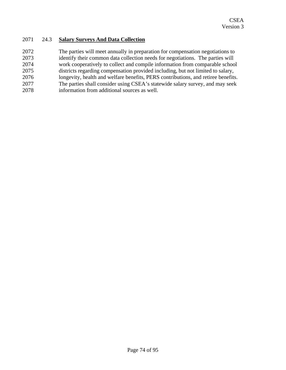### 2071 24.3 **Salary Surveys And Data Collection**

2072 2073 2074 2075 2076 2077 2078 The parties will meet annually in preparation for compensation negotiations to identify their common data collection needs for negotiations. The parties will work cooperatively to collect and compile information from comparable school districts regarding compensation provided including, but not limited to salary, longevity, health and welfare benefits, PERS contributions, and retiree benefits. The parties shall consider using CSEA's statewide salary survey, and may seek information from additional sources as well.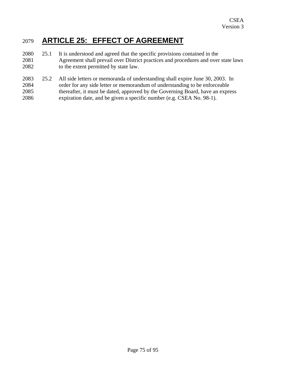# 2079 **ARTICLE 25: EFFECT OF AGREEMENT**

- 2080 2081 2082 25.1 It is understood and agreed that the specific provisions contained in the Agreement shall prevail over District practices and procedures and over state laws to the extent permitted by state law.
- 2083 2084 2085 2086 25.2 All side letters or memoranda of understanding shall expire June 30, 2003. In order for any side letter or memorandum of understanding to be enforceable thereafter, it must be dated, approved by the Governing Board, have an express expiration date, and be given a specific number (e.g. CSEA No. 98-1).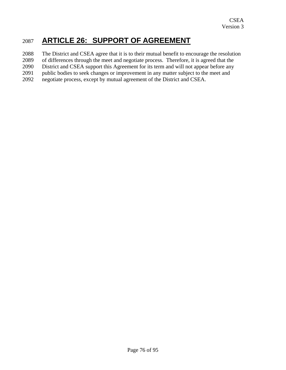# 2087 **ARTICLE 26: SUPPORT OF AGREEMENT**

2088 The District and CSEA agree that it is to their mutual benefit to encourage the resolution

2089 of differences through the meet and negotiate process. Therefore, it is agreed that the

2090 District and CSEA support this Agreement for its term and will not appear before any

2091 public bodies to seek changes or improvement in any matter subject to the meet and

2092 negotiate process, except by mutual agreement of the District and CSEA.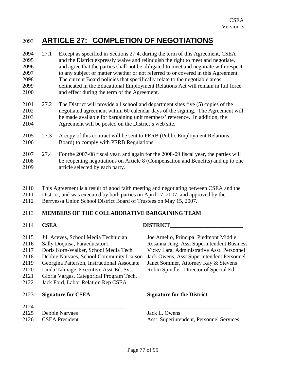## 2093 **ARTICLE 27: COMPLETION OF NEGOTIATIONS**

- 2094 2095 2096 2097 2098 2099 2100 27.1 Except as specified in Sections 27.4, during the term of this Agreement, CSEA and the District expressly waive and relinquish the right to meet and negotiate, and agree that the parties shall not be obligated to meet and negotiate with respect to any subject or matter whether or not referred to or covered in this Agreement. The current Board policies that specifically relate to the negotiable areas delineated in the Educational Employment Relations Act will remain in full force and effect during the term of the Agreement.
- 2101 2102 2103 2104 27.2 The District will provide all school and department sites five (5) copies of the negotiated agreement within 60 calendar days of the signing. The Agreement will be made available for bargaining unit members' reference. In addition, the Agreement will be posted on the District's web site.
- 2105 2106 27.3 A copy of this contract will be sent to PERB (Public Employment Relations Board) to comply with PERB Regulations.
- 2107 2108 2109 27.4 For the 2007-08 fiscal year, and again for the 2008-09 fiscal year, the parties will be reopening negotiations on Article 8 (Compensation and Benefits) and up to one article selected by each party.
- 2110 This Agreement is a result of good faith meeting and negotiating between CSEA and the
- 2111 District, and was executed by both parties on April 17, 2007, and approved by the
- 2112 Berryessa Union School District Board of Trustees on May 15, 2007.

#### 2113 **MEMBERS OF THE COLLABORATIVE BARGAINING TEAM**

2114 **CSEA DISTRICT** 2115 2116 2117 2118 2119 2120 2121 2122 2123 2124 2125 2126 Jill Aceves, School Media Technician Joe Amelio, Principal Piedmont Middle Sally Doquisa, Paraeducator I Rosanna Jeng, Asst Superintendent Business Doris Korn-Walker, School Media Tech. Vicky Lara, Administrative Asst. Personnel Debbie Narvaes, School Community Liaison Jack Owens, Asst Superintendent Personnel Georgina Patterson, Instructional Associate Janet Sommer, Attorney Kay & Stevens Linda Talmage, Executive Asst-Ed. Svs. Robin Spindler, Director of Special Ed. Gloria Vargas, Categorical Program Tech. Jack Ford, Labor Relation Rep CSEA **Signature for CSEA Signature for the District**  \_\_\_\_\_\_\_\_\_\_\_\_\_\_\_\_\_\_\_\_\_\_\_\_\_\_\_\_\_\_ \_\_\_\_\_\_\_\_\_\_\_\_\_\_\_\_\_\_\_\_\_\_\_\_\_\_\_\_\_\_ Debbie Narvaes Jack L. Owens CSEA President Asst. Superintendent, Personnel Services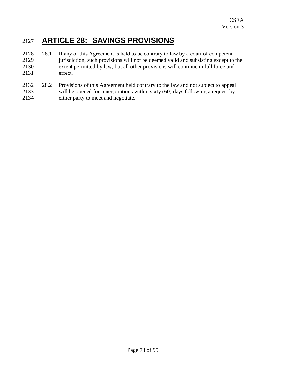# 2127 **ARTICLE 28: SAVINGS PROVISIONS**

- 2128 2129 2130 2131 28.1 If any of this Agreement is held to be contrary to law by a court of competent jurisdiction, such provisions will not be deemed valid and subsisting except to the extent permitted by law, but all other provisions will continue in full force and effect.
- 2132 2133 2134 28.2 Provisions of this Agreement held contrary to the law and not subject to appeal will be opened for renegotiations within sixty (60) days following a request by either party to meet and negotiate.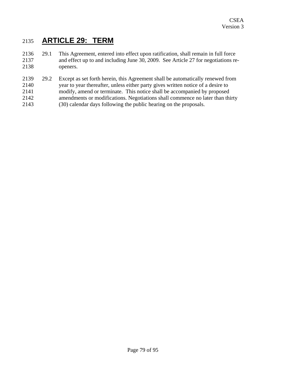# 2135 **ARTICLE 29: TERM**

- 2136 2137 2138 29.1 This Agreement, entered into effect upon ratification, shall remain in full force and effect up to and including June 30, 2009. See Article 27 for negotiations reopeners.
- 2139 2140 2141 2142 2143 29.2 Except as set forth herein, this Agreement shall be automatically renewed from year to year thereafter, unless either party gives written notice of a desire to modify, amend or terminate. This notice shall be accompanied by proposed amendments or modifications. Negotiations shall commence no later than thirty (30) calendar days following the public hearing on the proposals.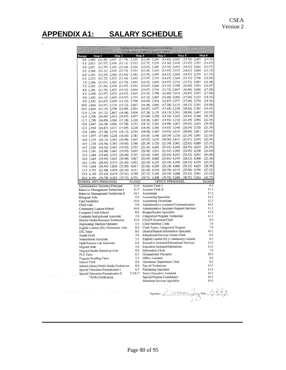# **APPENDIX A1: SALARY SCHEDULE**

|                                                                                 |              | California School Employees Association |                                                  |                                    |                    |
|---------------------------------------------------------------------------------|--------------|-----------------------------------------|--------------------------------------------------|------------------------------------|--------------------|
|                                                                                 |              | (From July 1, 2006 to June 30, 2007)    |                                                  |                                    |                    |
| Step 2<br>Range<br>Step 1                                                       |              | Step 3                                  | Step 4                                           | Step 5                             | Step 6             |
| 4.0 1,966<br>$(11.30)$ 2,051 $(11.79)$ 2,163                                    |              | $(12.44)$ 2,266                         | $(13.03)$ 2,383                                  | $(13.70)$ 2,493<br>$(13.97)$ 2,552 | (14.33)<br>(14.67) |
| 4.5 2,013<br>$(11.57)$ 2,106 $(12.11)$                                          | 2,212        | $(12.72)$ 2,323<br>$(13.03)$ 2,383      | $(13.36)$ 2,430<br>$(13.70)$ 2,493               | $(14.33)$ 2,604                    | (14.97)            |
| $(12.44)$ 2,266<br>5.0 2,051<br>$(11.79)$ 2,163                                 |              | $(13.36)$ 2,430                         | $(13.97)$ 2,552                                  | $(14.67)$ 2,669                    | (15.35)            |
| $(12.11)$ 2,212 $(12.72)$ 2,323<br>5.5 2,106<br>$(12.44)$ 2,266 $(13.03)$ 2,383 |              | $(13.70)$ 2,493                         | $(14.33)$ 2,604                                  | $(14.97)$ 2,734                    | (15.72)            |
| 6.02,163<br>$(12.72)$ $2,323$ $(13.36)$ $2,430$                                 |              | $(13.97)$ 2,552                         | $(14.67)$ 2,669                                  | $(15.35)$ 2,798                    | (16.09)            |
| 6.5 2,212<br>$(13.03)$ 2,383 $(13.70)$ 2,493<br>7.0 2,266                       |              | $(14.33)$ 2,604                         | $(14.97)$ 2,734                                  | $(15.72)$ 2,867                    | (16.48)            |
| 7.5 2,323<br>$(13.36)$ 2,430 $(13.97)$ 2,552                                    |              | $(14.67)$ 2,669                         | $(15.35)$ 2,798                                  | $(16.09)$ 2,934                    | (16.87)            |
| 8.0 2.383<br>$(13.70)$ 2,493 $(14.33)$                                          | 2,604        | $(14.97)$ 2,734                         | $(15.72)$ 2,867                                  | $(16.48)$ 3,006                    | (17.28)            |
| $(13.97)$ 2,552 $(14.67)$ 2,669<br>8.5 2,430                                    |              | $(15.35)$ 2,798                         | $(16.09)$ 2,934                                  | $(16.87)$ 3,077                    | (17.69)            |
| $(14.33)$ 2,604 $(14.97)$ 2,734<br>9.0 2,493                                    |              | $(15.72)$ 2,867                         | $(16.48)$ 3,006                                  | $(17.28)$ 3,153                    | (18.13)            |
| $(14.67)$ 2,669 $(15.35)$ 2,798<br>9.5 2,552                                    |              | $(16.09)$ 2,934                         | $(16.87)$ 3,077                                  | $(17.69)$ 3,228                    | (18.56)            |
| $(14.97)$ 2,734 $(15.72)$ 2,867<br>10.0 2,604                                   |              | $(16.48)$ 3,006                         | $(17.28)$ 3,153                                  | $(18.13)$ 3,301                    | (18.98)            |
| $(15.35)$ 2,798 $(16.09)$ 2,934<br>10.5 2,669                                   |              | $(16.87)$ 3,077                         | $(17.69)$ 3,228                                  | $(18.56)$ 3,383                    | (19.45)            |
| $(15.72)$ 2,867 $(16.48)$ 3,006<br>11.0 2,734                                   |              | $(17.28)$ 3,153                         | $(18.13)$ 3,301                                  | $(18.98)$ 3,467                    | (19.93)            |
| $(16.09)$ 2,934 $(16.87)$ 3,077<br>11.5 2,798                                   |              | $(17.69)$ 3,228                         | $(18.56)$ 3,383                                  | $(19.45)$ 3,546                    | (20.39)            |
| $(16.09)$ 3,006 $(17.28)$ 3,228<br>11.7 2,798                                   |              | $(18.56)$ 3,467                         | $(19.93)$ 3,720                                  | $(21.39)$ 3,992                    | (22.95)            |
| $(16.48)$ 3,006 $(17.28)$ 3,153<br>12.0 2,867                                   |              | $(18.13)$ 3,301                         | $(18.98)$ 3,467                                  | $(19.93)$ 3,635                    | (20.90)            |
| 12.5 2,934<br>$(16.87)$ 3,077 $(17.69)$ 3,228                                   |              | $(18.56)$ 3,383                         | $(19.45)$ 3,546                                  | $(20.39)$ 3,720                    | (21.39)            |
| $(17.28)$ 3,153 $(18.13)$ 3,301<br>13.0 3,006                                   |              | $(18.98)$ 3,467                         | $(19.93)$ 3,635                                  | $(20.90)$ 3,811                    | (21.91)            |
| $(17.69)$ 3,228 $(18.56)$ 3,383<br>13.5 3,077                                   |              | $(19.45)$ 3,546                         | $(20.39)$ 3,720                                  | $(21.39)$ 3,901                    | (22.43)            |
| $(18.13)$ 3,301 $(18.98)$ 3,467<br>14.0 3,153                                   |              | $(19.93)$ 3,635                         | $(20.90)$ 3,811                                  | $(21.91)$ 3,992                    | (22.95)            |
| $(19.45)$ 3,546<br>14.5 3,228<br>$(18.56)$ 3,383                                |              | $(20.39)$ 3,720                         | $(21.39)$ 3,901                                  | $(22.43)$ 4,089                    | (23.51)            |
| $(18.56)$ 3,467 $(19.93)$ 3,725<br>14.7 3,228                                   |              | $(21.42)$ 4,002                         | $(23.01)$ 4,300                                  | $(24.72)$ 4,625                    | (26.59)            |
| 15.0 3,301<br>$(18.98)$ 3,467<br>$(19.93)$ 3,635                                |              | $(20.90)$ 3,811                         | $(21.91)$ 3,992                                  | $(22.95)$ 4,190                    | (24.09)            |
| $(19.46)$ 3,555<br>$(20.44)$ 3,725<br>15.5 3,384                                |              | $(21.42)$ 3,905                         | $(22.45)$ 4,091                                  | $(23.52)$ 4,293                    | (24.68)            |
| $(20.94)$ 3,817<br>16.0 3,469<br>$(19.95)$ 3,642                                |              | $(21.95)$ 4,002                         | $(23.01)$ 4,195                                  | $(24.12)$ 4,400                    | (25.30)            |
| $(21.46)$ 3,912<br>$(20.45)$ 3,733<br>16.5 3,556                                |              | $(22.49)$ 4,103                         | $(23.59)$ 4,300                                  | $(24.72)$ 4,510                    | (25.93)            |
| $(20.95)$ 3,826 $(22.00)$ 4,011<br>17.0 3,644                                   |              | $(23.06)$ 4,205                         | $(24.18)$ 4,406                                  | $(25.33)$ 4,625                    | (26.59)            |
| $(21.48)$ 3,924<br>$(22.56)$ 4,111<br>17.5 3,735                                |              | $(23.64)$ 4,310                         | $(24.78)$ 4,519                                  | $(25.98)$ 4,740                    | (27.25)            |
| 25.0 4,109<br>$(23.63)$ 4,419 $(25.41)$ 4,749                                   |              | $(27.31)$ 5,105                         | $(29.35)$ 5,488                                  | $(31.55)$ 5,901                    | (33.93)            |
| $(37.73)$ 6,733<br>$(36.78)$ 6,562<br>26.0 6,396                                |              | $(38.71)$ 6,908                         | $(39.72)$ 7,088                                  | $(40.75)$ 7,264                    | (41.77)            |
| <b>SCHOOL SITE PERSONNEL</b>                                                    | <b>RANGE</b> |                                         | OFFICE PERSONNEL                                 |                                    | <b>RANGE</b>       |
| Administrative Secretary/Principal                                              | 11.0         | Account Clerk I                         |                                                  |                                    | 9.5                |
| Behavior Management Technician I                                                | 11.7         | Account Clerk II                        |                                                  |                                    | 11.5               |
| Behavior Management Technician II                                               | 14.7         | Accountant                              |                                                  |                                    | 17.5               |
| <b>Bilingual Aide</b>                                                           | 5.0          | <b>Accounting Specialist</b>            |                                                  |                                    | 14.5               |
| Case Facilitator                                                                | 25.0         | Accounting Technician                   |                                                  |                                    | 12.5               |
| Child Aide                                                                      | 5.0          |                                         | Administrative Assistant/Communication           |                                    | 16.0               |
| Community Liaison-School                                                        | 10.0         |                                         | <b>Administrative Secretary/Support Services</b> |                                    | 11.5               |
| Computer Clerk School                                                           | 8.0          | Budget/System Specialist                |                                                  |                                    | 15.0               |
| Computer Instructional Associate                                                | 7.0          |                                         | Categorical Program Technician                   |                                    | 13.5               |
| District Media Resource Technician                                              | 11.0         | <b>CELDT</b> Examiner/Clerk             |                                                  |                                    | 8.0                |
| Duplicating Machine Operator                                                    | 5.5          | <b>Child Nutrition Clerk</b>            |                                                  |                                    | 7.0                |
| English Learner (EL) Newcomer Aide                                              | 8.0          |                                         | Clerk Typist, Categorical Program                |                                    | 7.0                |
| <b>ESL Tutor</b>                                                                | 8.0          |                                         | District/Student Information Specialist          |                                    | 16.5               |
| <b>Health Clerk</b>                                                             | 7.0          |                                         | <b>Educational Services Center Clerk</b>         |                                    | 8.0                |
| <b>Instructional Associate</b>                                                  | 5.5          |                                         | English Learner (EL) Community Liaison           |                                    | 6.5                |
| Math/Science Lab Associate                                                      | 6.0          |                                         | Executive Assistant/Educational Services         |                                    | 13.0               |
| Migrant Aide                                                                    | 5.0          |                                         | <b>Executive Assistant/Operations</b>            |                                    | 13.0               |
| Migrant Health Statistical Aide                                                 | 8.0          | <b>Information Clerk</b>                |                                                  |                                    | 7.0                |
| <b>PLA Tutor</b>                                                                | 6.5          | Occupational Therapist                  |                                                  |                                    | 26.0               |
| Program Reading Tutor                                                           | 5.5          | Office Assistant                        |                                                  |                                    | 8.0                |
| School Clerk                                                                    | 8.0          |                                         | Operations Department Clerk                      |                                    | 8.0                |
| School Library/Multi Media Technician                                           | 8.0          | Payroll Technician                      |                                                  |                                    | 14.5               |
| Special Education Paraeducator I                                                | 6.5          | <b>Purchasing Specialist</b>            |                                                  |                                    | 13.0               |
| Special Education Paraeducator II                                               | $7.5/8.5*$   | Senior Executive Assistant              |                                                  |                                    | 16.5               |
| *With Certification                                                             |              | Special Projects Coordinator            |                                                  |                                    | 16.5               |
|                                                                                 |              |                                         | Substitute Services Specialist                   |                                    | 10.0               |

Signature L'14 crin de G/5/07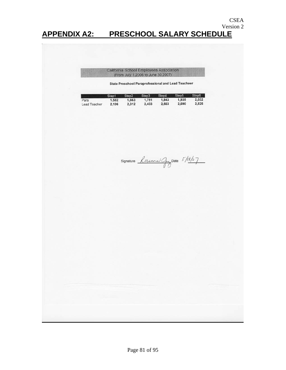### Version 2 **APPENDIX A2: PRESCHOOL SALARY SCHEDULE**

#### California School Employees Association (From July 1,2006 to June 30,2007)

**State Preschool Paraprofessional and Lead Teacheer** 

CSEA

|              | Step1 | Step <sub>2</sub> | Step3 | Step4 | Step <sub>5</sub> | Step6 |
|--------------|-------|-------------------|-------|-------|-------------------|-------|
| Para         | 1.582 | 1.663             | 1.751 | 1,843 | 1.935             | 2,032 |
| Lead Teacher | 2,196 | 2.312             | 2.433 | 2.563 | 2.690             | 2.825 |

Signature  $log_{ann-1}/(3/8)$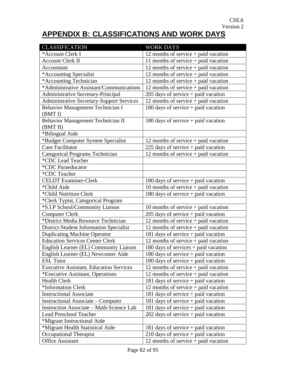# **APPENDIX B: CLASSIFICATIONS AND WORK DAYS**

| <b>CLASSIFICATION</b>                            | <b>WORK DAYS</b>                       |
|--------------------------------------------------|----------------------------------------|
| *Account Clerk I                                 | 12 months of service $+$ paid vacation |
| <b>Account Clerk II</b>                          | 11 months of service $+$ paid vacation |
| Accountant                                       | 12 months of service $+$ paid vacation |
| *Accounting Specialist                           | 12 months of service $+$ paid vacation |
| *Accounting Technician                           | 12 months of service + paid vacation   |
| *Administrative Assistant/Communications         | 12 months of service $+$ paid vacation |
| Administrative Secretary-Principal               | 205 days of service + paid vacation    |
| <b>Administrative Secretary-Support Services</b> | 12 months of service + paid vacation   |
| Behavior Management Technician I                 | 180 days of service $+$ paid vacation  |
| (BMT I)                                          |                                        |
| Behavior Management Technician II                | 180 days of service $+$ paid vacation  |
| (BMT II)                                         |                                        |
| *Bilingual Aide                                  |                                        |
| *Budget Computer System Specialist               | 12 months of service + paid vacation   |
| <b>Case Facilitator</b>                          | 225 days of service $+$ paid vacation  |
| <b>Categorical Programs Technician</b>           | 12 months of service + paid vacation   |
| *CDC Lead Teacher                                |                                        |
| *CDC Paraeducator                                |                                        |
| *CDC Teacher                                     |                                        |
| <b>CELDT</b> Examiner-Clerk                      | 180 days of service $+$ paid vacation  |
| *Child Aide                                      | 10 months of service + paid vacation   |
| *Child Nutrition Clerk                           | 180 days of service + paid vacation    |
| *Clerk Typist, Categorical Program               |                                        |
| *S.I.P School/Community Liaison                  | 10 months of service $+$ paid vacation |
| <b>Computer Clerk</b>                            | $205$ days of service + paid vacation  |
| *District Media Resource Technician              | 12 months of service $+$ paid vacation |
| District-Student Information Specialist          | 12 months of service + paid vacation   |
| <b>Duplicating Machine Operator</b>              | 181 days of service + paid vacation    |
| <b>Education Services Center Clerk</b>           | 12 months of service + paid vacation   |
| English Learner (EL) Community Liaison           | 180 days of services + paid vacation   |
| English Learner (EL) Newcomer Aide               | $180$ days of service + paid vacation  |
| <b>ESL Tutor</b>                                 | 180 days of service $+$ paid vacation  |
| <b>Executive Assistant, Education Services</b>   | 12 months of service + paid vacation   |
| *Executive Assistant, Operations                 | 12 months of service $+$ paid vacation |
| <b>Health Clerk</b>                              | 181 days of service $+$ paid vacation  |
| *Information Clerk                               | 12 months of service $+$ paid vacation |
| <b>Instructional Associate</b>                   | 181 days of service + paid vacation    |
| Instructional Associate – Computer               | 181 days of service $+$ paid vacation  |
| Instruction Associate - Math-Science Lab         | 181 days of service $+$ paid vacation  |
| <b>Lead Preschool Teacher</b>                    | $202$ days of service + paid vacation  |
| *Migrant Instructional Aide                      |                                        |
| *Migrant Health Statistical Aide                 | 181 days of service + paid vacation    |
| Occupational Therapist                           | $210$ days of service + paid vacation  |
| <b>Office Assistant</b>                          | 12 months of service $+$ paid vacation |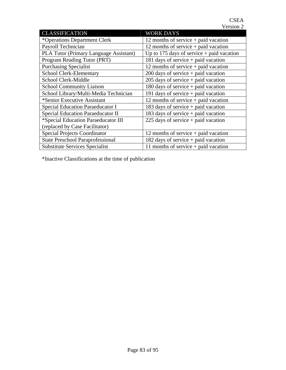| <b>CLASSIFICATION</b>                   | <b>WORK DAYS</b>                            |
|-----------------------------------------|---------------------------------------------|
| *Operations Department Clerk            | 12 months of service $+$ paid vacation      |
| Payroll Technician                      | 12 months of service $+$ paid vacation      |
| PLA Tutor (Primary Language Assistant)  | Up to 175 days of service $+$ paid vacation |
| Program Reading Tutor (PRT)             | 181 days of service $+$ paid vacation       |
| <b>Purchasing Specialist</b>            | 12 months of service $+$ paid vacation      |
| School Clerk-Elementary                 | $200$ days of service + paid vacation       |
| School Clerk-Middle                     | $205$ days of service + paid vacation       |
| <b>School Community Liaison</b>         | 180 days of service $+$ paid vacation       |
| School Library/Multi-Media Technician   | 191 days of service $+$ paid vacation       |
| *Senior Executive Assistant             | 12 months of service $+$ paid vacation      |
| Special Education Paraeducator I        | 183 days of service + paid vacation         |
| Special Education Paraeducator II       | 183 days of service + paid vacation         |
| *Special Education Paraeducator III     | 225 days of service $+$ paid vacation       |
| (replaced by Case Facilitator)          |                                             |
| <b>Special Projects Coordinator</b>     | 12 months of service $+$ paid vacation      |
| <b>State Preschool Paraprofessional</b> | 182 days of service $+$ paid vacation       |
| <b>Substitute Services Specialist</b>   | 11 months of service $+$ paid vacation      |

\*Inactive Classifications at the time of publication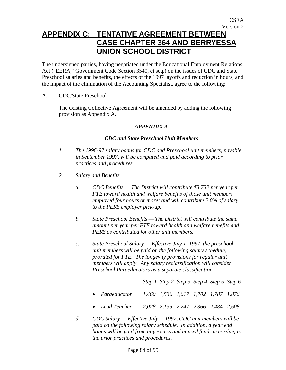### **APPENDIX C: TENTATIVE AGREEMENT BETWEEN CASE CHAPTER 364 AND BERRYESSA UNION SCHOOL DISTRICT**

The undersigned parties, having negotiated under the Educational Employment Relations Act ("EERA," Government Code Section 3540, et seq.) on the issues of CDC and State Preschool salaries and benefits, the effects of the 1997 layoffs and reduction in hours, and the impact of the elimination of the Accounting Specialist, agree to the following:

A. CDC/State Preschool

The existing Collective Agreement will be amended by adding the following provision as Appendix A.

#### *APPENDIX A*

#### *CDC and State Preschool Unit Members*

- *1. The 1996-97 salary bonus for CDC and Preschool unit members, payable in September 1997, will be computed and paid according to prior practices and procedures.*
- *2. Salary and Benefits* 
	- a. *CDC Benefits The District will contribute \$3,732 per year per FTE toward health and welfare benefits of those unit members employed four hours or more; and will contribute 2.0% of salary to the PERS employer pick-up.*
	- *b. State Preschool Benefits The District will contribute the same amount per year per FTE toward health and welfare benefits and PERS as contributed for other unit members.*
	- *c. State Preschool Salary Effective July 1, 1997, the preschool unit members will be paid on the following salary schedule, prorated for FTE. The longevity provisions for regular unit members will apply. Any salary reclassification will consider Preschool Paraeducators as a separate classification.*

*Step 1 Step 2 Step 3 Step 4 Step 5 Step 6*

- *Paraeducator 1,460 1,536 1,617 1,702 1,787 1,876*
- *Lead Teacher 2,028 2,135 2,247 2,366 2,484 2,608*
- *d. CDC Salary Effective July 1, 1997, CDC unit members will be paid on the following salary schedule. In addition, a year end bonus will be paid from any excess and unused funds according to the prior practices and procedures.*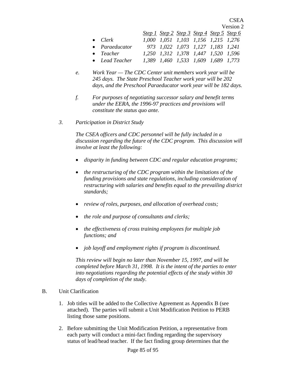Version 2  *Step 1 Step 2 Step 3 Step 4 Step 5 Step 6* • *Clerk 1,000 1,051 1,103 1,156 1,215 1,276*  • *Paraeducator 973 1,022 1,073 1,127 1,183 1,241*  • *Teacher 1,250 1,312 1,378 1,447 1,520 1,596*  • *Lead Teacher 1,389 1,460 1,533 1,609 1,689 1,773* 

CSEA

- *e. Work Year The CDC Center unit members work year will be 245 days. The State Preschool Teacher work year will be 202 days, and the Preschool Paraeducator work year will be 182 days.*
- *f. For purposes of negotiating successor salary and benefit terms under the EERA, the 1996-97 practices and provisions will constitute the status quo ante.*
- *3. Participation in District Study*

*The CSEA officers and CDC personnel will be fully included in a discussion regarding the future of the CDC program. This discussion will involve at least the following:* 

- *disparity in funding between CDC and regular education programs;*
- *the restructuring of the CDC program within the limitations of the funding provisions and state regulations, including consideration of restructuring with salaries and benefits equal to the prevailing district standards;*
- *review of roles, purposes, and allocation of overhead costs;*
- *the role and purpose of consultants and clerks;*
- *the effectiveness of cross training employees for multiple job functions; and*
- *job layoff and employment rights if program is discontinued.*

*This review will begin no later than November 15, 1997, and will be completed before March 31, 1998. It is the intent of the parties to enter into negotiations regarding the potential effects of the study within 30 days of completion of the study.* 

- B. Unit Clarification
	- 1. Job titles will be added to the Collective Agreement as Appendix B (see attached). The parties will submit a Unit Modification Petition to PERB listing those same positions.
	- 2. Before submitting the Unit Modification Petition, a representative from each party will conduct a mini-fact finding regarding the supervisory status of lead/head teacher. If the fact finding group determines that the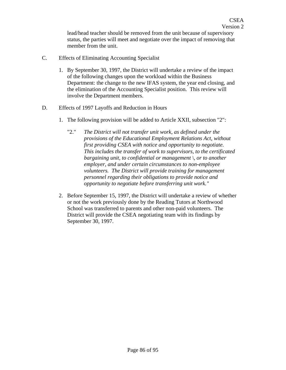lead/head teacher should be removed from the unit because of supervisory status, the parties will meet and negotiate over the impact of removing that member from the unit.

- C. Effects of Eliminating Accounting Specialist
	- 1. By September 30, 1997, the District will undertake a review of the impact of the following changes upon the workload within the Business Department: the change to the new IFAS system, the year end closing, and the elimination of the Accounting Specialist position. This review will involve the Department members.
- D. Effects of 1997 Layoffs and Reduction in Hours
	- 1. The following provision will be added to Article XXII, subsection "2":
		- "2." *The District will not transfer unit work, as defined under the provisions of the Educational Employment Relations Act, without first providing CSEA with notice and opportunity to negotiate. This includes the transfer of work to supervisors, to the certificated bargaining unit, to confidential or management \, or to another employer, and under certain circumstances to non-employee volunteers. The District will provide training for management personnel regarding their obligations to provide notice and opportunity to negotiate before transferring unit work."*
	- 2. Before September 15, 1997, the District will undertake a review of whether or not the work previously done by the Reading Tutors at Northwood School was transferred to parents and other non-paid volunteers. The District will provide the CSEA negotiating team with its findings by September 30, 1997.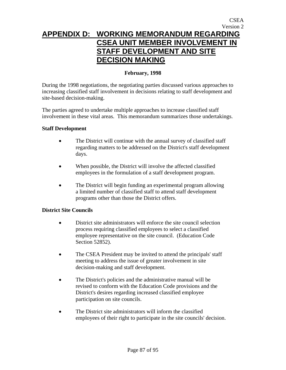## **APPENDIX D: WORKING MEMORANDUM REGARDING CSEA UNIT MEMBER INVOLVEMENT IN STAFF DEVELOPMENT AND SITE DECISION MAKING**

#### **February, 1998**

During the 1998 negotiations, the negotiating parties discussed various approaches to increasing classified staff involvement in decisions relating to staff development and site-based decision-making.

The parties agreed to undertake multiple approaches to increase classified staff involvement in these vital areas. This memorandum summarizes those undertakings.

#### **Staff Development**

- The District will continue with the annual survey of classified staff regarding matters to be addressed on the District's staff development days.
- When possible, the District will involve the affected classified employees in the formulation of a staff development program.
- The District will begin funding an experimental program allowing a limited number of classified staff to attend staff development programs other than those the District offers.

#### **District Site Councils**

- District site administrators will enforce the site council selection process requiring classified employees to select a classified employee representative on the site council. (Education Code Section 52852).
- The CSEA President may be invited to attend the principals' staff meeting to address the issue of greater involvement in site decision-making and staff development.
- The District's policies and the administrative manual will be revised to conform with the Education Code provisions and the District's desires regarding increased classified employee participation on site councils.
- The District site administrators will inform the classified employees of their right to participate in the site councils' decision.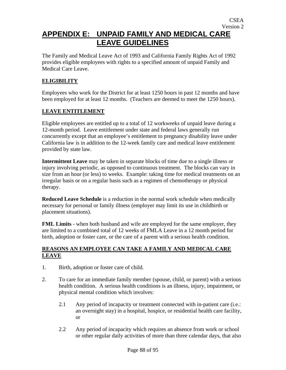### **APPENDIX E: UNPAID FAMILY AND MEDICAL CARE LEAVE GUIDELINES**

The Family and Medical Leave Act of 1993 and California Family Rights Act of 1992 provides eligible employees with rights to a specified amount of unpaid Family and Medical Care Leave.

### **ELIGIBILITY**

Employees who work for the District for at least 1250 hours in past 12 months and have been employed for at least 12 months. (Teachers are deemed to meet the 1250 hours).

#### **LEAVE ENTITLEMENT**

Eligible employees are entitled up to a total of 12 workweeks of unpaid leave during a 12-month period. Leave entitlement under state and federal laws generally run concurrently except that an employee's entitlement to pregnancy disability leave under California law is in addition to the 12-week family care and medical leave entitlement provided by state law.

**Intermittent Leave** may be taken in separate blocks of time due to a single illness or injury involving periodic, as opposed to continuous treatment. The blocks can vary in size from an hour (or less) to weeks. Example: taking time for medical treatments on an irregular basis or on a regular basis such as a regimen of chemotherapy or physical therapy.

**Reduced Leave Schedule** is a reduction in the normal work schedule when medically necessary for personal or family illness (employer may limit its use in childbirth or placement situations).

**FML Limits** - when both husband and wife are employed for the same employer, they are limited to a combined total of 12 weeks of FMLA Leave in a 12 month period for birth, adoption or foster care, or the care of a parent with a serious health condition.

#### **REASONS AN EMPLOYEE CAN TAKE A FAMILY AND MEDICAL CARE LEAVE**

- 1. Birth, adoption or foster care of child.
- 2. To care for an immediate family member (spouse, child, or parent) with a serious health condition. A serious health conditions is an illness, injury, impairment, or physical mental condition which involves:
	- 2.1 Any period of incapacity or treatment connected with in-patient care (i.e.: an overnight stay) in a hospital, hospice, or residential health care facility, or
	- 2.2 Any period of incapacity which requires an absence from work or school or other regular daily activities of more than three calendar days, that also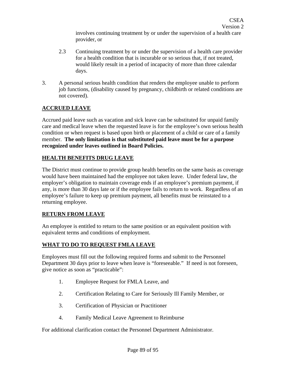involves continuing treatment by or under the supervision of a health care provider, or

- 2.3 Continuing treatment by or under the supervision of a health care provider for a health condition that is incurable or so serious that, if not treated, would likely result in a period of incapacity of more than three calendar days.
- 3. A personal serious health condition that renders the employee unable to perform job functions, (disability caused by pregnancy, childbirth or related conditions are not covered).

### **ACCRUED LEAVE**

Accrued paid leave such as vacation and sick leave can be substituted for unpaid family care and medical leave when the requested leave is for the employee's own serious health condition or when request is based upon birth or placement of a child or care of a family member. **The only limitation is that substituted paid leave must be for a purpose recognized under leaves outlined in Board Policies.**

### **HEALTH BENEFITS DRUG LEAVE**

The District must continue to provide group health benefits on the same basis as coverage would have been maintained had the employee not taken leave. Under federal law, the employer's obligation to maintain coverage ends if an employee's premium payment, if any, is more than 30 days late or if the employee fails to return to work. Regardless of an employee's failure to keep up premium payment, all benefits must be reinstated to a returning employee.

#### **RETURN FROM LEAVE**

An employee is entitled to return to the same position or an equivalent position with equivalent terms and conditions of employment.

#### **WHAT TO DO TO REQUEST FMLA LEAVE**

Employees must fill out the following required forms and submit to the Personnel Department 30 days prior to leave when leave is "foreseeable." If need is not foreseen, give notice as soon as "practicable":

- 1. Employee Request for FMLA Leave, and
- 2. Certification Relating to Care for Seriously Ill Family Member, or
- 3. Certification of Physician or Practitioner
- 4. Family Medical Leave Agreement to Reimburse

For additional clarification contact the Personnel Department Administrator.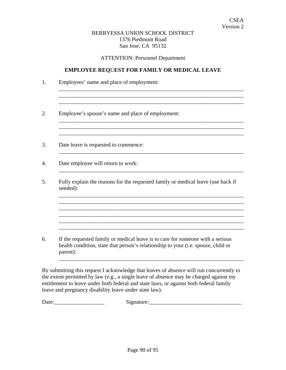#### BERRYESSA UNION SCHOOL DISTRICT 1376 Piedmont Road San Jose, CA 95132

ATTENTION: Personnel Department

#### **EMPLOYEE REQ**U**EST FOR FAMILY OR MEDICAL LEAVE**

| Employee's spouse's name and place of employment:                                                                                                                   |
|---------------------------------------------------------------------------------------------------------------------------------------------------------------------|
| Date leave is requested to commence:                                                                                                                                |
| Date employee will return to work:                                                                                                                                  |
| Fully explain the reasons for the requested family or medical leave (use back if<br>needed):                                                                        |
|                                                                                                                                                                     |
| If the requested family or medical leave is to care for someone with a serious<br>health condition, state that person's relationship to your (i.e. spouse, child or |

By submitting this request I acknowledge that leaves of absence will run concurrently to the extent permitted by law (e.g., a single leave of absence may be charged against my entitlement to leave under both federal and state laws, or against both federal family leave and pregnancy disability leave under state law).

Date:\_\_\_\_\_\_\_\_\_\_\_\_\_\_\_\_\_\_ Signature:\_\_\_\_\_\_\_\_\_\_\_\_\_\_\_\_\_\_\_\_\_\_\_\_\_\_\_\_\_\_\_\_\_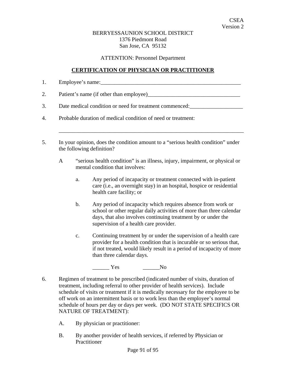#### BERRYESSAUNION SCHOOL DISTRICT 1376 Piedmont Road San Jose, CA 95132

ATTENTION: Personnel Department

#### **CERTIFICATION OF PHYSICIAN OR PRACTITIONER**

1. Employee's name:\_\_\_\_\_\_\_\_\_\_\_\_\_\_\_\_\_\_\_\_\_\_\_\_\_\_\_\_\_\_\_\_\_\_\_\_\_\_\_\_\_\_\_\_\_\_\_\_\_\_

2. Patient's name (if other than employee)\_\_\_\_\_\_\_\_\_\_\_\_\_\_\_\_\_\_\_\_\_\_\_\_\_\_\_\_\_\_\_\_\_

3. Date medical condition or need for treatment commenced:

- 4. Probable duration of medical condition of need or treatment:
- 5. In your opinion, does the condition amount to a "serious health condition" under the following definition?
	- A "serious health condition" is an illness, injury, impairment, or physical or mental condition that involves:

\_\_\_\_\_\_\_\_\_\_\_\_\_\_\_\_\_\_\_\_\_\_\_\_\_\_\_\_\_\_\_\_\_\_\_\_\_\_\_\_\_\_\_\_\_\_\_\_\_\_\_\_\_\_\_\_\_\_\_\_\_\_\_\_\_\_

- a. Any period of incapacity or treatment connected with in-patient care (i.e., an overnight stay) in an hospital, hospice or residential health care facility; or
- b. Any period of incapacity which requires absence from work or school or other regular daily activities of more than three calendar days, that also involves continuing treatment by or under the supervision of a health care provider.
- c. Continuing treatment by or under the supervision of a health care provider for a health condition that is incurable or so serious that, if not treated, would likely result in a period of incapacity of more than three calendar days.

 $\begin{array}{ccc} \text{Yes} & \text{No} \end{array}$ 

- 6. Regimen of treatment to be prescribed (indicated number of visits, duration of treatment, including referral to other provider of health services). Include schedule of visits or treatment if it is medically necessary for the employee to be off work on an intermittent basis or to work less than the employee's normal schedule of hours per day or days per week. (DO NOT STATE SPECIFICS OR NATURE OF TREATMENT):
	- A. By physician or practitioner:
	- B. By another provider of health services, if referred by Physician or **Practitioner**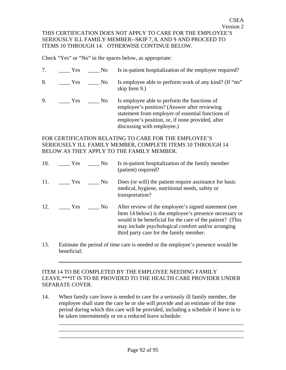Check "Yes" or "No" in the spaces below, as appropriate:

ITEMS 10 THROUGH 14. OTHERWISE CONTINUE BELOW.

7. \_\_\_\_ Yes \_\_\_\_ No Is in-patient hospitalization of the employee required? 8. \_\_\_\_\_ Yes \_\_\_\_ No Is employee able to perform work of any kind? (If "no" skip Item 9.) 9. \_\_\_\_ Yes \_\_\_\_ No Is employee able to perform the functions of employee's position? (Answer after reviewing statement from employer of essential functions of employee's position, or, if none provided, after discussing with employee.)

### FOR CERTIFICATION RELATING TO CARE FOR THE EMPLOYEE'S SERIOUSELY ILL FAMILY MEMBER, COMPLETE ITEMS 10 THROUGH 14 BELOW AS THEY APPLY TO THE FAMILY MEMBER.

| 10. | Yes                 | N <sub>0</sub> | Is in-patient hospitalization of the family member<br>(patient) required?                                                                                                                                                                                                    |
|-----|---------------------|----------------|------------------------------------------------------------------------------------------------------------------------------------------------------------------------------------------------------------------------------------------------------------------------------|
| 11. | Yes                 | N <sub>0</sub> | Does (or will) the patient require assistance for basic<br>medical, hygiene, nutritional needs, safety or<br>transportation?                                                                                                                                                 |
| 12. | <b>Solution</b> Yes | N <sub>0</sub> | After review of the employee's signed statement (see<br>Item 14 below) is the employee's presence necessary or<br>would it be beneficial for the care of the patient? (This<br>may include psychological comfort and/or arranging<br>third party care for the family member. |

13. Estimate the period of time care is needed or the employee's presence would be beneficial:

\_\_\_\_\_\_\_\_\_\_\_\_\_\_\_\_\_\_\_\_\_\_\_\_\_\_\_\_\_\_\_\_\_\_\_\_\_\_\_\_\_\_\_\_

#### ITEM 14 TO BE COMPLETED BY THE EMPLOYEE NEEDING FAMILY LEAVE.\*\*\*IT IS TO BE PROVIDED TO THE HEALTH CARE PROVIDER UNDER SEPARATE COVER.

14. When family care leave is needed to care for a seriously ill family member, the employee shall state the care he or she will provide and an estimate of the time period during which this care will be provided, including a schedule if leave is to be taken intermittently or on a reduced leave schedule:

\_\_\_\_\_\_\_\_\_\_\_\_\_\_\_\_\_\_\_\_\_\_\_\_\_\_\_\_\_\_\_\_\_\_\_\_\_\_\_\_\_\_\_\_\_\_\_\_\_\_\_\_\_\_\_\_\_\_\_\_\_\_\_\_\_\_ \_\_\_\_\_\_\_\_\_\_\_\_\_\_\_\_\_\_\_\_\_\_\_\_\_\_\_\_\_\_\_\_\_\_\_\_\_\_\_\_\_\_\_\_\_\_\_\_\_\_\_\_\_\_\_\_\_\_\_\_\_\_\_\_\_\_ \_\_\_\_\_\_\_\_\_\_\_\_\_\_\_\_\_\_\_\_\_\_\_\_\_\_\_\_\_\_\_\_\_\_\_\_\_\_\_\_\_\_\_\_\_\_\_\_\_\_\_\_\_\_\_\_\_\_\_\_\_\_\_\_\_\_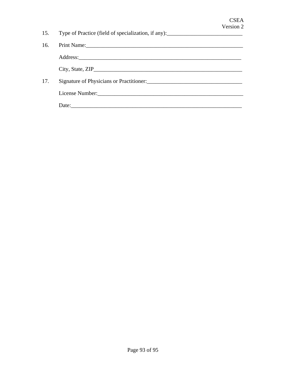|     | 15. Type of Practice (field of specialization, if any): ________________________                                                                                                                                               |
|-----|--------------------------------------------------------------------------------------------------------------------------------------------------------------------------------------------------------------------------------|
| 16. | Print Name: 1988. The Commission of the Commission of the Commission of the Commission of the Commission of the Commission of the Commission of the Commission of the Commission of the Commission of the Commission of the Co |
|     |                                                                                                                                                                                                                                |
|     | City, State, ZIP                                                                                                                                                                                                               |
| 17. | Signature of Physicians or Practitioner:                                                                                                                                                                                       |
|     |                                                                                                                                                                                                                                |
|     | Date:                                                                                                                                                                                                                          |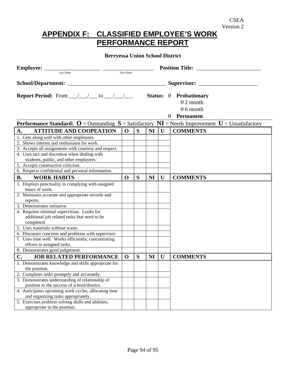## **APPENDIX F: CLASSIFIED EMPLOYEE'S WORK PERFORMANCE REPORT**

### **Berryessa Union School District**

| $\begin{tabular}{l c c c} \hline \textbf{Employee:} & \textcolor{red}{\textbf{Last Name}} \\ \hline \textcolor{red}{\textbf{Last Name}} & \textcolor{red}{\textbf{First Name}} \\ \hline \end{tabular}$ |              |   |                |              | <b>Position Title:</b>                                                |
|---------------------------------------------------------------------------------------------------------------------------------------------------------------------------------------------------------|--------------|---|----------------|--------------|-----------------------------------------------------------------------|
|                                                                                                                                                                                                         |              |   |                |              |                                                                       |
| <b>Report Period:</b> From $\_\_\_\_\_\_\_\$ to $\_\_\_\_\_\_\_\_\_\$                                                                                                                                   |              |   |                |              | Status: $\theta$ Probationary<br>$\theta$ 2 month<br>$\theta$ 6 month |
|                                                                                                                                                                                                         |              |   |                |              | <b>Permanent</b>                                                      |
| <b>Performance Standard:</b> O = Outstanding $S = S$ atisfactory $NI = N$ eeds Improvement $U =$ Unsatisfactory                                                                                         |              |   |                |              |                                                                       |
| <b>ATTITUDE AND COOPEATION</b><br>A.                                                                                                                                                                    | $\mathbf{0}$ | S | NI             | $\mathbf{U}$ | <b>COMMENTS</b>                                                       |
| 1. Gets along well with other employees.                                                                                                                                                                |              |   |                |              |                                                                       |
| 2. Shows interest and enthusiasm for work.                                                                                                                                                              |              |   |                |              |                                                                       |
| 3. Accepts all assignments with courtesy and respect.                                                                                                                                                   |              |   |                |              |                                                                       |
| 4. Uses tact and discretion when dealing with                                                                                                                                                           |              |   |                |              |                                                                       |
| students, public, and other employees.                                                                                                                                                                  |              |   |                |              |                                                                       |
| 5. Accepts constructive criticism.                                                                                                                                                                      |              |   |                |              |                                                                       |
| 6. Respects confidential and personal information.                                                                                                                                                      |              |   |                |              |                                                                       |
| <b>WORK HABITS</b><br><b>B.</b>                                                                                                                                                                         | $\mathbf 0$  | S | <b>NI</b>      | $\mathbf U$  | <b>COMMENTS</b>                                                       |
| 1. Displays punctuality in complying with assigned                                                                                                                                                      |              |   |                |              |                                                                       |
| hours of work.                                                                                                                                                                                          |              |   |                |              |                                                                       |
| 2. Maintains accurate and appropriate records and                                                                                                                                                       |              |   |                |              |                                                                       |
| reports.                                                                                                                                                                                                |              |   |                |              |                                                                       |
| 3. Demonstrates initiative.                                                                                                                                                                             |              |   |                |              |                                                                       |
| 4. Requires minimal supervision. Looks for                                                                                                                                                              |              |   |                |              |                                                                       |
| additional job related tasks that need to be                                                                                                                                                            |              |   |                |              |                                                                       |
| completed.                                                                                                                                                                                              |              |   |                |              |                                                                       |
| 5. Uses materials without waste.                                                                                                                                                                        |              |   |                |              |                                                                       |
| 6. Discusses concerns and problems with supervisor.                                                                                                                                                     |              |   |                |              |                                                                       |
| 7. Uses time well. Works efficiently, concentrating                                                                                                                                                     |              |   |                |              |                                                                       |
| efforts to assigned tasks.                                                                                                                                                                              |              |   |                |              |                                                                       |
| 8. Demonstrates good judgement.                                                                                                                                                                         |              |   |                |              |                                                                       |
| C.<br><b>JOB RELATED PERFORMANCE</b>                                                                                                                                                                    | $\mathbf 0$  | S | N <sub>I</sub> | U            | <b>COMMENTS</b>                                                       |
| 1. Demonstrates knowledge and skills appropriate for                                                                                                                                                    |              |   |                |              |                                                                       |
| the position.                                                                                                                                                                                           |              |   |                |              |                                                                       |
| 2. Completes tasks promptly and accurately.                                                                                                                                                             |              |   |                |              |                                                                       |
| 3. Demonstrates understanding of relationship of                                                                                                                                                        |              |   |                |              |                                                                       |
| position to the success of school/district.                                                                                                                                                             |              |   |                |              |                                                                       |
| 4. Anticipates upcoming work cycles, allocating time                                                                                                                                                    |              |   |                |              |                                                                       |
| and organizing tasks appropriately.                                                                                                                                                                     |              |   |                |              |                                                                       |
| 5. Exercises problem solving skills and abilities,                                                                                                                                                      |              |   |                |              |                                                                       |
| appropriate to the position.                                                                                                                                                                            |              |   |                |              |                                                                       |